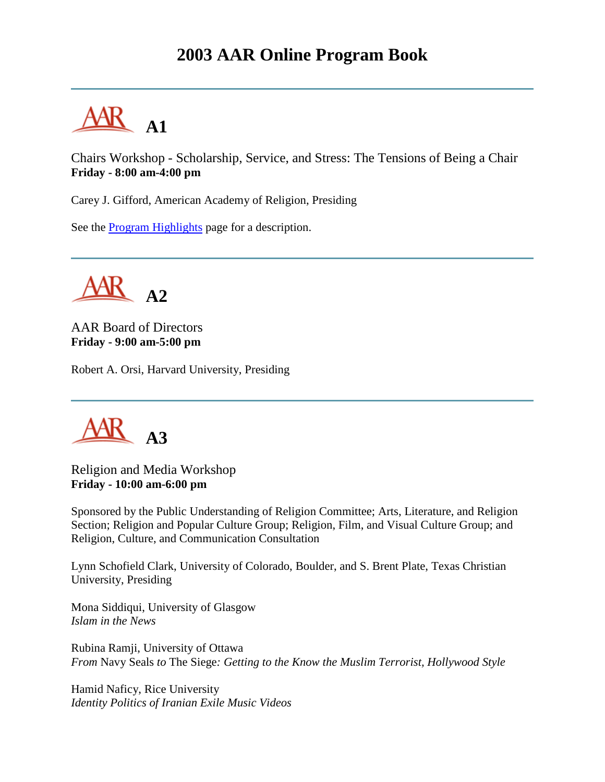## **2003 AAR Online Program Book**



Chairs Workshop - Scholarship, Service, and Stress: The Tensions of Being a Chair **Friday - 8:00 am-4:00 pm**

Carey J. Gifford, American Academy of Religion, Presiding

See the [Program Highlights](http://www.aarweb.org/Meetings/Annual_Meeting/Past_and_Future_Meetings/2003/highlights.asp) page for a description.

**A2**

AAR Board of Directors **Friday - 9:00 am-5:00 pm**

Robert A. Orsi, Harvard University, Presiding



Religion and Media Workshop **Friday - 10:00 am-6:00 pm**

Sponsored by the Public Understanding of Religion Committee; Arts, Literature, and Religion Section; Religion and Popular Culture Group; Religion, Film, and Visual Culture Group; and Religion, Culture, and Communication Consultation

Lynn Schofield Clark, University of Colorado, Boulder, and S. Brent Plate, Texas Christian University, Presiding

Mona Siddiqui, University of Glasgow *Islam in the News*

Rubina Ramji, University of Ottawa *From* Navy Seals *to* The Siege*: Getting to the Know the Muslim Terrorist, Hollywood Style*

Hamid Naficy, Rice University *Identity Politics of Iranian Exile Music Videos*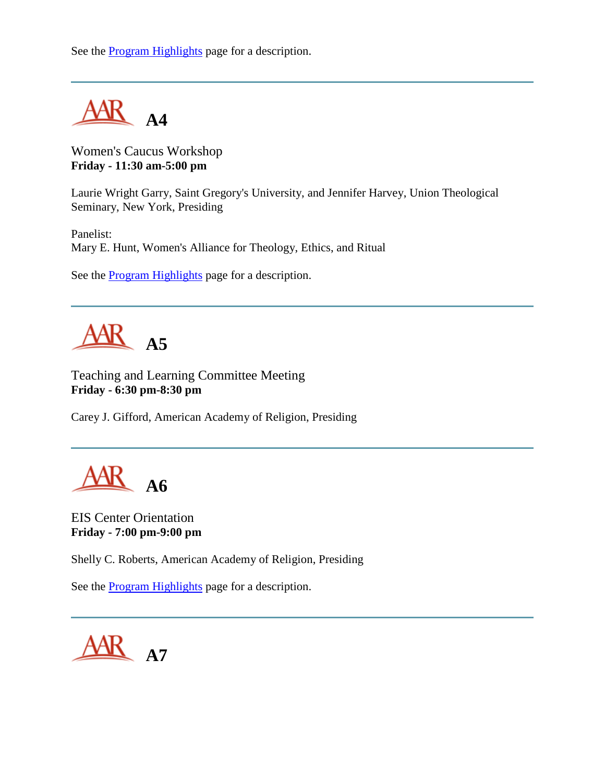See the [Program Highlights](http://www.aarweb.org/Meetings/Annual_Meeting/Past_and_Future_Meetings/2003/highlights.asp) page for a description.



Women's Caucus Workshop **Friday - 11:30 am-5:00 pm**

Laurie Wright Garry, Saint Gregory's University, and Jennifer Harvey, Union Theological Seminary, New York, Presiding

Panelist: Mary E. Hunt, Women's Alliance for Theology, Ethics, and Ritual

See the [Program Highlights](http://www.aarweb.org/Meetings/Annual_Meeting/Past_and_Future_Meetings/2003/highlights.asp) page for a description.



Teaching and Learning Committee Meeting **Friday - 6:30 pm-8:30 pm**

Carey J. Gifford, American Academy of Religion, Presiding

**A6**

EIS Center Orientation **Friday - 7:00 pm-9:00 pm**

Shelly C. Roberts, American Academy of Religion, Presiding

See the [Program Highlights](http://www.aarweb.org/Meetings/Annual_Meeting/Past_and_Future_Meetings/2003/highlights.asp) page for a description.

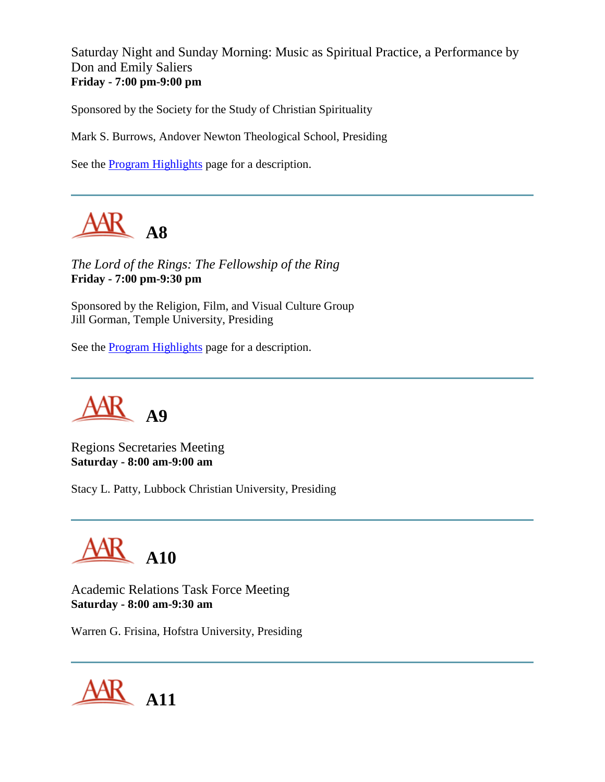Saturday Night and Sunday Morning: Music as Spiritual Practice, a Performance by Don and Emily Saliers **Friday - 7:00 pm-9:00 pm**

Sponsored by the Society for the Study of Christian Spirituality

Mark S. Burrows, Andover Newton Theological School, Presiding

See the [Program Highlights](http://www.aarweb.org/Meetings/Annual_Meeting/Past_and_Future_Meetings/2003/highlights.asp) page for a description.



*The Lord of the Rings: The Fellowship of the Ring* **Friday - 7:00 pm-9:30 pm**

Sponsored by the Religion, Film, and Visual Culture Group Jill Gorman, Temple University, Presiding

See the [Program Highlights](http://www.aarweb.org/Meetings/Annual_Meeting/Past_and_Future_Meetings/2003/highlights.asp) page for a description.



Regions Secretaries Meeting **Saturday - 8:00 am-9:00 am**

Stacy L. Patty, Lubbock Christian University, Presiding



Academic Relations Task Force Meeting **Saturday - 8:00 am-9:30 am**

Warren G. Frisina, Hofstra University, Presiding

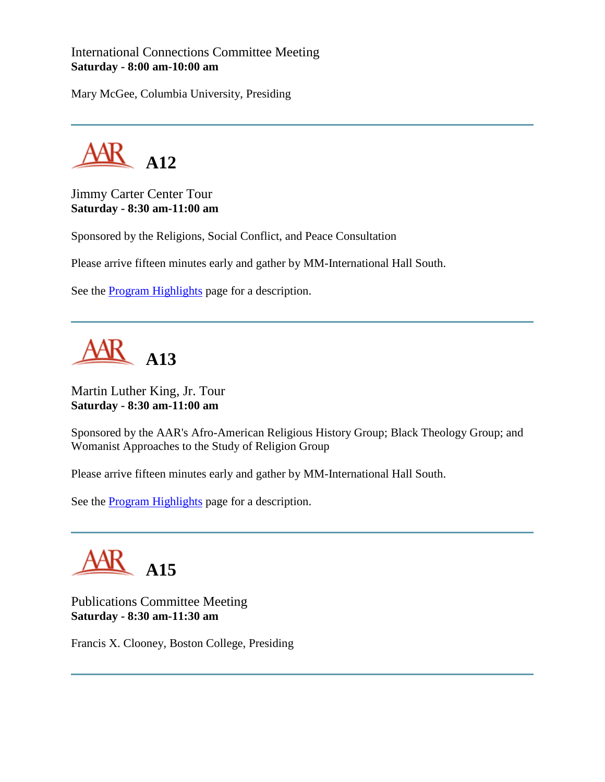International Connections Committee Meeting **Saturday - 8:00 am-10:00 am**

Mary McGee, Columbia University, Presiding



Jimmy Carter Center Tour **Saturday - 8:30 am-11:00 am**

Sponsored by the Religions, Social Conflict, and Peace Consultation

Please arrive fifteen minutes early and gather by MM-International Hall South.

See the **Program Highlights** page for a description.

**A13**

Martin Luther King, Jr. Tour **Saturday - 8:30 am-11:00 am**

Sponsored by the AAR's Afro-American Religious History Group; Black Theology Group; and Womanist Approaches to the Study of Religion Group

Please arrive fifteen minutes early and gather by MM-International Hall South.

See the [Program Highlights](http://www.aarweb.org/Meetings/Annual_Meeting/Past_and_Future_Meetings/2003/highlights.asp) page for a description.



Publications Committee Meeting **Saturday - 8:30 am-11:30 am**

Francis X. Clooney, Boston College, Presiding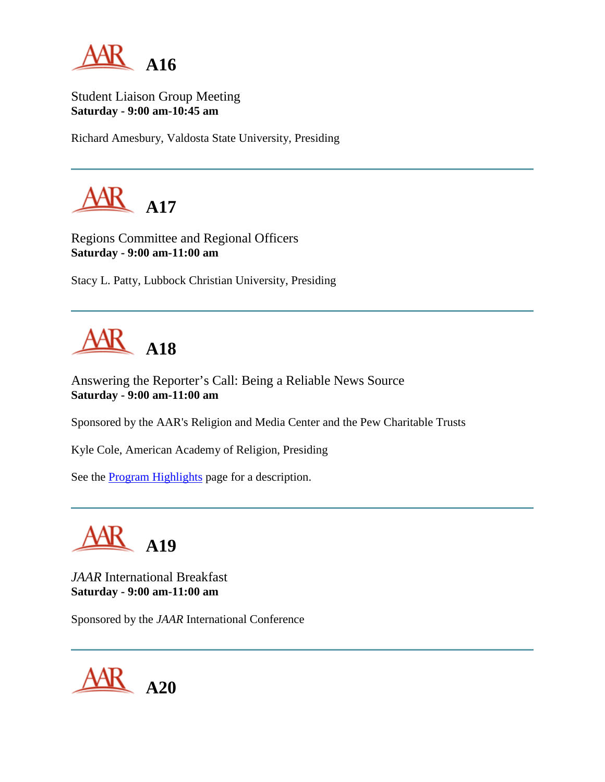

Student Liaison Group Meeting **Saturday - 9:00 am-10:45 am**

Richard Amesbury, Valdosta State University, Presiding



Regions Committee and Regional Officers **Saturday - 9:00 am-11:00 am**

Stacy L. Patty, Lubbock Christian University, Presiding



Answering the Reporter's Call: Being a Reliable News Source **Saturday - 9:00 am-11:00 am**

Sponsored by the AAR's Religion and Media Center and the Pew Charitable Trusts

Kyle Cole, American Academy of Religion, Presiding

See the [Program Highlights](http://www.aarweb.org/Meetings/Annual_Meeting/Past_and_Future_Meetings/2003/highlights.asp) page for a description.



*JAAR* International Breakfast **Saturday - 9:00 am-11:00 am**

Sponsored by the *JAAR* International Conference

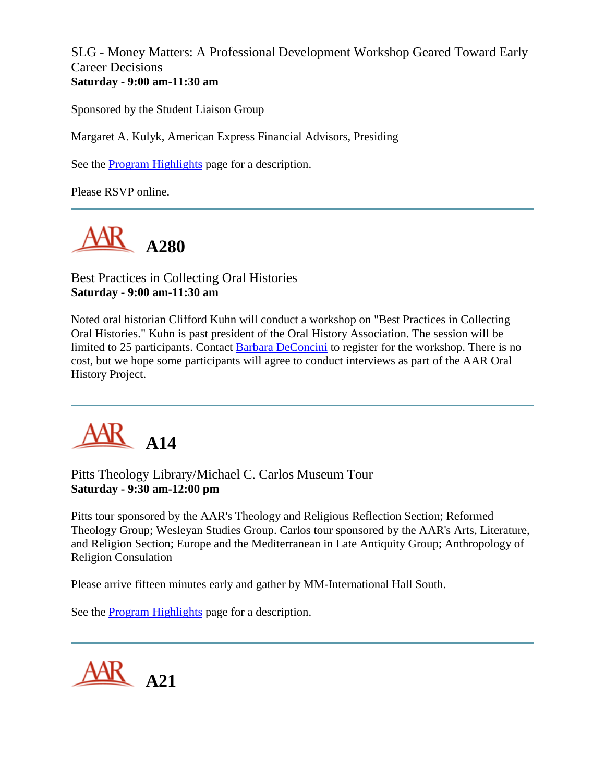SLG - Money Matters: A Professional Development Workshop Geared Toward Early Career Decisions **Saturday - 9:00 am-11:30 am**

Sponsored by the Student Liaison Group

Margaret A. Kulyk, American Express Financial Advisors, Presiding

See the [Program Highlights](http://www.aarweb.org/Meetings/Annual_Meeting/Past_and_Future_Meetings/2003/highlights.asp) page for a description.

Please RSVP online.



Best Practices in Collecting Oral Histories **Saturday - 9:00 am-11:30 am**

Noted oral historian Clifford Kuhn will conduct a workshop on "Best Practices in Collecting Oral Histories." Kuhn is past president of the Oral History Association. The session will be limited to 25 participants. Contact **Barbara DeConcini** to register for the workshop. There is no cost, but we hope some participants will agree to conduct interviews as part of the AAR Oral History Project.



Pitts Theology Library/Michael C. Carlos Museum Tour **Saturday - 9:30 am-12:00 pm**

Pitts tour sponsored by the AAR's Theology and Religious Reflection Section; Reformed Theology Group; Wesleyan Studies Group. Carlos tour sponsored by the AAR's Arts, Literature, and Religion Section; Europe and the Mediterranean in Late Antiquity Group; Anthropology of Religion Consulation

Please arrive fifteen minutes early and gather by MM-International Hall South.

See the [Program Highlights](http://www.aarweb.org/Meetings/Annual_Meeting/Past_and_Future_Meetings/2003/highlights.asp) page for a description.

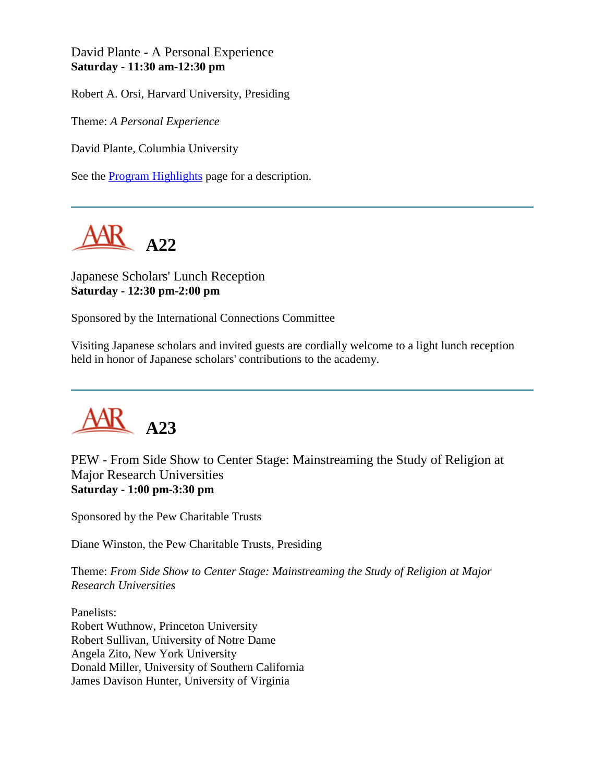David Plante - A Personal Experience **Saturday - 11:30 am-12:30 pm**

Robert A. Orsi, Harvard University, Presiding

Theme: *A Personal Experience*

David Plante, Columbia University

See the [Program Highlights](http://www.aarweb.org/Meetings/Annual_Meeting/Past_and_Future_Meetings/2003/highlights.asp) page for a description.



Japanese Scholars' Lunch Reception **Saturday - 12:30 pm-2:00 pm**

Sponsored by the International Connections Committee

Visiting Japanese scholars and invited guests are cordially welcome to a light lunch reception held in honor of Japanese scholars' contributions to the academy.



PEW - From Side Show to Center Stage: Mainstreaming the Study of Religion at Major Research Universities **Saturday - 1:00 pm-3:30 pm**

Sponsored by the Pew Charitable Trusts

Diane Winston, the Pew Charitable Trusts, Presiding

Theme: *From Side Show to Center Stage: Mainstreaming the Study of Religion at Major Research Universities*

Panelists: Robert Wuthnow, Princeton University Robert Sullivan, University of Notre Dame Angela Zito, New York University Donald Miller, University of Southern California James Davison Hunter, University of Virginia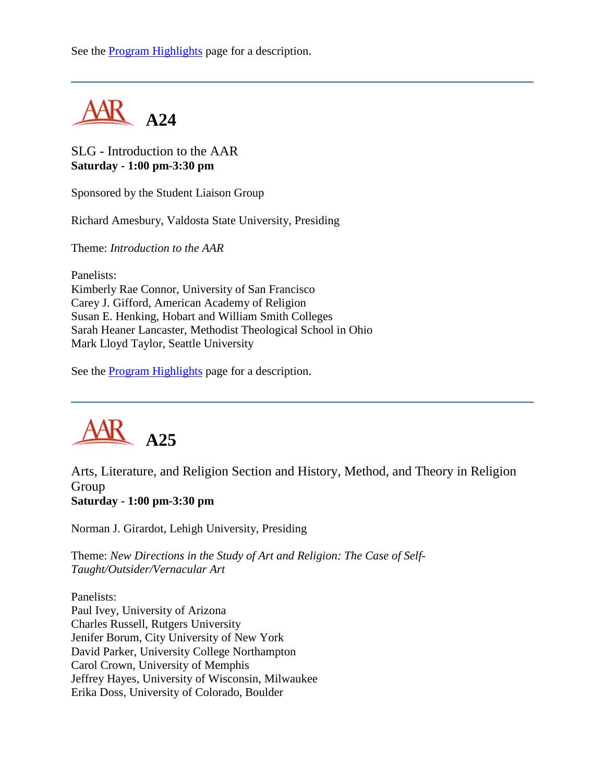See the [Program Highlights](http://www.aarweb.org/Meetings/Annual_Meeting/Past_and_Future_Meetings/2003/highlights.asp) page for a description.



SLG - Introduction to the AAR **Saturday - 1:00 pm-3:30 pm**

Sponsored by the Student Liaison Group

Richard Amesbury, Valdosta State University, Presiding

Theme: *Introduction to the AAR*

Panelists:

Kimberly Rae Connor, University of San Francisco Carey J. Gifford, American Academy of Religion Susan E. Henking, Hobart and William Smith Colleges Sarah Heaner Lancaster, Methodist Theological School in Ohio Mark Lloyd Taylor, Seattle University

See the [Program Highlights](http://www.aarweb.org/Meetings/Annual_Meeting/Past_and_Future_Meetings/2003/highlights.asp) page for a description.



Arts, Literature, and Religion Section and History, Method, and Theory in Religion Group **Saturday - 1:00 pm-3:30 pm**

Norman J. Girardot, Lehigh University, Presiding

Theme: *New Directions in the Study of Art and Religion: The Case of Self-Taught/Outsider/Vernacular Art*

Panelists: Paul Ivey, University of Arizona Charles Russell, Rutgers University Jenifer Borum, City University of New York David Parker, University College Northampton Carol Crown, University of Memphis Jeffrey Hayes, University of Wisconsin, Milwaukee Erika Doss, University of Colorado, Boulder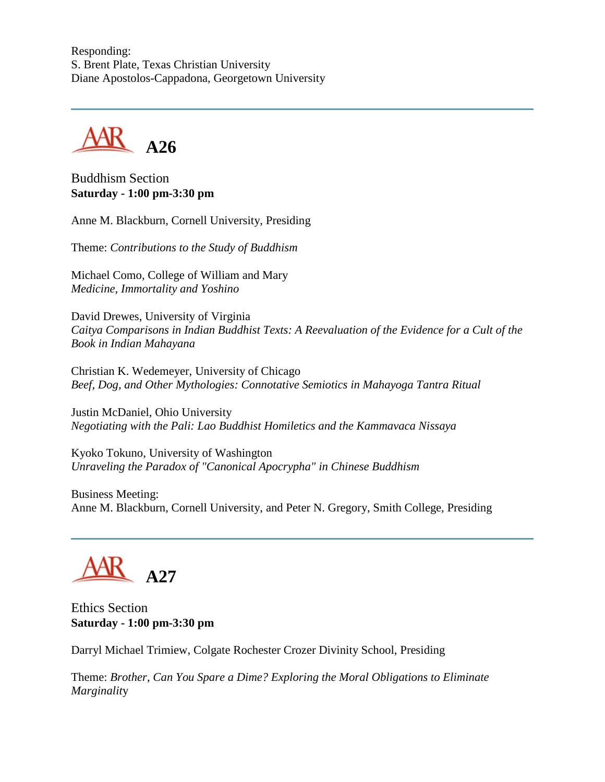Responding: S. Brent Plate, Texas Christian University Diane Apostolos-Cappadona, Georgetown University



Buddhism Section **Saturday - 1:00 pm-3:30 pm**

Anne M. Blackburn, Cornell University, Presiding

Theme: *Contributions to the Study of Buddhism*

Michael Como, College of William and Mary *Medicine, Immortality and Yoshino*

David Drewes, University of Virginia *Caitya Comparisons in Indian Buddhist Texts: A Reevaluation of the Evidence for a Cult of the Book in Indian Mahayana*

Christian K. Wedemeyer, University of Chicago *Beef, Dog, and Other Mythologies: Connotative Semiotics in Mahayoga Tantra Ritual*

Justin McDaniel, Ohio University *Negotiating with the Pali: Lao Buddhist Homiletics and the Kammavaca Nissaya*

Kyoko Tokuno, University of Washington *Unraveling the Paradox of "Canonical Apocrypha" in Chinese Buddhism*

Business Meeting: Anne M. Blackburn, Cornell University, and Peter N. Gregory, Smith College, Presiding



Ethics Section **Saturday - 1:00 pm-3:30 pm**

Darryl Michael Trimiew, Colgate Rochester Crozer Divinity School, Presiding

Theme: *Brother, Can You Spare a Dime? Exploring the Moral Obligations to Eliminate Marginalit*y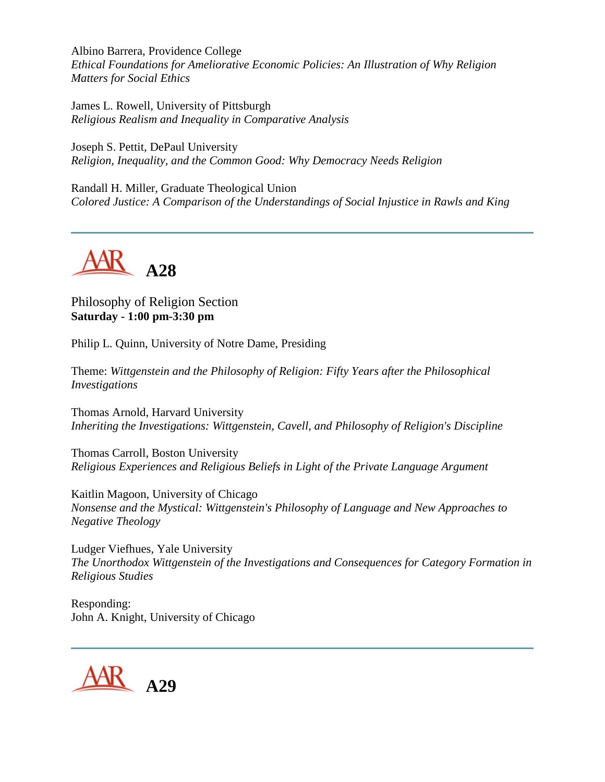Albino Barrera, Providence College *Ethical Foundations for Ameliorative Economic Policies: An Illustration of Why Religion Matters for Social Ethics*

James L. Rowell, University of Pittsburgh *Religious Realism and Inequality in Comparative Analysis*

Joseph S. Pettit, DePaul University *Religion, Inequality, and the Common Good: Why Democracy Needs Religion*

Randall H. Miller, Graduate Theological Union *Colored Justice: A Comparison of the Understandings of Social Injustice in Rawls and King*



Philosophy of Religion Section **Saturday - 1:00 pm-3:30 pm**

Philip L. Quinn, University of Notre Dame, Presiding

Theme: *Wittgenstein and the Philosophy of Religion: Fifty Years after the Philosophical Investigations*

Thomas Arnold, Harvard University *Inheriting the Investigations: Wittgenstein, Cavell, and Philosophy of Religion's Discipline*

Thomas Carroll, Boston University *Religious Experiences and Religious Beliefs in Light of the Private Language Argument*

Kaitlin Magoon, University of Chicago *Nonsense and the Mystical: Wittgenstein's Philosophy of Language and New Approaches to Negative Theology*

Ludger Viefhues, Yale University *The Unorthodox Wittgenstein of the Investigations and Consequences for Category Formation in Religious Studies*

Responding: John A. Knight, University of Chicago

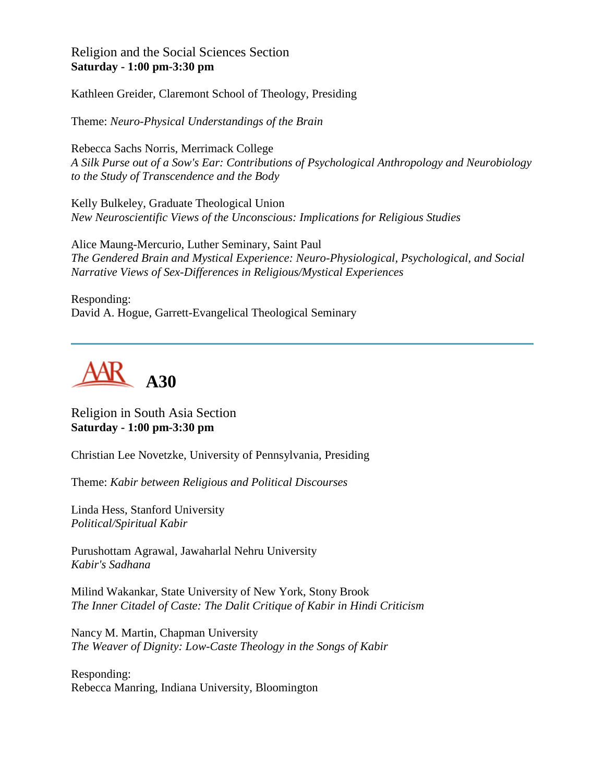Religion and the Social Sciences Section **Saturday - 1:00 pm-3:30 pm**

Kathleen Greider, Claremont School of Theology, Presiding

Theme: *Neuro-Physical Understandings of the Brain*

Rebecca Sachs Norris, Merrimack College *A Silk Purse out of a Sow's Ear: Contributions of Psychological Anthropology and Neurobiology to the Study of Transcendence and the Body*

Kelly Bulkeley, Graduate Theological Union *New Neuroscientific Views of the Unconscious: Implications for Religious Studies*

Alice Maung-Mercurio, Luther Seminary, Saint Paul *The Gendered Brain and Mystical Experience: Neuro-Physiological, Psychological, and Social Narrative Views of Sex-Differences in Religious/Mystical Experiences*

Responding: David A. Hogue, Garrett-Evangelical Theological Seminary



Religion in South Asia Section **Saturday - 1:00 pm-3:30 pm**

Christian Lee Novetzke, University of Pennsylvania, Presiding

Theme: *Kabir between Religious and Political Discourses*

Linda Hess, Stanford University *Political/Spiritual Kabir*

Purushottam Agrawal, Jawaharlal Nehru University *Kabir's Sadhana*

Milind Wakankar, State University of New York, Stony Brook *The Inner Citadel of Caste: The Dalit Critique of Kabir in Hindi Criticism*

Nancy M. Martin, Chapman University *The Weaver of Dignity: Low-Caste Theology in the Songs of Kabir*

Responding: Rebecca Manring, Indiana University, Bloomington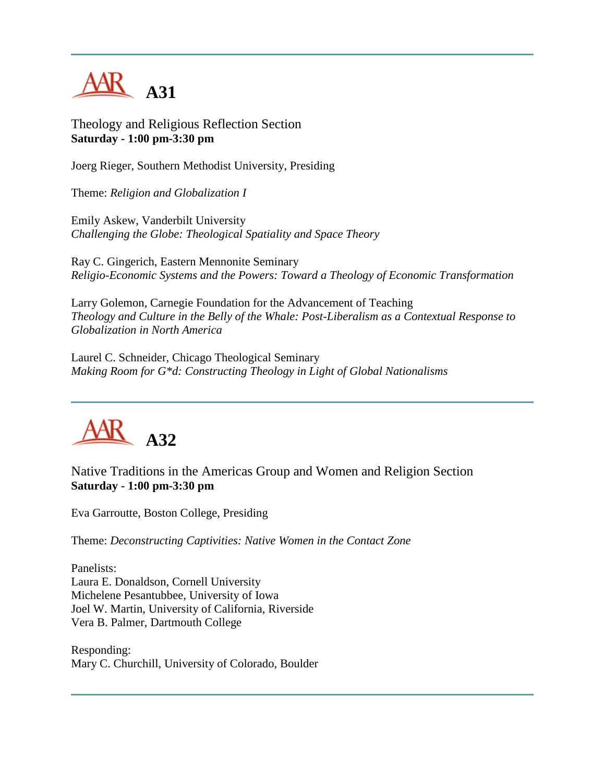

Theology and Religious Reflection Section **Saturday - 1:00 pm-3:30 pm**

Joerg Rieger, Southern Methodist University, Presiding

Theme: *Religion and Globalization I*

Emily Askew, Vanderbilt University *Challenging the Globe: Theological Spatiality and Space Theory*

Ray C. Gingerich, Eastern Mennonite Seminary *Religio-Economic Systems and the Powers: Toward a Theology of Economic Transformation*

Larry Golemon, Carnegie Foundation for the Advancement of Teaching *Theology and Culture in the Belly of the Whale: Post-Liberalism as a Contextual Response to Globalization in North America*

Laurel C. Schneider, Chicago Theological Seminary *Making Room for G\*d: Constructing Theology in Light of Global Nationalisms*



Native Traditions in the Americas Group and Women and Religion Section **Saturday - 1:00 pm-3:30 pm**

Eva Garroutte, Boston College, Presiding

Theme: *Deconstructing Captivities: Native Women in the Contact Zone*

Panelists: Laura E. Donaldson, Cornell University Michelene Pesantubbee, University of Iowa Joel W. Martin, University of California, Riverside Vera B. Palmer, Dartmouth College

Responding: Mary C. Churchill, University of Colorado, Boulder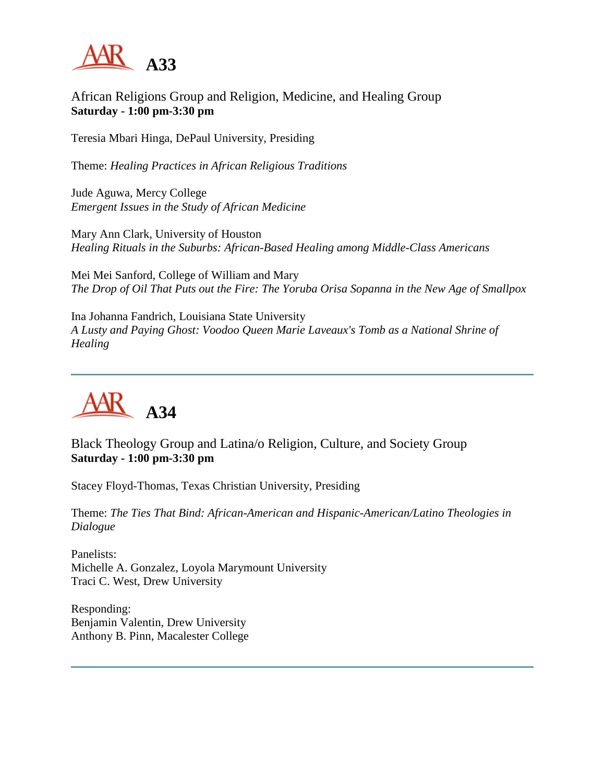

### African Religions Group and Religion, Medicine, and Healing Group **Saturday - 1:00 pm-3:30 pm**

Teresia Mbari Hinga, DePaul University, Presiding

Theme: *Healing Practices in African Religious Traditions*

Jude Aguwa, Mercy College *Emergent Issues in the Study of African Medicine*

Mary Ann Clark, University of Houston *Healing Rituals in the Suburbs: African-Based Healing among Middle-Class Americans*

Mei Mei Sanford, College of William and Mary *The Drop of Oil That Puts out the Fire: The Yoruba Orisa Sopanna in the New Age of Smallpox*

Ina Johanna Fandrich, Louisiana State University *A Lusty and Paying Ghost: Voodoo Queen Marie Laveaux's Tomb as a National Shrine of Healing*



Black Theology Group and Latina/o Religion, Culture, and Society Group **Saturday - 1:00 pm-3:30 pm**

Stacey Floyd-Thomas, Texas Christian University, Presiding

Theme: *The Ties That Bind: African-American and Hispanic-American/Latino Theologies in Dialogue*

Panelists: Michelle A. Gonzalez, Loyola Marymount University Traci C. West, Drew University

Responding: Benjamin Valentin, Drew University Anthony B. Pinn, Macalester College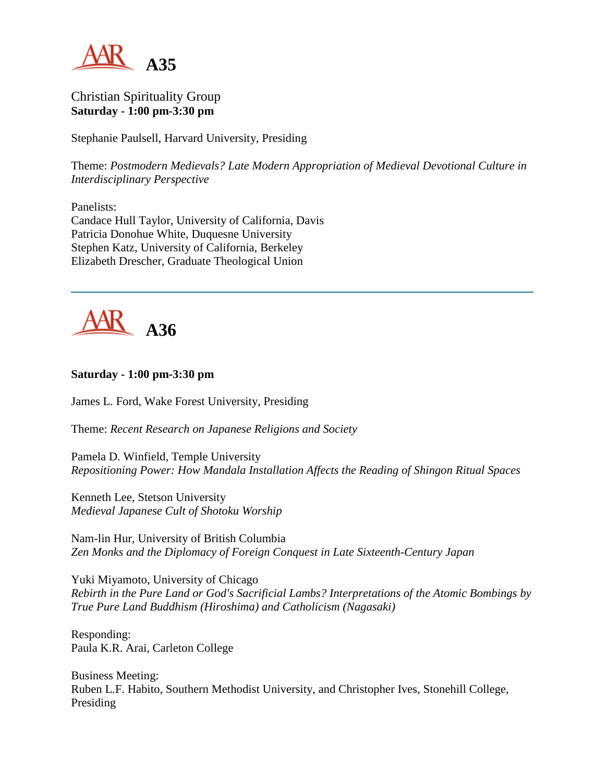

Christian Spirituality Group **Saturday - 1:00 pm-3:30 pm**

Stephanie Paulsell, Harvard University, Presiding

Theme: *Postmodern Medievals? Late Modern Appropriation of Medieval Devotional Culture in Interdisciplinary Perspective*

Panelists: Candace Hull Taylor, University of California, Davis Patricia Donohue White, Duquesne University Stephen Katz, University of California, Berkeley Elizabeth Drescher, Graduate Theological Union



#### **Saturday - 1:00 pm-3:30 pm**

James L. Ford, Wake Forest University, Presiding

Theme: *Recent Research on Japanese Religions and Society*

Pamela D. Winfield, Temple University *Repositioning Power: How Mandala Installation Affects the Reading of Shingon Ritual Spaces*

Kenneth Lee, Stetson University *Medieval Japanese Cult of Shotoku Worship*

Nam-lin Hur, University of British Columbia *Zen Monks and the Diplomacy of Foreign Conquest in Late Sixteenth-Century Japan*

Yuki Miyamoto, University of Chicago *Rebirth in the Pure Land or God's Sacrificial Lambs? Interpretations of the Atomic Bombings by True Pure Land Buddhism (Hiroshima) and Catholicism (Nagasaki)*

Responding: Paula K.R. Arai, Carleton College

Business Meeting: Ruben L.F. Habito, Southern Methodist University, and Christopher Ives, Stonehill College, Presiding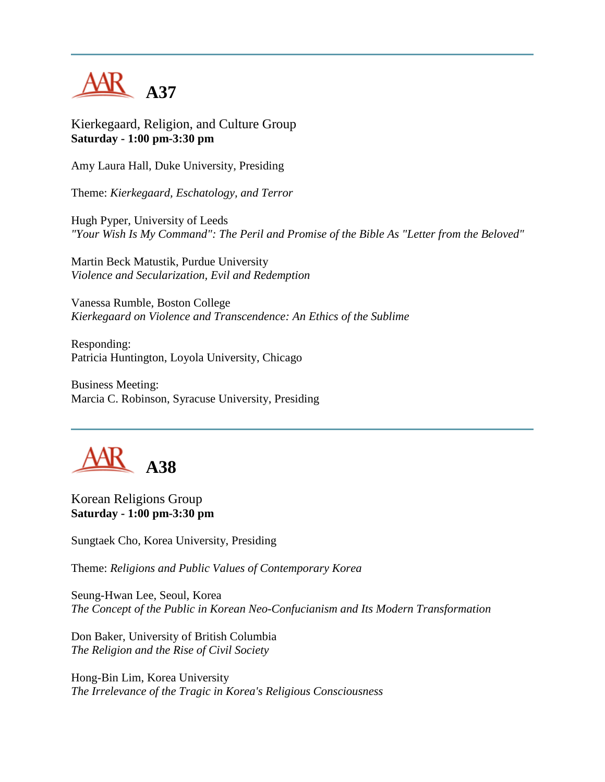

Kierkegaard, Religion, and Culture Group **Saturday - 1:00 pm-3:30 pm**

Amy Laura Hall, Duke University, Presiding

Theme: *Kierkegaard, Eschatology, and Terror*

Hugh Pyper, University of Leeds *"Your Wish Is My Command": The Peril and Promise of the Bible As "Letter from the Beloved"*

Martin Beck Matustik, Purdue University *Violence and Secularization, Evil and Redemption*

Vanessa Rumble, Boston College *Kierkegaard on Violence and Transcendence: An Ethics of the Sublime*

Responding: Patricia Huntington, Loyola University, Chicago

Business Meeting: Marcia C. Robinson, Syracuse University, Presiding



Korean Religions Group **Saturday - 1:00 pm-3:30 pm**

Sungtaek Cho, Korea University, Presiding

Theme: *Religions and Public Values of Contemporary Korea*

Seung-Hwan Lee, Seoul, Korea *The Concept of the Public in Korean Neo-Confucianism and Its Modern Transformation*

Don Baker, University of British Columbia *The Religion and the Rise of Civil Society*

Hong-Bin Lim, Korea University *The Irrelevance of the Tragic in Korea's Religious Consciousness*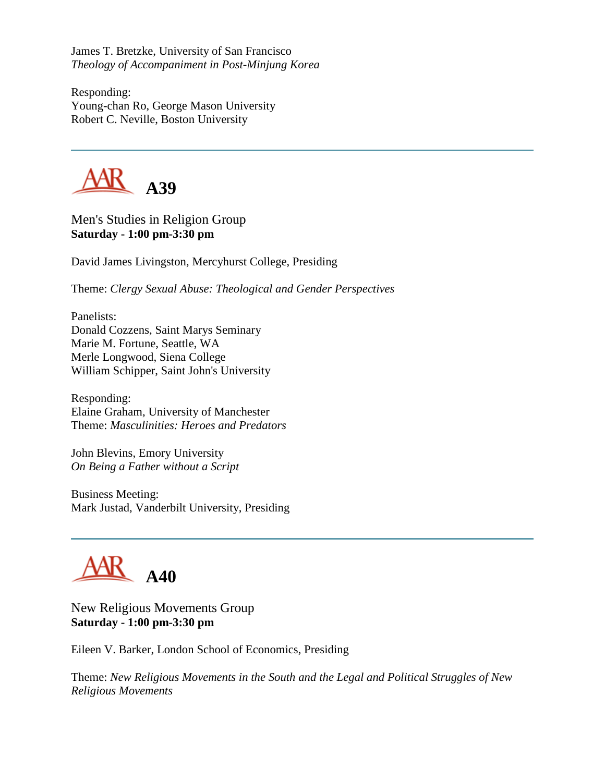James T. Bretzke, University of San Francisco *Theology of Accompaniment in Post-Minjung Korea*

Responding: Young-chan Ro, George Mason University Robert C. Neville, Boston University



Men's Studies in Religion Group **Saturday - 1:00 pm-3:30 pm**

David James Livingston, Mercyhurst College, Presiding

Theme: *Clergy Sexual Abuse: Theological and Gender Perspectives*

Panelists: Donald Cozzens, Saint Marys Seminary Marie M. Fortune, Seattle, WA Merle Longwood, Siena College William Schipper, Saint John's University

Responding: Elaine Graham, University of Manchester Theme: *Masculinities: Heroes and Predators*

John Blevins, Emory University *On Being a Father without a Script*

Business Meeting: Mark Justad, Vanderbilt University, Presiding



New Religious Movements Group **Saturday - 1:00 pm-3:30 pm**

Eileen V. Barker, London School of Economics, Presiding

Theme: *New Religious Movements in the South and the Legal and Political Struggles of New Religious Movements*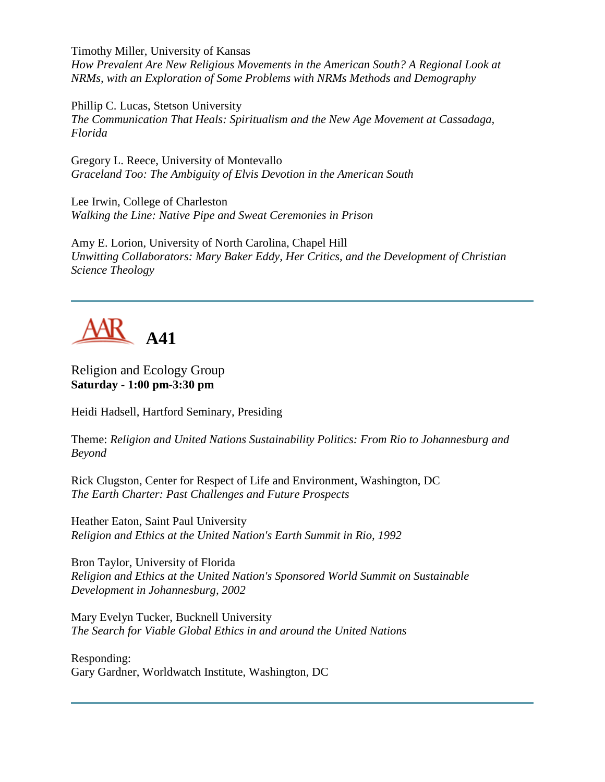Timothy Miller, University of Kansas *How Prevalent Are New Religious Movements in the American South? A Regional Look at NRMs, with an Exploration of Some Problems with NRMs Methods and Demography*

Phillip C. Lucas, Stetson University *The Communication That Heals: Spiritualism and the New Age Movement at Cassadaga, Florida*

Gregory L. Reece, University of Montevallo *Graceland Too: The Ambiguity of Elvis Devotion in the American South*

Lee Irwin, College of Charleston *Walking the Line: Native Pipe and Sweat Ceremonies in Prison*

Amy E. Lorion, University of North Carolina, Chapel Hill *Unwitting Collaborators: Mary Baker Eddy, Her Critics, and the Development of Christian Science Theology*

**A41**

### Religion and Ecology Group **Saturday - 1:00 pm-3:30 pm**

Heidi Hadsell, Hartford Seminary, Presiding

Theme: *Religion and United Nations Sustainability Politics: From Rio to Johannesburg and Beyond*

Rick Clugston, Center for Respect of Life and Environment, Washington, DC *The Earth Charter: Past Challenges and Future Prospects*

Heather Eaton, Saint Paul University *Religion and Ethics at the United Nation's Earth Summit in Rio, 1992*

Bron Taylor, University of Florida *Religion and Ethics at the United Nation's Sponsored World Summit on Sustainable Development in Johannesburg, 2002*

Mary Evelyn Tucker, Bucknell University *The Search for Viable Global Ethics in and around the United Nations*

Responding: Gary Gardner, Worldwatch Institute, Washington, DC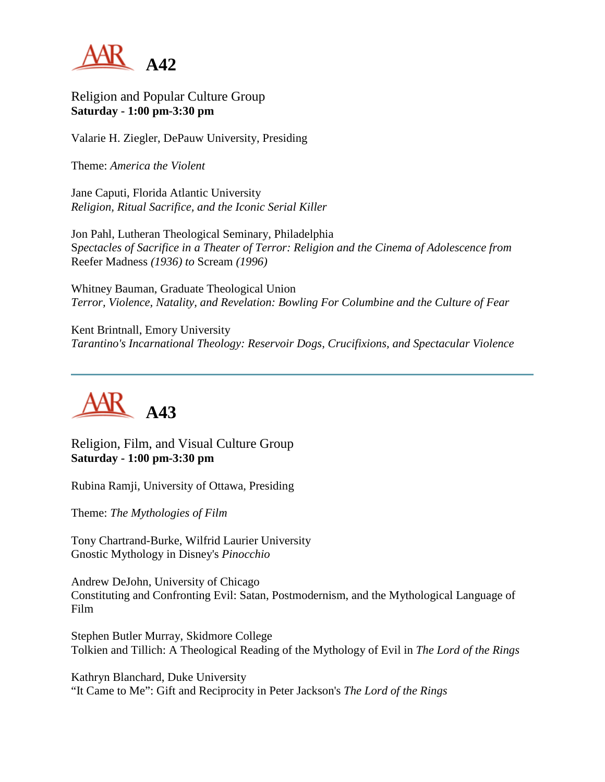

Religion and Popular Culture Group **Saturday - 1:00 pm-3:30 pm**

Valarie H. Ziegler, DePauw University, Presiding

Theme: *America the Violent*

Jane Caputi, Florida Atlantic University *Religion, Ritual Sacrifice, and the Iconic Serial Killer*

Jon Pahl, Lutheran Theological Seminary, Philadelphia S*pectacles of Sacrifice in a Theater of Terror: Religion and the Cinema of Adolescence from*  Reefer Madness *(1936) to* Scream *(1996)*

Whitney Bauman, Graduate Theological Union *Terror, Violence, Natality, and Revelation: Bowling For Columbine and the Culture of Fear*

Kent Brintnall, Emory University *Tarantino's Incarnational Theology: Reservoir Dogs, Crucifixions, and Spectacular Violence*



Religion, Film, and Visual Culture Group **Saturday - 1:00 pm-3:30 pm**

Rubina Ramji, University of Ottawa, Presiding

Theme: *The Mythologies of Film*

Tony Chartrand-Burke, Wilfrid Laurier University Gnostic Mythology in Disney's *Pinocchio*

Andrew DeJohn, University of Chicago Constituting and Confronting Evil: Satan, Postmodernism, and the Mythological Language of Film

Stephen Butler Murray, Skidmore College Tolkien and Tillich: A Theological Reading of the Mythology of Evil in *The Lord of the Rings*

Kathryn Blanchard, Duke University "It Came to Me": Gift and Reciprocity in Peter Jackson's *The Lord of the Rings*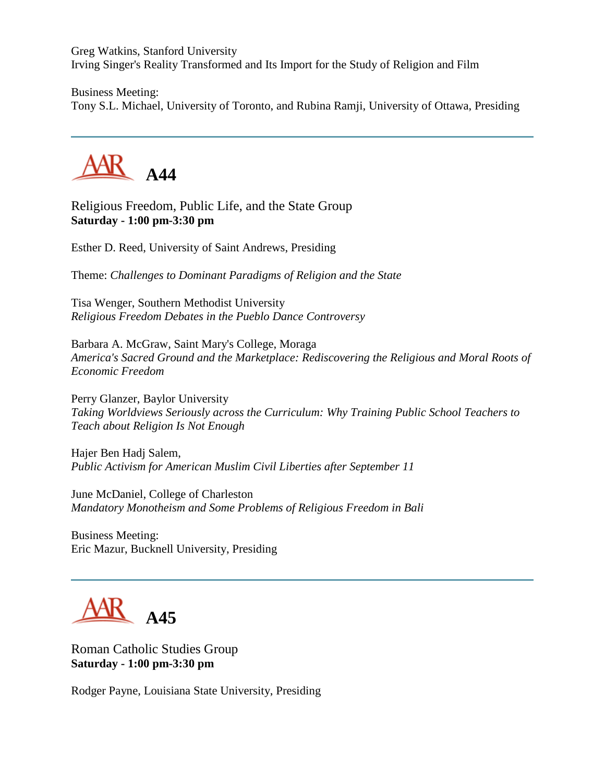Greg Watkins, Stanford University Irving Singer's Reality Transformed and Its Import for the Study of Religion and Film

Business Meeting: Tony S.L. Michael, University of Toronto, and Rubina Ramji, University of Ottawa, Presiding



Religious Freedom, Public Life, and the State Group **Saturday - 1:00 pm-3:30 pm**

Esther D. Reed, University of Saint Andrews, Presiding

Theme: *Challenges to Dominant Paradigms of Religion and the State*

Tisa Wenger, Southern Methodist University *Religious Freedom Debates in the Pueblo Dance Controversy*

Barbara A. McGraw, Saint Mary's College, Moraga *America's Sacred Ground and the Marketplace: Rediscovering the Religious and Moral Roots of Economic Freedom*

Perry Glanzer, Baylor University *Taking Worldviews Seriously across the Curriculum: Why Training Public School Teachers to Teach about Religion Is Not Enough*

Hajer Ben Hadj Salem, *Public Activism for American Muslim Civil Liberties after September 11*

June McDaniel, College of Charleston *Mandatory Monotheism and Some Problems of Religious Freedom in Bali*

Business Meeting: Eric Mazur, Bucknell University, Presiding



Roman Catholic Studies Group **Saturday - 1:00 pm-3:30 pm**

Rodger Payne, Louisiana State University, Presiding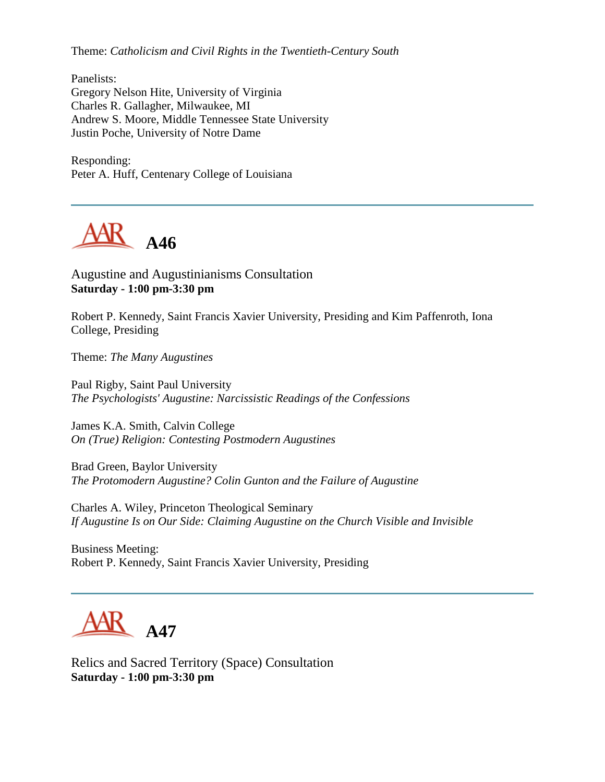Theme: *Catholicism and Civil Rights in the Twentieth-Century South*

Panelists: Gregory Nelson Hite, University of Virginia Charles R. Gallagher, Milwaukee, MI Andrew S. Moore, Middle Tennessee State University Justin Poche, University of Notre Dame

Responding: Peter A. Huff, Centenary College of Louisiana



Augustine and Augustinianisms Consultation **Saturday - 1:00 pm-3:30 pm**

Robert P. Kennedy, Saint Francis Xavier University, Presiding and Kim Paffenroth, Iona College, Presiding

Theme: *The Many Augustines*

Paul Rigby, Saint Paul University *The Psychologists' Augustine: Narcissistic Readings of the Confessions*

James K.A. Smith, Calvin College *On (True) Religion: Contesting Postmodern Augustines*

Brad Green, Baylor University *The Protomodern Augustine? Colin Gunton and the Failure of Augustine*

Charles A. Wiley, Princeton Theological Seminary *If Augustine Is on Our Side: Claiming Augustine on the Church Visible and Invisible*

Business Meeting: Robert P. Kennedy, Saint Francis Xavier University, Presiding

**A47**

Relics and Sacred Territory (Space) Consultation **Saturday - 1:00 pm-3:30 pm**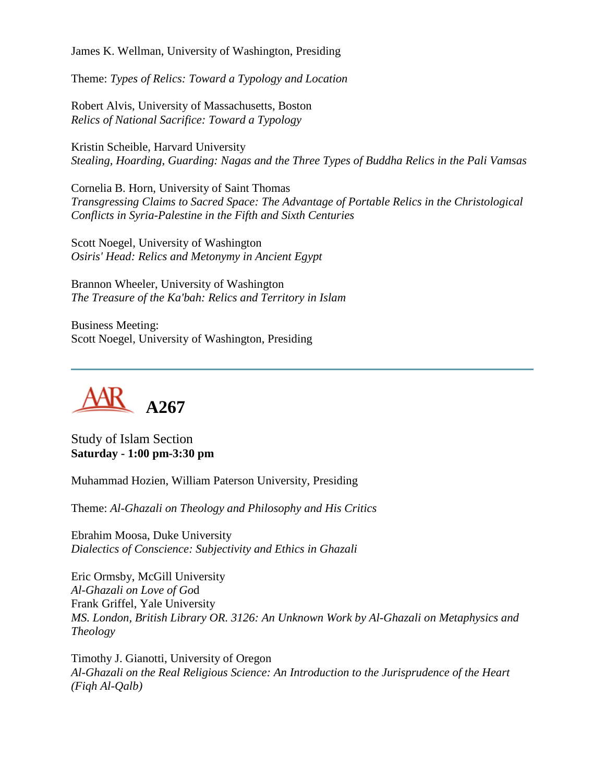James K. Wellman, University of Washington, Presiding

Theme: *Types of Relics: Toward a Typology and Location*

Robert Alvis, University of Massachusetts, Boston *Relics of National Sacrifice: Toward a Typology*

Kristin Scheible, Harvard University *Stealing, Hoarding, Guarding: Nagas and the Three Types of Buddha Relics in the Pali Vamsas*

Cornelia B. Horn, University of Saint Thomas *Transgressing Claims to Sacred Space: The Advantage of Portable Relics in the Christological Conflicts in Syria-Palestine in the Fifth and Sixth Centuries*

Scott Noegel, University of Washington *Osiris' Head: Relics and Metonymy in Ancient Egypt*

Brannon Wheeler, University of Washington *The Treasure of the Ka'bah: Relics and Territory in Islam*

Business Meeting: Scott Noegel, University of Washington, Presiding



Study of Islam Section **Saturday - 1:00 pm-3:30 pm**

Muhammad Hozien, William Paterson University, Presiding

Theme: *Al-Ghazali on Theology and Philosophy and His Critics*

Ebrahim Moosa, Duke University *Dialectics of Conscience: Subjectivity and Ethics in Ghazali*

Eric Ormsby, McGill University *Al-Ghazali on Love of Go*d Frank Griffel, Yale University *MS. London, British Library OR. 3126: An Unknown Work by Al-Ghazali on Metaphysics and Theology*

Timothy J. Gianotti, University of Oregon *Al-Ghazali on the Real Religious Science: An Introduction to the Jurisprudence of the Heart (Fiqh Al-Qalb)*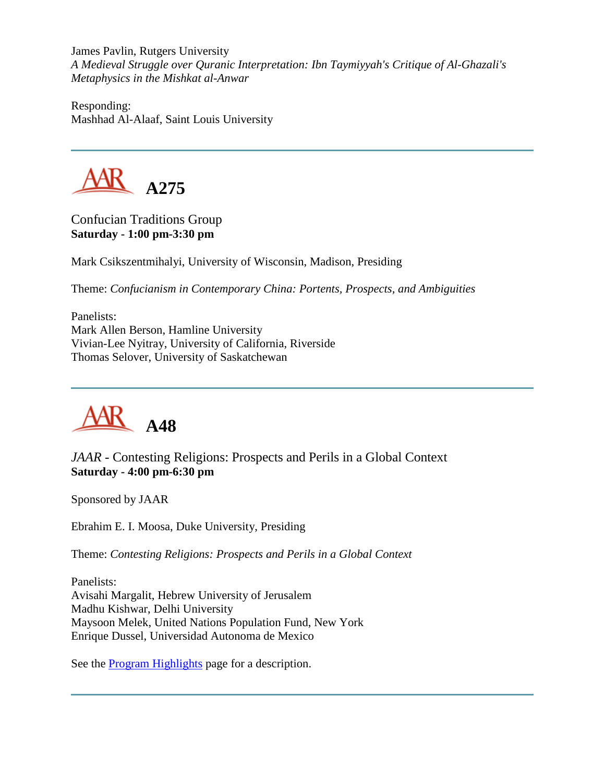James Pavlin, Rutgers University *A Medieval Struggle over Quranic Interpretation: Ibn Taymiyyah's Critique of Al-Ghazali's Metaphysics in the Mishkat al-Anwar*

Responding: Mashhad Al-Alaaf, Saint Louis University



Confucian Traditions Group **Saturday - 1:00 pm-3:30 pm**

Mark Csikszentmihalyi, University of Wisconsin, Madison, Presiding

Theme: *Confucianism in Contemporary China: Portents, Prospects, and Ambiguities*

Panelists: Mark Allen Berson, Hamline University Vivian-Lee Nyitray, University of California, Riverside Thomas Selover, University of Saskatchewan



*JAAR* - Contesting Religions: Prospects and Perils in a Global Context **Saturday - 4:00 pm-6:30 pm**

Sponsored by JAAR

Ebrahim E. I. Moosa, Duke University, Presiding

Theme: *Contesting Religions: Prospects and Perils in a Global Context*

Panelists: Avisahi Margalit, Hebrew University of Jerusalem Madhu Kishwar, Delhi University Maysoon Melek, United Nations Population Fund, New York Enrique Dussel, Universidad Autonoma de Mexico

See the **Program Highlights** page for a description.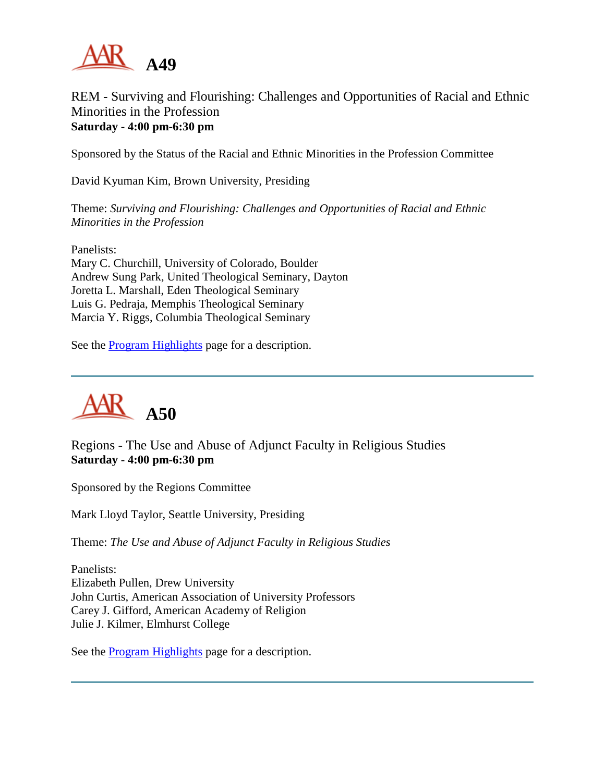

### REM - Surviving and Flourishing: Challenges and Opportunities of Racial and Ethnic Minorities in the Profession **Saturday - 4:00 pm-6:30 pm**

Sponsored by the Status of the Racial and Ethnic Minorities in the Profession Committee

David Kyuman Kim, Brown University, Presiding

Theme: *Surviving and Flourishing: Challenges and Opportunities of Racial and Ethnic Minorities in the Profession*

Panelists: Mary C. Churchill, University of Colorado, Boulder Andrew Sung Park, United Theological Seminary, Dayton Joretta L. Marshall, Eden Theological Seminary Luis G. Pedraja, Memphis Theological Seminary Marcia Y. Riggs, Columbia Theological Seminary

See the [Program Highlights](http://www.aarweb.org/Meetings/Annual_Meeting/Past_and_Future_Meetings/2003/highlights.asp) page for a description.



Regions - The Use and Abuse of Adjunct Faculty in Religious Studies **Saturday - 4:00 pm-6:30 pm**

Sponsored by the Regions Committee

Mark Lloyd Taylor, Seattle University, Presiding

Theme: *The Use and Abuse of Adjunct Faculty in Religious Studies*

Panelists: Elizabeth Pullen, Drew University John Curtis, American Association of University Professors Carey J. Gifford, American Academy of Religion Julie J. Kilmer, Elmhurst College

See the [Program Highlights](http://www.aarweb.org/Meetings/Annual_Meeting/Past_and_Future_Meetings/2003/highlights.asp) page for a description.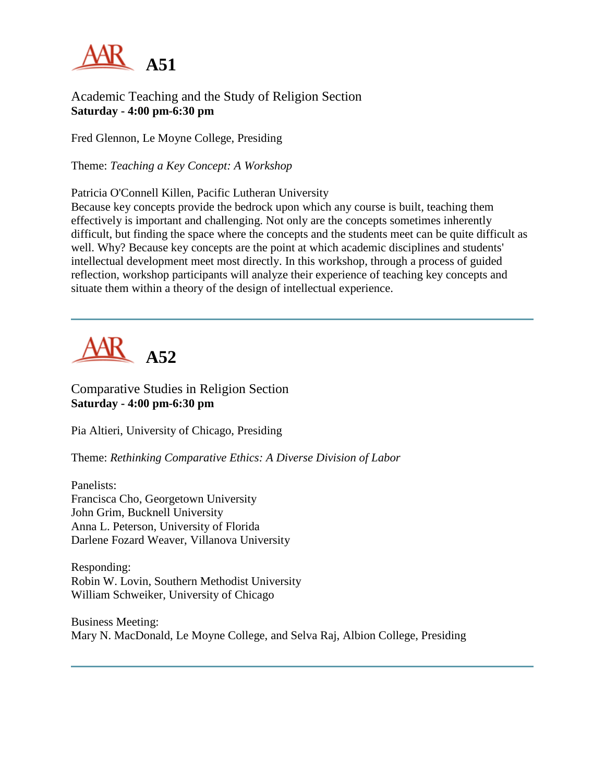

### Academic Teaching and the Study of Religion Section **Saturday - 4:00 pm-6:30 pm**

Fred Glennon, Le Moyne College, Presiding

Theme: *Teaching a Key Concept: A Workshop*

Patricia O'Connell Killen, Pacific Lutheran University

Because key concepts provide the bedrock upon which any course is built, teaching them effectively is important and challenging. Not only are the concepts sometimes inherently difficult, but finding the space where the concepts and the students meet can be quite difficult as well. Why? Because key concepts are the point at which academic disciplines and students' intellectual development meet most directly. In this workshop, through a process of guided reflection, workshop participants will analyze their experience of teaching key concepts and situate them within a theory of the design of intellectual experience.

# **A52**

Comparative Studies in Religion Section **Saturday - 4:00 pm-6:30 pm**

Pia Altieri, University of Chicago, Presiding

Theme: *Rethinking Comparative Ethics: A Diverse Division of Labor*

Panelists: Francisca Cho, Georgetown University John Grim, Bucknell University Anna L. Peterson, University of Florida Darlene Fozard Weaver, Villanova University

Responding: Robin W. Lovin, Southern Methodist University William Schweiker, University of Chicago

Business Meeting: Mary N. MacDonald, Le Moyne College, and Selva Raj, Albion College, Presiding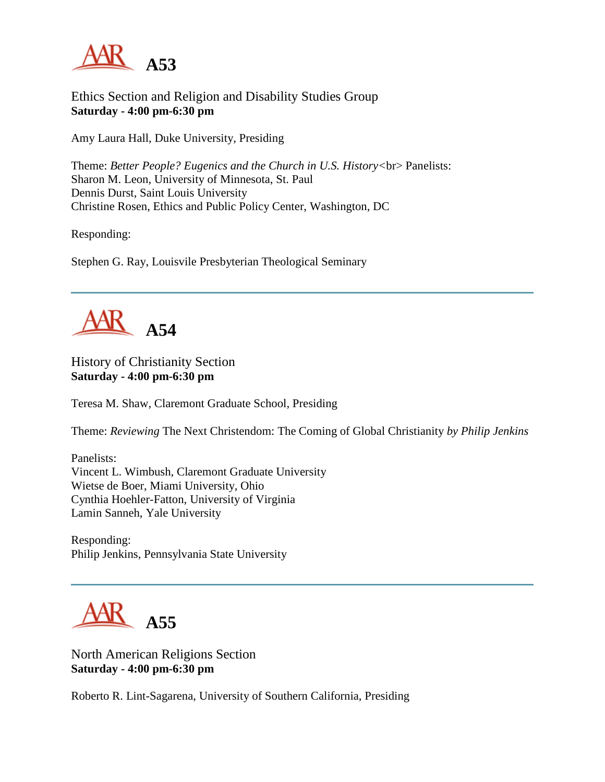

Ethics Section and Religion and Disability Studies Group **Saturday - 4:00 pm-6:30 pm**

Amy Laura Hall, Duke University, Presiding

Theme: *Better People? Eugenics and the Church in U.S. History<*br> Panelists: Sharon M. Leon, University of Minnesota, St. Paul Dennis Durst, Saint Louis University Christine Rosen, Ethics and Public Policy Center, Washington, DC

Responding:

Stephen G. Ray, Louisvile Presbyterian Theological Seminary



History of Christianity Section **Saturday - 4:00 pm-6:30 pm**

Teresa M. Shaw, Claremont Graduate School, Presiding

Theme: *Reviewing* The Next Christendom: The Coming of Global Christianity *by Philip Jenkins*

Panelists: Vincent L. Wimbush, Claremont Graduate University Wietse de Boer, Miami University, Ohio Cynthia Hoehler-Fatton, University of Virginia Lamin Sanneh, Yale University

Responding: Philip Jenkins, Pennsylvania State University

**A55**

North American Religions Section **Saturday - 4:00 pm-6:30 pm**

Roberto R. Lint-Sagarena, University of Southern California, Presiding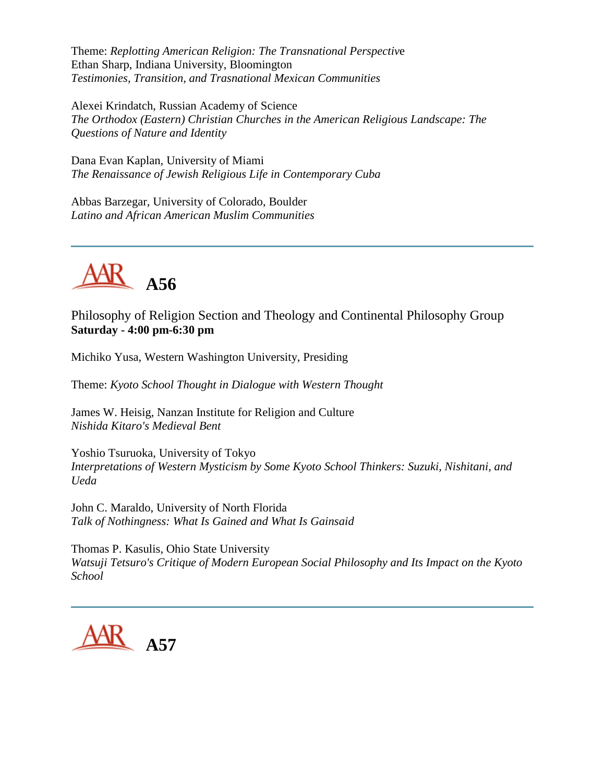Theme: *Replotting American Religion: The Transnational Perspectiv*e Ethan Sharp, Indiana University, Bloomington *Testimonies, Transition, and Trasnational Mexican Communities*

Alexei Krindatch, Russian Academy of Science *The Orthodox (Eastern) Christian Churches in the American Religious Landscape: The Questions of Nature and Identity*

Dana Evan Kaplan, University of Miami *The Renaissance of Jewish Religious Life in Contemporary Cuba*

Abbas Barzegar, University of Colorado, Boulder *Latino and African American Muslim Communities*



Philosophy of Religion Section and Theology and Continental Philosophy Group **Saturday - 4:00 pm-6:30 pm**

Michiko Yusa, Western Washington University, Presiding

Theme: *Kyoto School Thought in Dialogue with Western Thought*

James W. Heisig, Nanzan Institute for Religion and Culture *Nishida Kitaro's Medieval Bent*

Yoshio Tsuruoka, University of Tokyo *Interpretations of Western Mysticism by Some Kyoto School Thinkers: Suzuki, Nishitani, and Ueda*

John C. Maraldo, University of North Florida *Talk of Nothingness: What Is Gained and What Is Gainsaid*

Thomas P. Kasulis, Ohio State University *Watsuji Tetsuro's Critique of Modern European Social Philosophy and Its Impact on the Kyoto School*

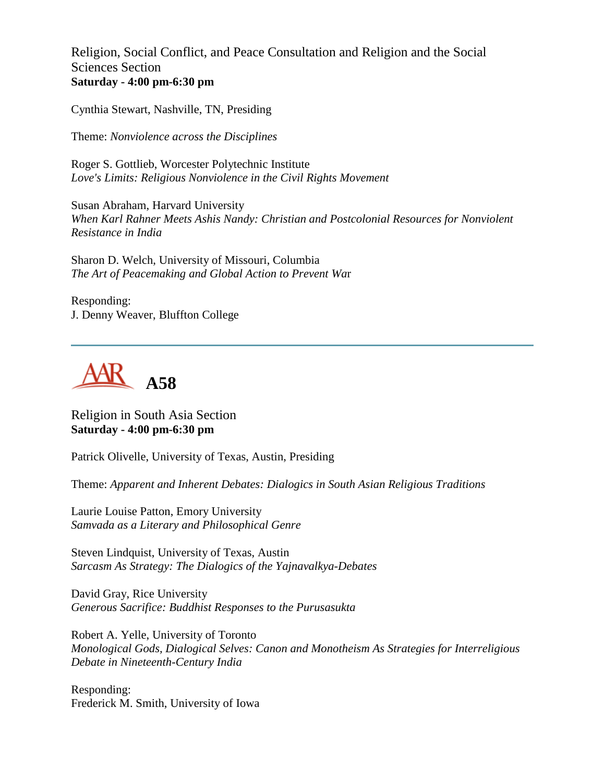Religion, Social Conflict, and Peace Consultation and Religion and the Social Sciences Section **Saturday - 4:00 pm-6:30 pm**

Cynthia Stewart, Nashville, TN, Presiding

Theme: *Nonviolence across the Disciplines*

Roger S. Gottlieb, Worcester Polytechnic Institute *Love's Limits: Religious Nonviolence in the Civil Rights Movement*

Susan Abraham, Harvard University *When Karl Rahner Meets Ashis Nandy: Christian and Postcolonial Resources for Nonviolent Resistance in India*

Sharon D. Welch, University of Missouri, Columbia *The Art of Peacemaking and Global Action to Prevent Wa*r

Responding: J. Denny Weaver, Bluffton College



Religion in South Asia Section **Saturday - 4:00 pm-6:30 pm**

Patrick Olivelle, University of Texas, Austin, Presiding

Theme: *Apparent and Inherent Debates: Dialogics in South Asian Religious Traditions*

Laurie Louise Patton, Emory University *Samvada as a Literary and Philosophical Genre*

Steven Lindquist, University of Texas, Austin *Sarcasm As Strategy: The Dialogics of the Yajnavalkya-Debates*

David Gray, Rice University *Generous Sacrifice: Buddhist Responses to the Purusasukta*

Robert A. Yelle, University of Toronto *Monological Gods, Dialogical Selves: Canon and Monotheism As Strategies for Interreligious Debate in Nineteenth-Century India*

Responding: Frederick M. Smith, University of Iowa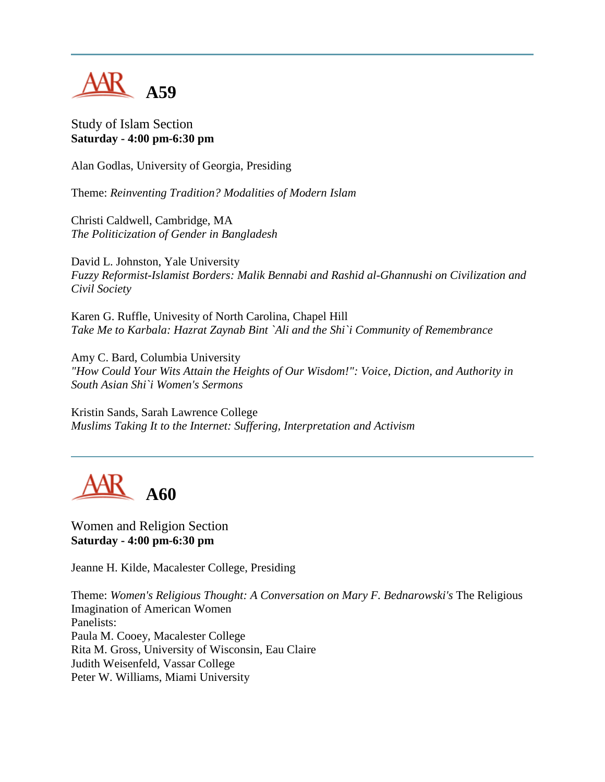

Study of Islam Section **Saturday - 4:00 pm-6:30 pm**

Alan Godlas, University of Georgia, Presiding

Theme: *Reinventing Tradition? Modalities of Modern Islam*

Christi Caldwell, Cambridge, MA *The Politicization of Gender in Bangladesh*

David L. Johnston, Yale University *Fuzzy Reformist-Islamist Borders: Malik Bennabi and Rashid al-Ghannushi on Civilization and Civil Society*

Karen G. Ruffle, Univesity of North Carolina, Chapel Hill *Take Me to Karbala: Hazrat Zaynab Bint `Ali and the Shi`i Community of Remembrance*

Amy C. Bard, Columbia University *"How Could Your Wits Attain the Heights of Our Wisdom!": Voice, Diction, and Authority in South Asian Shi`i Women's Sermons*

Kristin Sands, Sarah Lawrence College *Muslims Taking It to the Internet: Suffering, Interpretation and Activism*



Women and Religion Section **Saturday - 4:00 pm-6:30 pm**

Jeanne H. Kilde, Macalester College, Presiding

Theme: *Women's Religious Thought: A Conversation on Mary F. Bednarowski's* The Religious Imagination of American Women Panelists: Paula M. Cooey, Macalester College Rita M. Gross, University of Wisconsin, Eau Claire Judith Weisenfeld, Vassar College Peter W. Williams, Miami University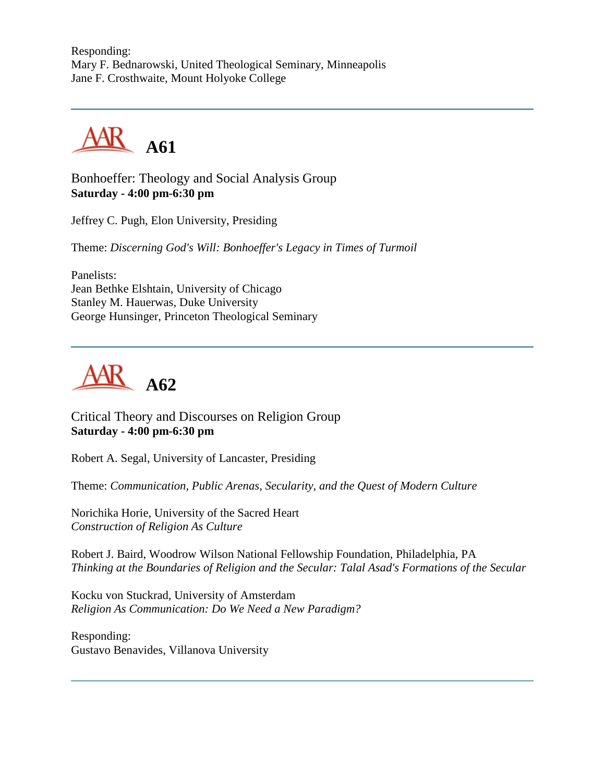Responding: Mary F. Bednarowski, United Theological Seminary, Minneapolis Jane F. Crosthwaite, Mount Holyoke College



Bonhoeffer: Theology and Social Analysis Group **Saturday - 4:00 pm-6:30 pm**

Jeffrey C. Pugh, Elon University, Presiding

Theme: *Discerning God's Will: Bonhoeffer's Legacy in Times of Turmoil*

Panelists: Jean Bethke Elshtain, University of Chicago Stanley M. Hauerwas, Duke University George Hunsinger, Princeton Theological Seminary



Critical Theory and Discourses on Religion Group **Saturday - 4:00 pm-6:30 pm**

Robert A. Segal, University of Lancaster, Presiding

Theme: *Communication, Public Arenas, Secularity, and the Quest of Modern Culture*

Norichika Horie, University of the Sacred Heart *Construction of Religion As Culture*

Robert J. Baird, Woodrow Wilson National Fellowship Foundation, Philadelphia, PA *Thinking at the Boundaries of Religion and the Secular: Talal Asad's Formations of the Secular*

Kocku von Stuckrad, University of Amsterdam *Religion As Communication: Do We Need a New Paradigm?*

Responding: Gustavo Benavides, Villanova University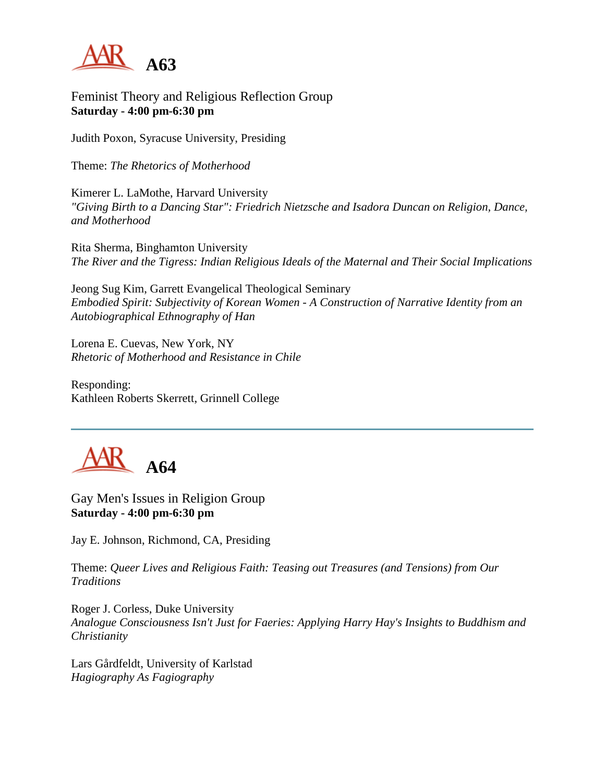

### Feminist Theory and Religious Reflection Group **Saturday - 4:00 pm-6:30 pm**

Judith Poxon, Syracuse University, Presiding

Theme: *The Rhetorics of Motherhood*

Kimerer L. LaMothe, Harvard University *"Giving Birth to a Dancing Star": Friedrich Nietzsche and Isadora Duncan on Religion, Dance, and Motherhood*

Rita Sherma, Binghamton University *The River and the Tigress: Indian Religious Ideals of the Maternal and Their Social Implications*

Jeong Sug Kim, Garrett Evangelical Theological Seminary *Embodied Spirit: Subjectivity of Korean Women - A Construction of Narrative Identity from an Autobiographical Ethnography of Han*

Lorena E. Cuevas, New York, NY *Rhetoric of Motherhood and Resistance in Chile*

Responding: Kathleen Roberts Skerrett, Grinnell College



Gay Men's Issues in Religion Group **Saturday - 4:00 pm-6:30 pm**

Jay E. Johnson, Richmond, CA, Presiding

Theme: *Queer Lives and Religious Faith: Teasing out Treasures (and Tensions) from Our Traditions*

Roger J. Corless, Duke University *Analogue Consciousness Isn't Just for Faeries: Applying Harry Hay's Insights to Buddhism and Christianity*

Lars Gårdfeldt, University of Karlstad *Hagiography As Fagiography*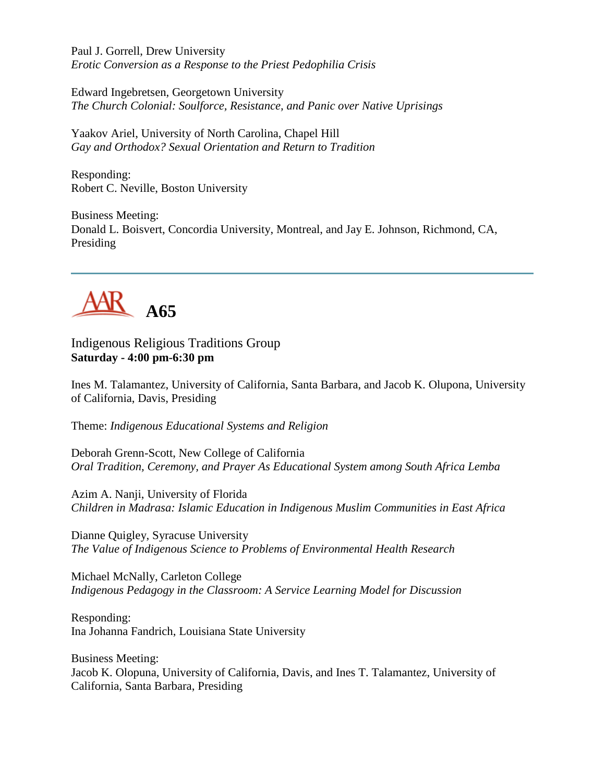Paul J. Gorrell, Drew University *Erotic Conversion as a Response to the Priest Pedophilia Crisis*

Edward Ingebretsen, Georgetown University *The Church Colonial: Soulforce, Resistance, and Panic over Native Uprisings*

Yaakov Ariel, University of North Carolina, Chapel Hill *Gay and Orthodox? Sexual Orientation and Return to Tradition*

Responding: Robert C. Neville, Boston University

Business Meeting: Donald L. Boisvert, Concordia University, Montreal, and Jay E. Johnson, Richmond, CA, Presiding



Indigenous Religious Traditions Group **Saturday - 4:00 pm-6:30 pm**

Ines M. Talamantez, University of California, Santa Barbara, and Jacob K. Olupona, University of California, Davis, Presiding

Theme: *Indigenous Educational Systems and Religion*

Deborah Grenn-Scott, New College of California *Oral Tradition, Ceremony, and Prayer As Educational System among South Africa Lemba*

Azim A. Nanji, University of Florida *Children in Madrasa: Islamic Education in Indigenous Muslim Communities in East Africa*

Dianne Quigley, Syracuse University *The Value of Indigenous Science to Problems of Environmental Health Research*

Michael McNally, Carleton College *Indigenous Pedagogy in the Classroom: A Service Learning Model for Discussion*

Responding: Ina Johanna Fandrich, Louisiana State University

Business Meeting: Jacob K. Olopuna, University of California, Davis, and Ines T. Talamantez, University of California, Santa Barbara, Presiding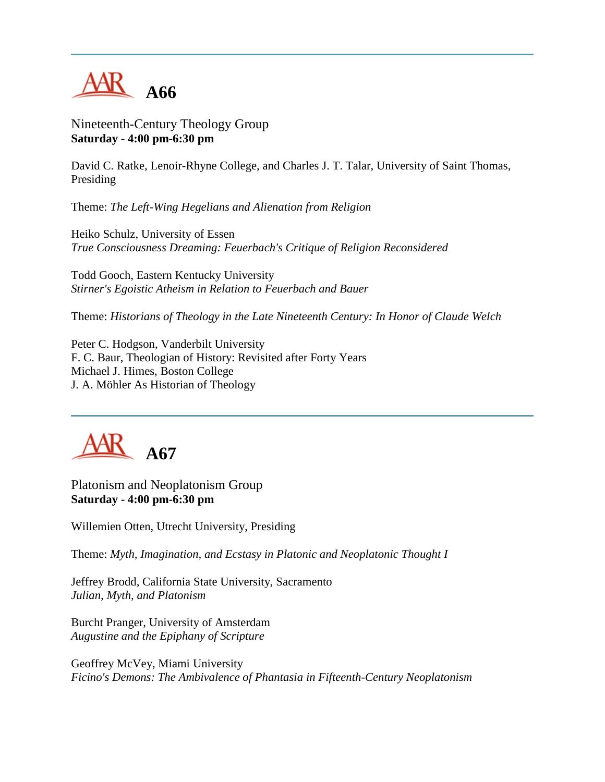

Nineteenth-Century Theology Group **Saturday - 4:00 pm-6:30 pm**

David C. Ratke, Lenoir-Rhyne College, and Charles J. T. Talar, University of Saint Thomas, Presiding

Theme: *The Left-Wing Hegelians and Alienation from Religion*

Heiko Schulz, University of Essen *True Consciousness Dreaming: Feuerbach's Critique of Religion Reconsidered*

Todd Gooch, Eastern Kentucky University *Stirner's Egoistic Atheism in Relation to Feuerbach and Bauer*

Theme: *Historians of Theology in the Late Nineteenth Century: In Honor of Claude Welch*

Peter C. Hodgson, Vanderbilt University F. C. Baur, Theologian of History: Revisited after Forty Years Michael J. Himes, Boston College J. A. Möhler As Historian of Theology



Platonism and Neoplatonism Group **Saturday - 4:00 pm-6:30 pm**

Willemien Otten, Utrecht University, Presiding

Theme: *Myth, Imagination, and Ecstasy in Platonic and Neoplatonic Thought I*

Jeffrey Brodd, California State University, Sacramento *Julian, Myth, and Platonism*

Burcht Pranger, University of Amsterdam *Augustine and the Epiphany of Scripture*

Geoffrey McVey, Miami University *Ficino's Demons: The Ambivalence of Phantasia in Fifteenth-Century Neoplatonism*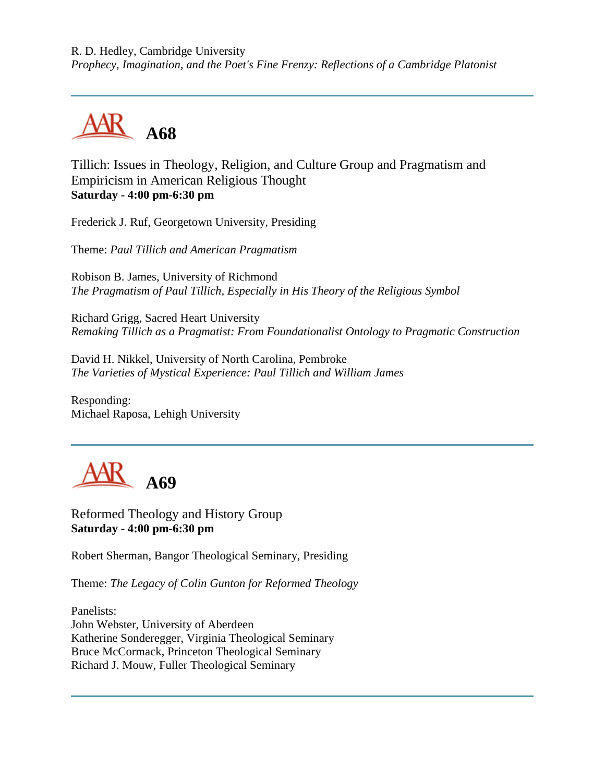R. D. Hedley, Cambridge University *Prophecy, Imagination, and the Poet's Fine Frenzy: Reflections of a Cambridge Platonist*



Tillich: Issues in Theology, Religion, and Culture Group and Pragmatism and Empiricism in American Religious Thought **Saturday - 4:00 pm-6:30 pm**

Frederick J. Ruf, Georgetown University, Presiding

Theme: *Paul Tillich and American Pragmatism*

Robison B. James, University of Richmond *The Pragmatism of Paul Tillich, Especially in His Theory of the Religious Symbol*

Richard Grigg, Sacred Heart University *Remaking Tillich as a Pragmatist: From Foundationalist Ontology to Pragmatic Construction*

David H. Nikkel, University of North Carolina, Pembroke *The Varieties of Mystical Experience: Paul Tillich and William James*

Responding: Michael Raposa, Lehigh University



Reformed Theology and History Group **Saturday - 4:00 pm-6:30 pm**

Robert Sherman, Bangor Theological Seminary, Presiding

Theme: *The Legacy of Colin Gunton for Reformed Theology*

Panelists: John Webster, University of Aberdeen Katherine Sonderegger, Virginia Theological Seminary Bruce McCormack, Princeton Theological Seminary Richard J. Mouw, Fuller Theological Seminary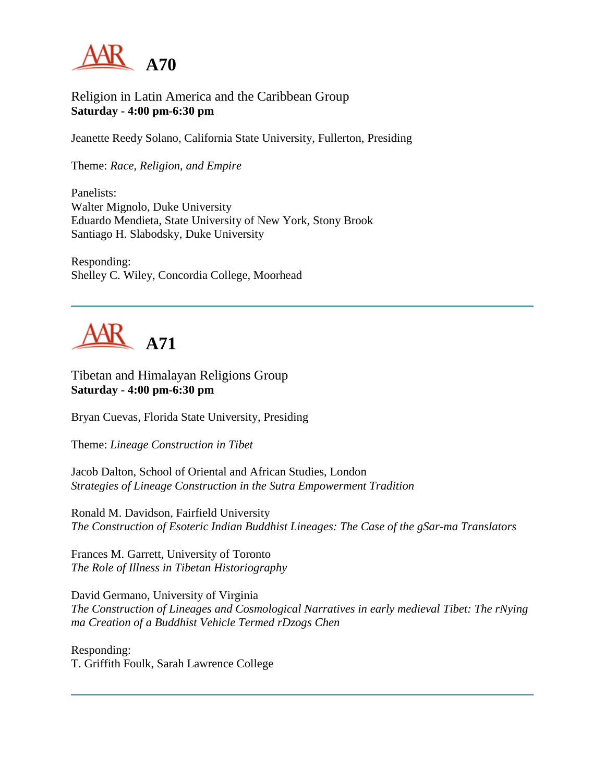

### Religion in Latin America and the Caribbean Group **Saturday - 4:00 pm-6:30 pm**

Jeanette Reedy Solano, California State University, Fullerton, Presiding

Theme: *Race, Religion, and Empire*

Panelists: Walter Mignolo, Duke University Eduardo Mendieta, State University of New York, Stony Brook Santiago H. Slabodsky, Duke University

Responding: Shelley C. Wiley, Concordia College, Moorhead



Tibetan and Himalayan Religions Group **Saturday - 4:00 pm-6:30 pm**

Bryan Cuevas, Florida State University, Presiding

Theme: *Lineage Construction in Tibet*

Jacob Dalton, School of Oriental and African Studies, London *Strategies of Lineage Construction in the Sutra Empowerment Tradition*

Ronald M. Davidson, Fairfield University *The Construction of Esoteric Indian Buddhist Lineages: The Case of the gSar-ma Translators*

Frances M. Garrett, University of Toronto *The Role of Illness in Tibetan Historiography*

David Germano, University of Virginia *The Construction of Lineages and Cosmological Narratives in early medieval Tibet: The rNying ma Creation of a Buddhist Vehicle Termed rDzogs Chen*

Responding: T. Griffith Foulk, Sarah Lawrence College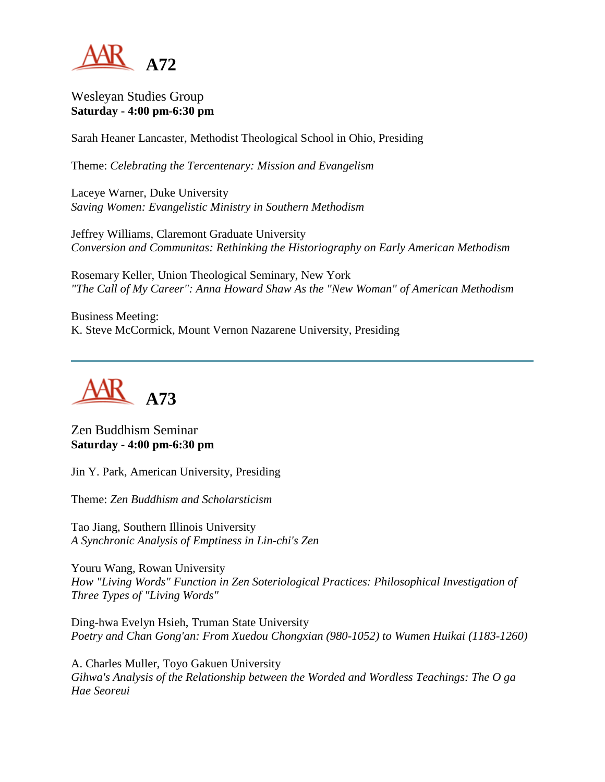

### Wesleyan Studies Group **Saturday - 4:00 pm-6:30 pm**

Sarah Heaner Lancaster, Methodist Theological School in Ohio, Presiding

Theme: *Celebrating the Tercentenary: Mission and Evangelism*

Laceye Warner, Duke University *Saving Women: Evangelistic Ministry in Southern Methodism*

Jeffrey Williams, Claremont Graduate University *Conversion and Communitas: Rethinking the Historiography on Early American Methodism*

Rosemary Keller, Union Theological Seminary, New York *"The Call of My Career": Anna Howard Shaw As the "New Woman" of American Methodism*

Business Meeting: K. Steve McCormick, Mount Vernon Nazarene University, Presiding



### Zen Buddhism Seminar **Saturday - 4:00 pm-6:30 pm**

Jin Y. Park, American University, Presiding

Theme: *Zen Buddhism and Scholarsticism*

Tao Jiang, Southern Illinois University *A Synchronic Analysis of Emptiness in Lin-chi's Zen*

Youru Wang, Rowan University *How "Living Words" Function in Zen Soteriological Practices: Philosophical Investigation of Three Types of "Living Words"*

Ding-hwa Evelyn Hsieh, Truman State University *Poetry and Chan Gong'an: From Xuedou Chongxian (980-1052) to Wumen Huikai (1183-1260)*

A. Charles Muller, Toyo Gakuen University *Gihwa's Analysis of the Relationship between the Worded and Wordless Teachings: The O ga Hae Seoreui*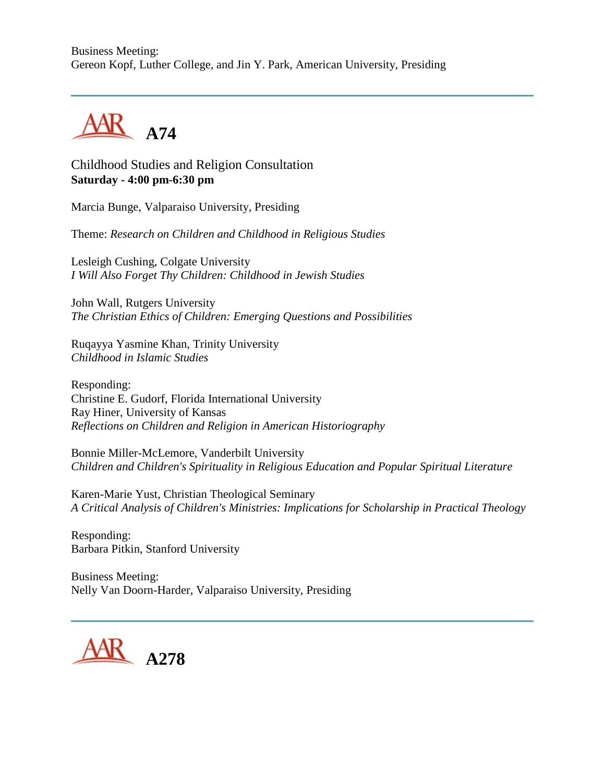Business Meeting: Gereon Kopf, Luther College, and Jin Y. Park, American University, Presiding



Childhood Studies and Religion Consultation **Saturday - 4:00 pm-6:30 pm**

Marcia Bunge, Valparaiso University, Presiding

Theme: *Research on Children and Childhood in Religious Studies*

Lesleigh Cushing, Colgate University *I Will Also Forget Thy Children: Childhood in Jewish Studies*

John Wall, Rutgers University *The Christian Ethics of Children: Emerging Questions and Possibilities*

Ruqayya Yasmine Khan, Trinity University *Childhood in Islamic Studies*

Responding: Christine E. Gudorf, Florida International University Ray Hiner, University of Kansas *Reflections on Children and Religion in American Historiography*

Bonnie Miller-McLemore, Vanderbilt University *Children and Children's Spirituality in Religious Education and Popular Spiritual Literature*

Karen-Marie Yust, Christian Theological Seminary *A Critical Analysis of Children's Ministries: Implications for Scholarship in Practical Theology*

Responding: Barbara Pitkin, Stanford University

Business Meeting: Nelly Van Doorn-Harder, Valparaiso University, Presiding

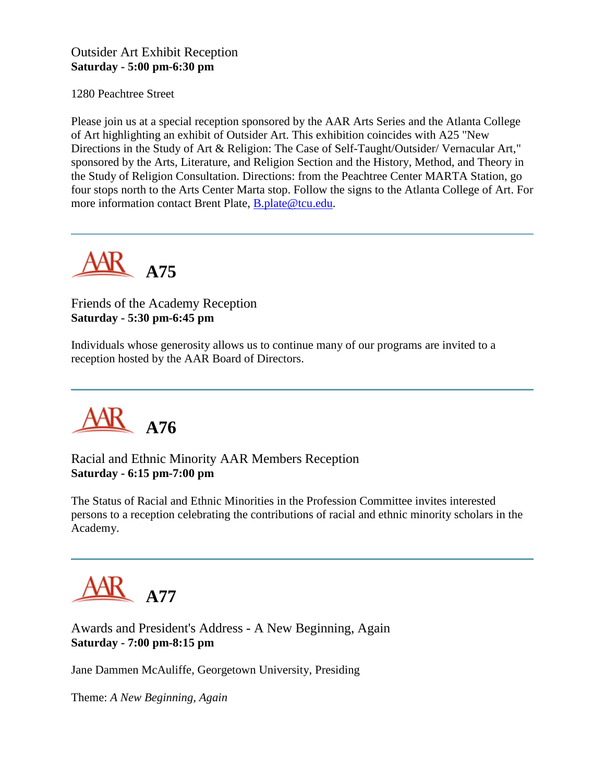#### Outsider Art Exhibit Reception **Saturday - 5:00 pm-6:30 pm**

1280 Peachtree Street

Please join us at a special reception sponsored by the AAR Arts Series and the Atlanta College of Art highlighting an exhibit of Outsider Art. This exhibition coincides with A25 "New Directions in the Study of Art & Religion: The Case of Self-Taught/Outsider/ Vernacular Art," sponsored by the Arts, Literature, and Religion Section and the History, Method, and Theory in the Study of Religion Consultation. Directions: from the Peachtree Center MARTA Station, go four stops north to the Arts Center Marta stop. Follow the signs to the Atlanta College of Art. For more information contact Brent Plate, [B.plate@tcu.edu.](mailto:b.plate@tcu.edu)



### Friends of the Academy Reception **Saturday - 5:30 pm-6:45 pm**

Individuals whose generosity allows us to continue many of our programs are invited to a reception hosted by the AAR Board of Directors.



Racial and Ethnic Minority AAR Members Reception **Saturday - 6:15 pm-7:00 pm**

The Status of Racial and Ethnic Minorities in the Profession Committee invites interested persons to a reception celebrating the contributions of racial and ethnic minority scholars in the Academy.



Awards and President's Address - A New Beginning, Again **Saturday - 7:00 pm-8:15 pm**

Jane Dammen McAuliffe, Georgetown University, Presiding

Theme: *A New Beginning, Again*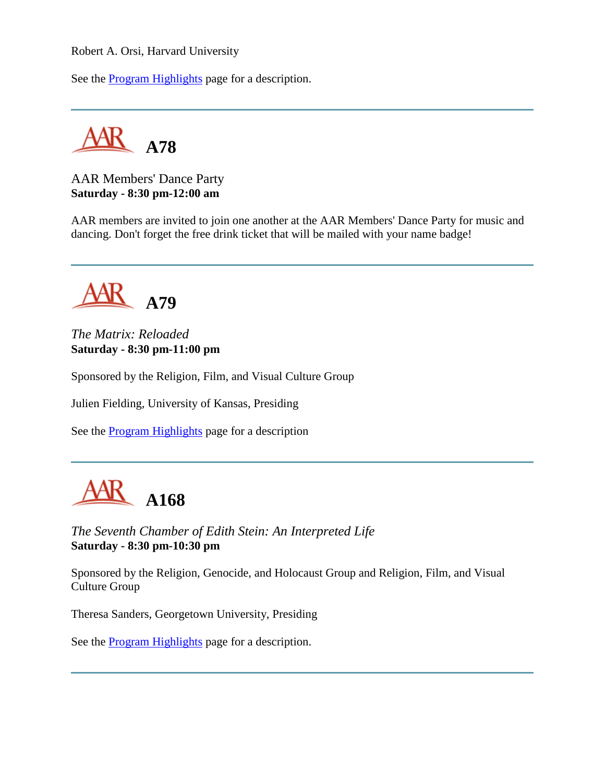Robert A. Orsi, Harvard University

See the **Program Highlights** page for a description.

**A78**

AAR Members' Dance Party **Saturday - 8:30 pm-12:00 am**

AAR members are invited to join one another at the AAR Members' Dance Party for music and dancing. Don't forget the free drink ticket that will be mailed with your name badge!



*The Matrix: Reloaded* **Saturday - 8:30 pm-11:00 pm**

Sponsored by the Religion, Film, and Visual Culture Group

Julien Fielding, University of Kansas, Presiding

See the [Program Highlights](http://www.aarweb.org/Meetings/Annual_Meeting/Past_and_Future_Meetings/2003/highlights.asp) page for a description



*The Seventh Chamber of Edith Stein: An Interpreted Life* **Saturday - 8:30 pm-10:30 pm**

Sponsored by the Religion, Genocide, and Holocaust Group and Religion, Film, and Visual Culture Group

Theresa Sanders, Georgetown University, Presiding

See the [Program Highlights](http://www.aarweb.org/Meetings/Annual_Meeting/Past_and_Future_Meetings/2003/highlights.asp) page for a description.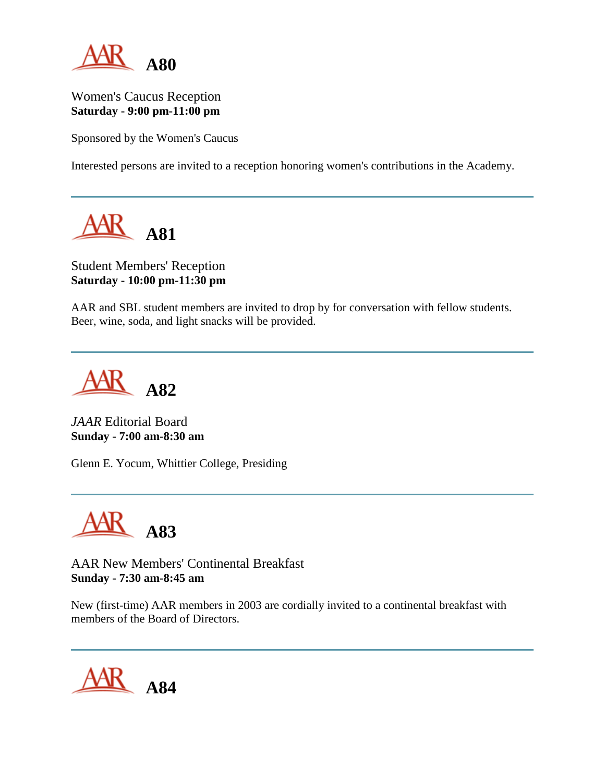

Women's Caucus Reception **Saturday - 9:00 pm-11:00 pm**

Sponsored by the Women's Caucus

Interested persons are invited to a reception honoring women's contributions in the Academy.



### Student Members' Reception **Saturday - 10:00 pm-11:30 pm**

AAR and SBL student members are invited to drop by for conversation with fellow students. Beer, wine, soda, and light snacks will be provided.

**A82**

*JAAR* Editorial Board **Sunday - 7:00 am-8:30 am**

Glenn E. Yocum, Whittier College, Presiding



AAR New Members' Continental Breakfast **Sunday - 7:30 am-8:45 am**

New (first-time) AAR members in 2003 are cordially invited to a continental breakfast with members of the Board of Directors.

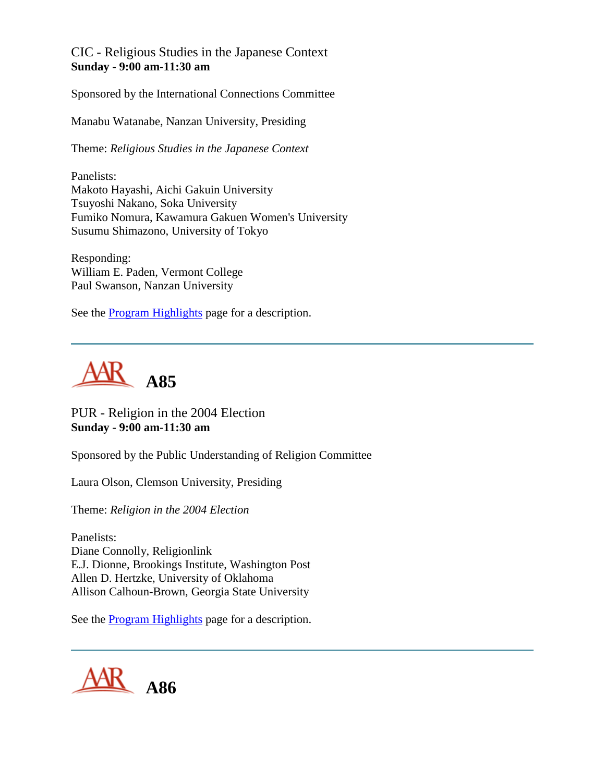CIC - Religious Studies in the Japanese Context **Sunday - 9:00 am-11:30 am**

Sponsored by the International Connections Committee

Manabu Watanabe, Nanzan University, Presiding

Theme: *Religious Studies in the Japanese Context*

Panelists: Makoto Hayashi, Aichi Gakuin University Tsuyoshi Nakano, Soka University Fumiko Nomura, Kawamura Gakuen Women's University Susumu Shimazono, University of Tokyo

Responding: William E. Paden, Vermont College Paul Swanson, Nanzan University

See the [Program Highlights](http://www.aarweb.org/Meetings/Annual_Meeting/Past_and_Future_Meetings/2003/highlights.asp) page for a description.



PUR - Religion in the 2004 Election **Sunday - 9:00 am-11:30 am**

Sponsored by the Public Understanding of Religion Committee

Laura Olson, Clemson University, Presiding

Theme: *Religion in the 2004 Election*

Panelists: Diane Connolly, Religionlink E.J. Dionne, Brookings Institute, Washington Post Allen D. Hertzke, University of Oklahoma Allison Calhoun-Brown, Georgia State University

See the [Program Highlights](http://www.aarweb.org/Meetings/Annual_Meeting/Past_and_Future_Meetings/2003/highlights.asp) page for a description.

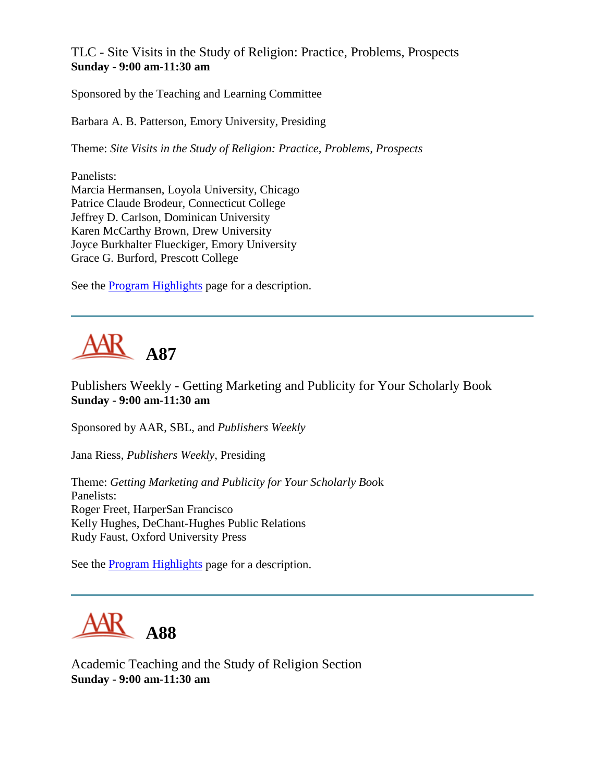TLC - Site Visits in the Study of Religion: Practice, Problems, Prospects **Sunday - 9:00 am-11:30 am**

Sponsored by the Teaching and Learning Committee

Barbara A. B. Patterson, Emory University, Presiding

Theme: *Site Visits in the Study of Religion: Practice, Problems, Prospects*

Panelists: Marcia Hermansen, Loyola University, Chicago Patrice Claude Brodeur, Connecticut College Jeffrey D. Carlson, Dominican University Karen McCarthy Brown, Drew University Joyce Burkhalter Flueckiger, Emory University Grace G. Burford, Prescott College

See the [Program Highlights](http://www.aarweb.org/Meetings/Annual_Meeting/Past_and_Future_Meetings/2003/highlights.asp) page for a description.



Publishers Weekly - Getting Marketing and Publicity for Your Scholarly Book **Sunday - 9:00 am-11:30 am**

Sponsored by AAR, SBL, and *Publishers Weekly*

Jana Riess, *Publishers Weekly*, Presiding

Theme: *Getting Marketing and Publicity for Your Scholarly Boo*k Panelists: Roger Freet, HarperSan Francisco Kelly Hughes, DeChant-Hughes Public Relations Rudy Faust, Oxford University Press

See the [Program Highlights](http://www.aarweb.org/Meetings/Annual_Meeting/Past_and_Future_Meetings/2003/highlights.asp) page for a description.



Academic Teaching and the Study of Religion Section **Sunday - 9:00 am-11:30 am**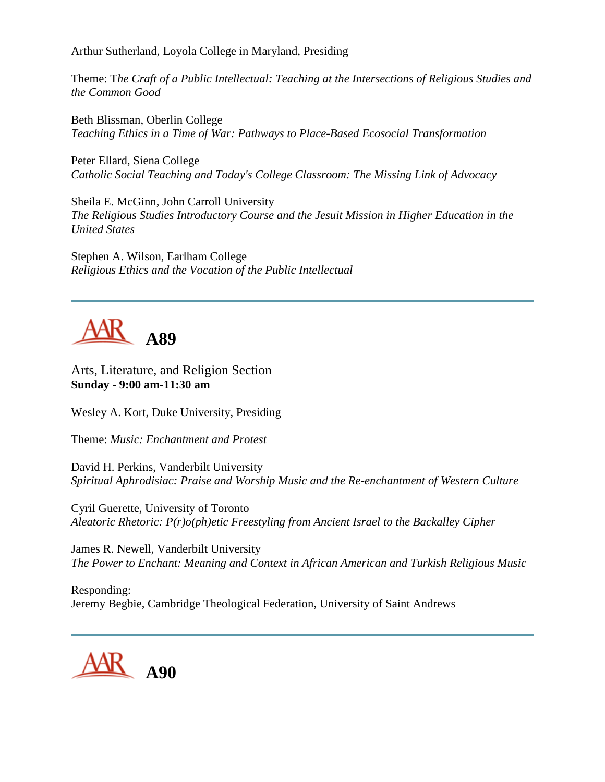Arthur Sutherland, Loyola College in Maryland, Presiding

Theme: T*he Craft of a Public Intellectual: Teaching at the Intersections of Religious Studies and the Common Good*

Beth Blissman, Oberlin College *Teaching Ethics in a Time of War: Pathways to Place-Based Ecosocial Transformation*

Peter Ellard, Siena College *Catholic Social Teaching and Today's College Classroom: The Missing Link of Advocacy*

Sheila E. McGinn, John Carroll University *The Religious Studies Introductory Course and the Jesuit Mission in Higher Education in the United States*

Stephen A. Wilson, Earlham College *Religious Ethics and the Vocation of the Public Intellectual*

### **A89**

Arts, Literature, and Religion Section **Sunday - 9:00 am-11:30 am**

Wesley A. Kort, Duke University, Presiding

Theme: *Music: Enchantment and Protest*

David H. Perkins, Vanderbilt University *Spiritual Aphrodisiac: Praise and Worship Music and the Re-enchantment of Western Culture*

Cyril Guerette, University of Toronto *Aleatoric Rhetoric: P(r)o(ph)etic Freestyling from Ancient Israel to the Backalley Cipher*

James R. Newell, Vanderbilt University *The Power to Enchant: Meaning and Context in African American and Turkish Religious Music*

Responding: Jeremy Begbie, Cambridge Theological Federation, University of Saint Andrews

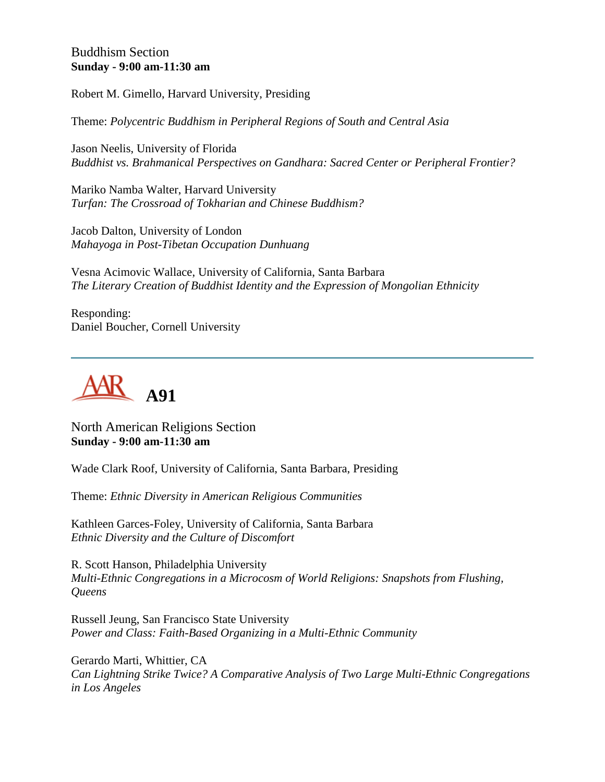#### Buddhism Section **Sunday - 9:00 am-11:30 am**

Robert M. Gimello, Harvard University, Presiding

Theme: *Polycentric Buddhism in Peripheral Regions of South and Central Asia*

Jason Neelis, University of Florida *Buddhist vs. Brahmanical Perspectives on Gandhara: Sacred Center or Peripheral Frontier?*

Mariko Namba Walter, Harvard University *Turfan: The Crossroad of Tokharian and Chinese Buddhism?*

Jacob Dalton, University of London *Mahayoga in Post-Tibetan Occupation Dunhuang*

Vesna Acimovic Wallace, University of California, Santa Barbara *The Literary Creation of Buddhist Identity and the Expression of Mongolian Ethnicity*

Responding: Daniel Boucher, Cornell University



North American Religions Section **Sunday - 9:00 am-11:30 am**

Wade Clark Roof, University of California, Santa Barbara, Presiding

Theme: *Ethnic Diversity in American Religious Communities*

Kathleen Garces-Foley, University of California, Santa Barbara *Ethnic Diversity and the Culture of Discomfort*

R. Scott Hanson, Philadelphia University *Multi-Ethnic Congregations in a Microcosm of World Religions: Snapshots from Flushing, Queens*

Russell Jeung, San Francisco State University *Power and Class: Faith-Based Organizing in a Multi-Ethnic Community*

Gerardo Marti, Whittier, CA *Can Lightning Strike Twice? A Comparative Analysis of Two Large Multi-Ethnic Congregations in Los Angeles*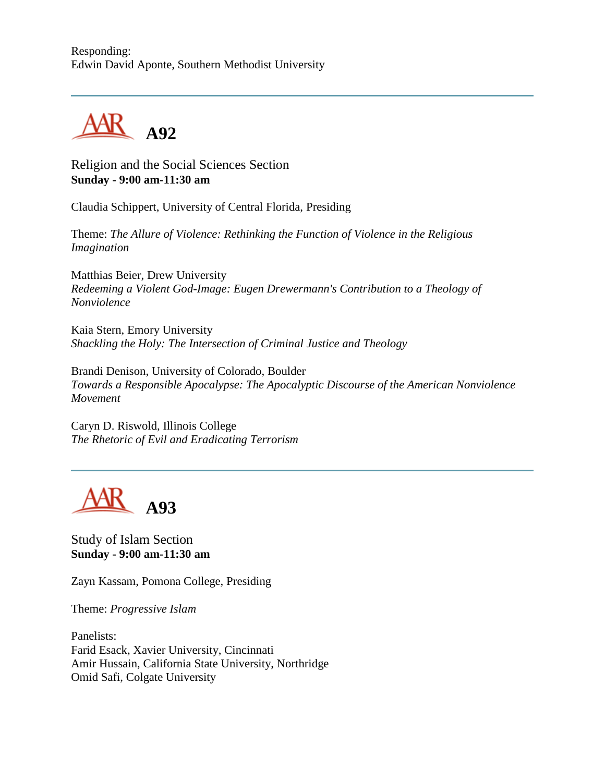#### Responding: Edwin David Aponte, Southern Methodist University



Religion and the Social Sciences Section **Sunday - 9:00 am-11:30 am**

Claudia Schippert, University of Central Florida, Presiding

Theme: *The Allure of Violence: Rethinking the Function of Violence in the Religious Imagination*

Matthias Beier, Drew University *Redeeming a Violent God-Image: Eugen Drewermann's Contribution to a Theology of Nonviolence*

Kaia Stern, Emory University *Shackling the Holy: The Intersection of Criminal Justice and Theology*

Brandi Denison, University of Colorado, Boulder *Towards a Responsible Apocalypse: The Apocalyptic Discourse of the American Nonviolence Movement*

Caryn D. Riswold, Illinois College *The Rhetoric of Evil and Eradicating Terrorism*



Study of Islam Section **Sunday - 9:00 am-11:30 am**

Zayn Kassam, Pomona College, Presiding

Theme: *Progressive Islam*

Panelists: Farid Esack, Xavier University, Cincinnati Amir Hussain, California State University, Northridge Omid Safi, Colgate University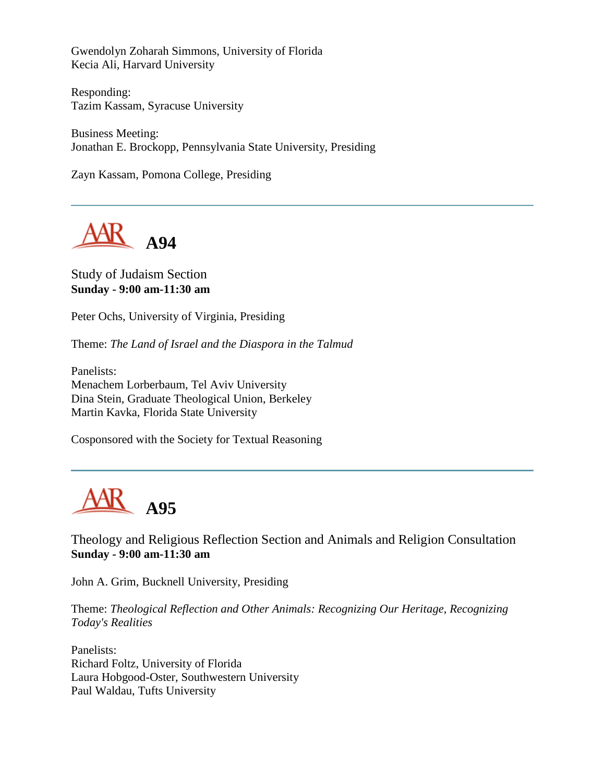Gwendolyn Zoharah Simmons, University of Florida Kecia Ali, Harvard University

Responding: Tazim Kassam, Syracuse University

Business Meeting: Jonathan E. Brockopp, Pennsylvania State University, Presiding

Zayn Kassam, Pomona College, Presiding



#### Study of Judaism Section **Sunday - 9:00 am-11:30 am**

Peter Ochs, University of Virginia, Presiding

Theme: *The Land of Israel and the Diaspora in the Talmud*

Panelists: Menachem Lorberbaum, Tel Aviv University Dina Stein, Graduate Theological Union, Berkeley Martin Kavka, Florida State University

Cosponsored with the Society for Textual Reasoning



Theology and Religious Reflection Section and Animals and Religion Consultation **Sunday - 9:00 am-11:30 am**

John A. Grim, Bucknell University, Presiding

Theme: *Theological Reflection and Other Animals: Recognizing Our Heritage, Recognizing Today's Realities*

Panelists: Richard Foltz, University of Florida Laura Hobgood-Oster, Southwestern University Paul Waldau, Tufts University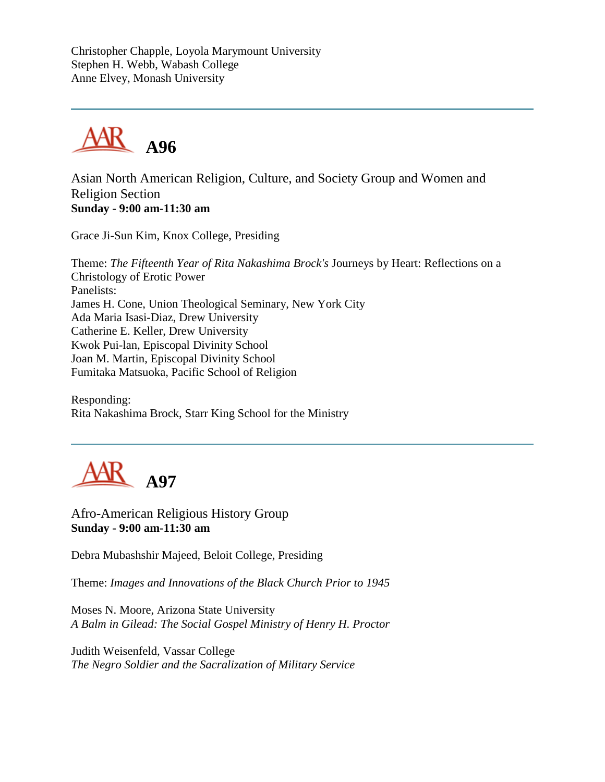Christopher Chapple, Loyola Marymount University Stephen H. Webb, Wabash College Anne Elvey, Monash University



Asian North American Religion, Culture, and Society Group and Women and Religion Section **Sunday - 9:00 am-11:30 am**

Grace Ji-Sun Kim, Knox College, Presiding

Theme: *The Fifteenth Year of Rita Nakashima Brock's* Journeys by Heart: Reflections on a Christology of Erotic Power Panelists: James H. Cone, Union Theological Seminary, New York City Ada Maria Isasi-Diaz, Drew University Catherine E. Keller, Drew University Kwok Pui-lan, Episcopal Divinity School Joan M. Martin, Episcopal Divinity School Fumitaka Matsuoka, Pacific School of Religion

Responding: Rita Nakashima Brock, Starr King School for the Ministry



Afro-American Religious History Group **Sunday - 9:00 am-11:30 am**

Debra Mubashshir Majeed, Beloit College, Presiding

Theme: *Images and Innovations of the Black Church Prior to 1945*

Moses N. Moore, Arizona State University *A Balm in Gilead: The Social Gospel Ministry of Henry H. Proctor*

Judith Weisenfeld, Vassar College *The Negro Soldier and the Sacralization of Military Service*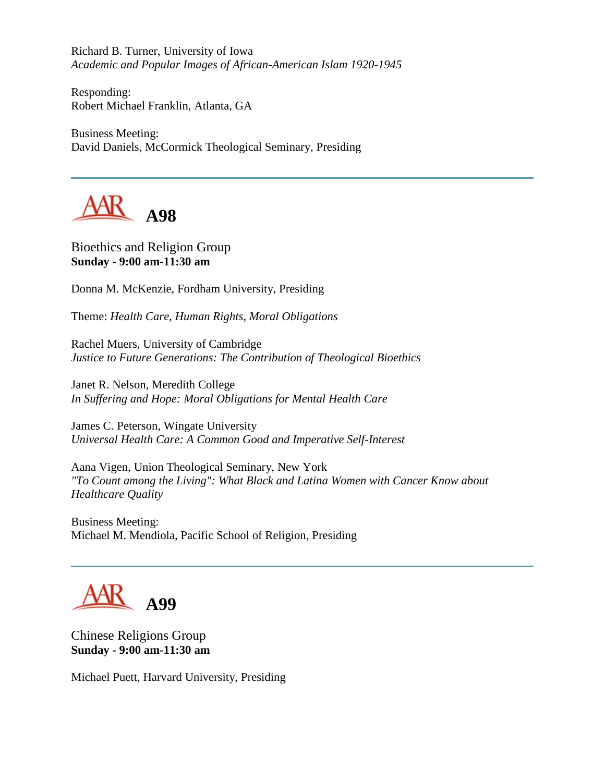Richard B. Turner, University of Iowa *Academic and Popular Images of African-American Islam 1920-1945*

Responding: Robert Michael Franklin, Atlanta, GA

Business Meeting: David Daniels, McCormick Theological Seminary, Presiding



Bioethics and Religion Group **Sunday - 9:00 am-11:30 am**

Donna M. McKenzie, Fordham University, Presiding

Theme: *Health Care, Human Rights, Moral Obligations*

Rachel Muers, University of Cambridge *Justice to Future Generations: The Contribution of Theological Bioethics*

Janet R. Nelson, Meredith College *In Suffering and Hope: Moral Obligations for Mental Health Care*

James C. Peterson, Wingate University *Universal Health Care: A Common Good and Imperative Self-Interest*

Aana Vigen, Union Theological Seminary, New York *"To Count among the Living": What Black and Latina Women with Cancer Know about Healthcare Quality*

Business Meeting: Michael M. Mendiola, Pacific School of Religion, Presiding

# AR <sub>A99</sub>

Chinese Religions Group **Sunday - 9:00 am-11:30 am**

Michael Puett, Harvard University, Presiding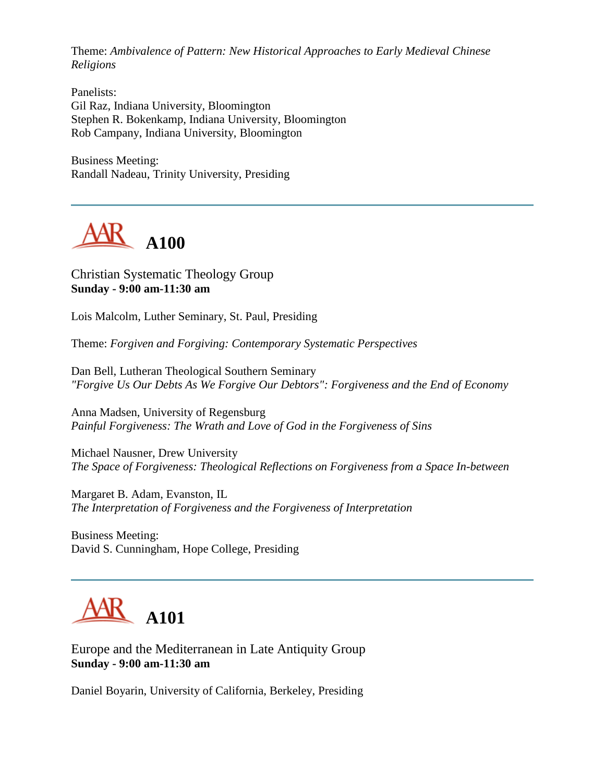Theme: *Ambivalence of Pattern: New Historical Approaches to Early Medieval Chinese Religions*

Panelists: Gil Raz, Indiana University, Bloomington Stephen R. Bokenkamp, Indiana University, Bloomington Rob Campany, Indiana University, Bloomington

Business Meeting: Randall Nadeau, Trinity University, Presiding



Christian Systematic Theology Group **Sunday - 9:00 am-11:30 am**

Lois Malcolm, Luther Seminary, St. Paul, Presiding

Theme: *Forgiven and Forgiving: Contemporary Systematic Perspectives*

Dan Bell, Lutheran Theological Southern Seminary *"Forgive Us Our Debts As We Forgive Our Debtors": Forgiveness and the End of Economy*

Anna Madsen, University of Regensburg *Painful Forgiveness: The Wrath and Love of God in the Forgiveness of Sins*

Michael Nausner, Drew University *The Space of Forgiveness: Theological Reflections on Forgiveness from a Space In-between*

Margaret B. Adam, Evanston, IL *The Interpretation of Forgiveness and the Forgiveness of Interpretation*

Business Meeting: David S. Cunningham, Hope College, Presiding



Europe and the Mediterranean in Late Antiquity Group **Sunday - 9:00 am-11:30 am**

Daniel Boyarin, University of California, Berkeley, Presiding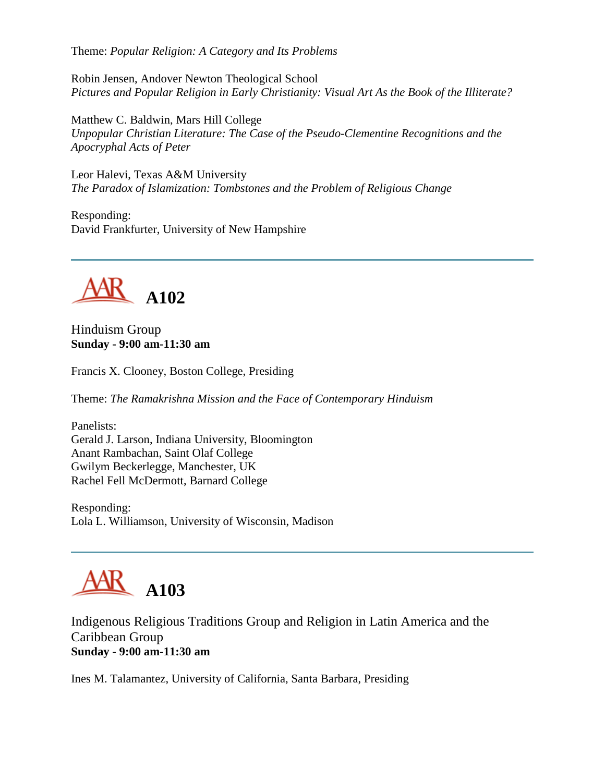Theme: *Popular Religion: A Category and Its Problems*

Robin Jensen, Andover Newton Theological School *Pictures and Popular Religion in Early Christianity: Visual Art As the Book of the Illiterate?*

Matthew C. Baldwin, Mars Hill College *Unpopular Christian Literature: The Case of the Pseudo-Clementine Recognitions and the Apocryphal Acts of Peter*

Leor Halevi, Texas A&M University *The Paradox of Islamization: Tombstones and the Problem of Religious Change*

Responding: David Frankfurter, University of New Hampshire



Hinduism Group **Sunday - 9:00 am-11:30 am**

Francis X. Clooney, Boston College, Presiding

Theme: *The Ramakrishna Mission and the Face of Contemporary Hinduism*

Panelists: Gerald J. Larson, Indiana University, Bloomington Anant Rambachan, Saint Olaf College Gwilym Beckerlegge, Manchester, UK Rachel Fell McDermott, Barnard College

Responding: Lola L. Williamson, University of Wisconsin, Madison

# **A103**

Indigenous Religious Traditions Group and Religion in Latin America and the Caribbean Group **Sunday - 9:00 am-11:30 am**

Ines M. Talamantez, University of California, Santa Barbara, Presiding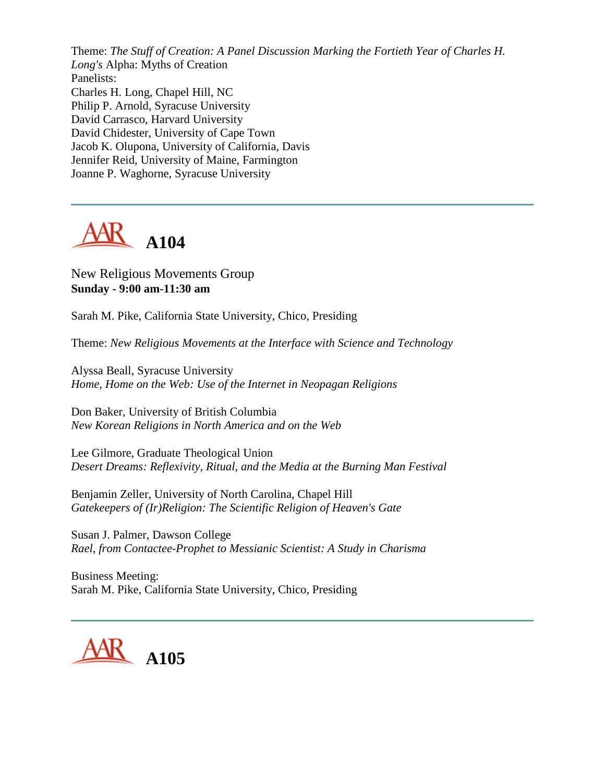Theme: *The Stuff of Creation: A Panel Discussion Marking the Fortieth Year of Charles H. Long's* Alpha: Myths of Creation Panelists: Charles H. Long, Chapel Hill, NC Philip P. Arnold, Syracuse University David Carrasco, Harvard University David Chidester, University of Cape Town Jacob K. Olupona, University of California, Davis Jennifer Reid, University of Maine, Farmington Joanne P. Waghorne, Syracuse University



#### New Religious Movements Group **Sunday - 9:00 am-11:30 am**

Sarah M. Pike, California State University, Chico, Presiding

Theme: *New Religious Movements at the Interface with Science and Technology*

Alyssa Beall, Syracuse University *Home, Home on the Web: Use of the Internet in Neopagan Religions*

Don Baker, University of British Columbia *New Korean Religions in North America and on the Web*

Lee Gilmore, Graduate Theological Union *Desert Dreams: Reflexivity, Ritual, and the Media at the Burning Man Festival*

Benjamin Zeller, University of North Carolina, Chapel Hill *Gatekeepers of (Ir)Religion: The Scientific Religion of Heaven's Gate*

Susan J. Palmer, Dawson College *Rael, from Contactee-Prophet to Messianic Scientist: A Study in Charisma*

Business Meeting: Sarah M. Pike, California State University, Chico, Presiding

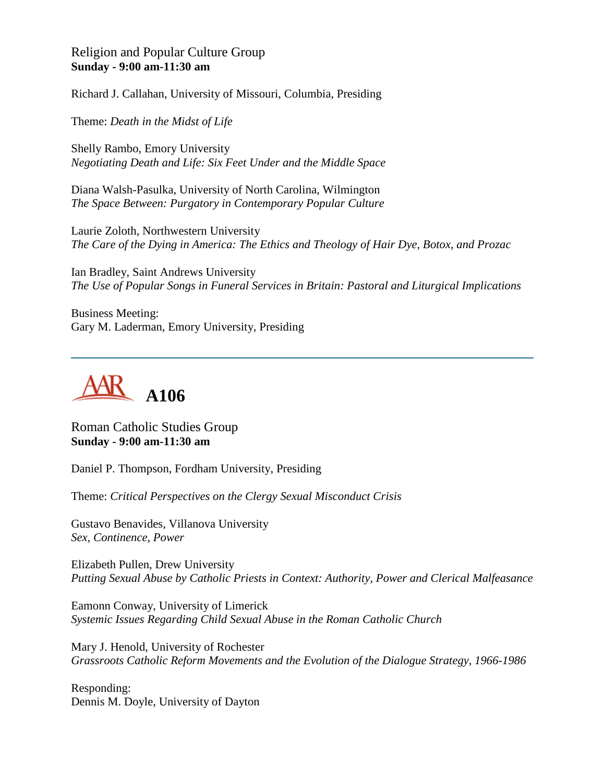#### Religion and Popular Culture Group **Sunday - 9:00 am-11:30 am**

Richard J. Callahan, University of Missouri, Columbia, Presiding

Theme: *Death in the Midst of Life*

Shelly Rambo, Emory University *Negotiating Death and Life: Six Feet Under and the Middle Space*

Diana Walsh-Pasulka, University of North Carolina, Wilmington *The Space Between: Purgatory in Contemporary Popular Culture*

Laurie Zoloth, Northwestern University *The Care of the Dying in America: The Ethics and Theology of Hair Dye, Botox, and Prozac*

Ian Bradley, Saint Andrews University *The Use of Popular Songs in Funeral Services in Britain: Pastoral and Liturgical Implications*

Business Meeting: Gary M. Laderman, Emory University, Presiding



Roman Catholic Studies Group **Sunday - 9:00 am-11:30 am**

Daniel P. Thompson, Fordham University, Presiding

Theme: *Critical Perspectives on the Clergy Sexual Misconduct Crisis*

Gustavo Benavides, Villanova University *Sex, Continence, Power*

Elizabeth Pullen, Drew University *Putting Sexual Abuse by Catholic Priests in Context: Authority, Power and Clerical Malfeasance*

Eamonn Conway, University of Limerick *Systemic Issues Regarding Child Sexual Abuse in the Roman Catholic Church*

Mary J. Henold, University of Rochester *Grassroots Catholic Reform Movements and the Evolution of the Dialogue Strategy, 1966-1986*

Responding: Dennis M. Doyle, University of Dayton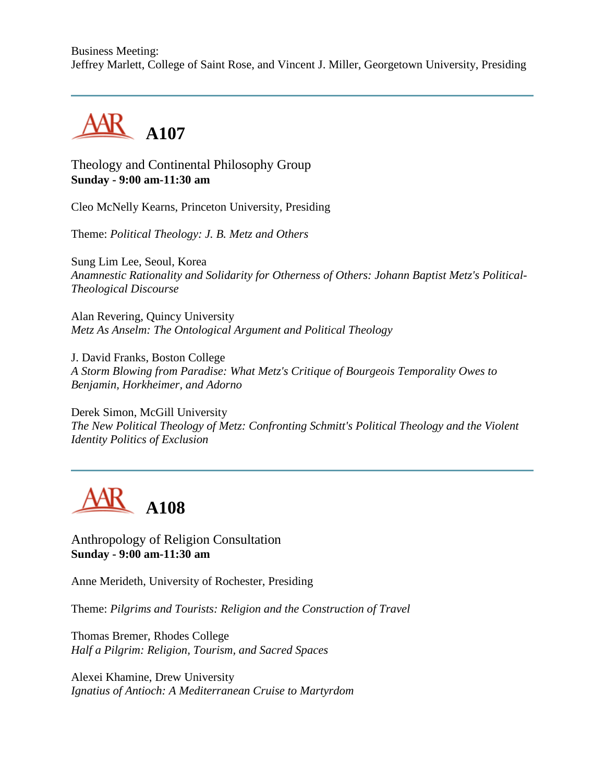Business Meeting: Jeffrey Marlett, College of Saint Rose, and Vincent J. Miller, Georgetown University, Presiding



Theology and Continental Philosophy Group **Sunday - 9:00 am-11:30 am**

Cleo McNelly Kearns, Princeton University, Presiding

Theme: *Political Theology: J. B. Metz and Others*

Sung Lim Lee, Seoul, Korea *Anamnestic Rationality and Solidarity for Otherness of Others: Johann Baptist Metz's Political-Theological Discourse*

Alan Revering, Quincy University *Metz As Anselm: The Ontological Argument and Political Theology*

J. David Franks, Boston College *A Storm Blowing from Paradise: What Metz's Critique of Bourgeois Temporality Owes to Benjamin, Horkheimer, and Adorno*

Derek Simon, McGill University *The New Political Theology of Metz: Confronting Schmitt's Political Theology and the Violent Identity Politics of Exclusion* 



Anthropology of Religion Consultation **Sunday - 9:00 am-11:30 am**

Anne Merideth, University of Rochester, Presiding

Theme: *Pilgrims and Tourists: Religion and the Construction of Travel*

Thomas Bremer, Rhodes College *Half a Pilgrim: Religion, Tourism, and Sacred Spaces*

Alexei Khamine, Drew University *Ignatius of Antioch: A Mediterranean Cruise to Martyrdom*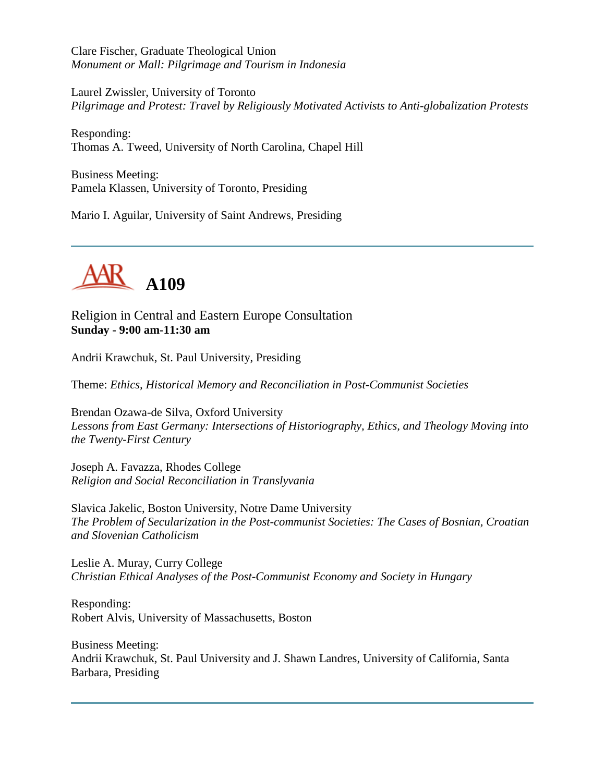Clare Fischer, Graduate Theological Union *Monument or Mall: Pilgrimage and Tourism in Indonesia*

Laurel Zwissler, University of Toronto *Pilgrimage and Protest: Travel by Religiously Motivated Activists to Anti-globalization Protests*

Responding: Thomas A. Tweed, University of North Carolina, Chapel Hill

Business Meeting: Pamela Klassen, University of Toronto, Presiding

Mario I. Aguilar, University of Saint Andrews, Presiding



Religion in Central and Eastern Europe Consultation **Sunday - 9:00 am-11:30 am**

Andrii Krawchuk, St. Paul University, Presiding

Theme: *Ethics, Historical Memory and Reconciliation in Post-Communist Societies*

Brendan Ozawa-de Silva, Oxford University *Lessons from East Germany: Intersections of Historiography, Ethics, and Theology Moving into the Twenty-First Century*

Joseph A. Favazza, Rhodes College *Religion and Social Reconciliation in Translyvania*

Slavica Jakelic, Boston University, Notre Dame University *The Problem of Secularization in the Post-communist Societies: The Cases of Bosnian, Croatian and Slovenian Catholicism*

Leslie A. Muray, Curry College *Christian Ethical Analyses of the Post-Communist Economy and Society in Hungary*

Responding: Robert Alvis, University of Massachusetts, Boston

Business Meeting: Andrii Krawchuk, St. Paul University and J. Shawn Landres, University of California, Santa Barbara, Presiding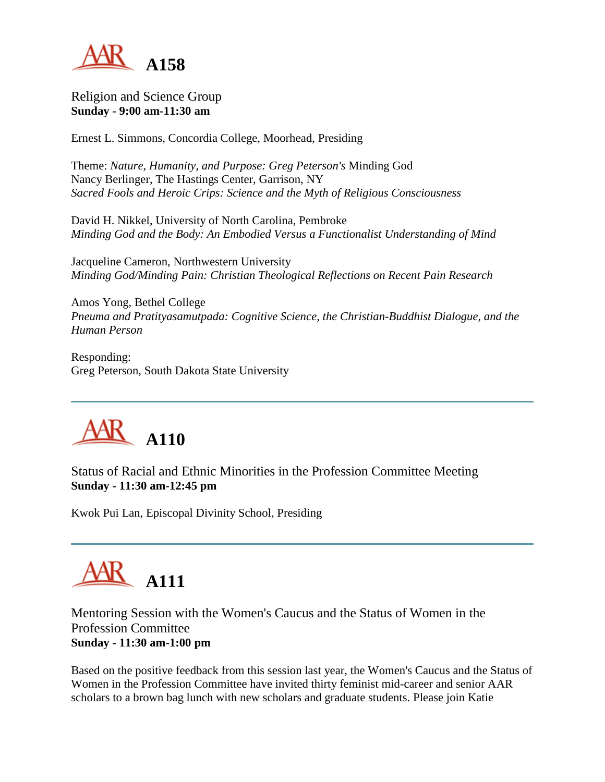

Religion and Science Group **Sunday - 9:00 am-11:30 am**

Ernest L. Simmons, Concordia College, Moorhead, Presiding

Theme: *Nature, Humanity, and Purpose: Greg Peterson's* Minding God Nancy Berlinger, The Hastings Center, Garrison, NY *Sacred Fools and Heroic Crips: Science and the Myth of Religious Consciousness*

David H. Nikkel, University of North Carolina, Pembroke *Minding God and the Body: An Embodied Versus a Functionalist Understanding of Mind*

Jacqueline Cameron, Northwestern University *Minding God/Minding Pain: Christian Theological Reflections on Recent Pain Research*

Amos Yong, Bethel College *Pneuma and Pratityasamutpada: Cognitive Science, the Christian-Buddhist Dialogue, and the Human Person*

Responding: Greg Peterson, South Dakota State University



Status of Racial and Ethnic Minorities in the Profession Committee Meeting **Sunday - 11:30 am-12:45 pm**

Kwok Pui Lan, Episcopal Divinity School, Presiding

# **A111**

Mentoring Session with the Women's Caucus and the Status of Women in the Profession Committee **Sunday - 11:30 am-1:00 pm**

Based on the positive feedback from this session last year, the Women's Caucus and the Status of Women in the Profession Committee have invited thirty feminist mid-career and senior AAR scholars to a brown bag lunch with new scholars and graduate students. Please join Katie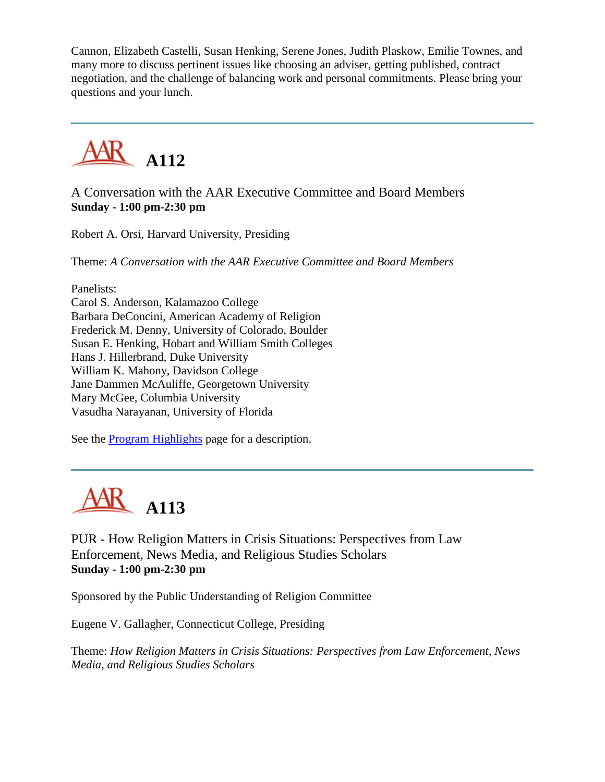Cannon, Elizabeth Castelli, Susan Henking, Serene Jones, Judith Plaskow, Emilie Townes, and many more to discuss pertinent issues like choosing an adviser, getting published, contract negotiation, and the challenge of balancing work and personal commitments. Please bring your questions and your lunch.



### A Conversation with the AAR Executive Committee and Board Members **Sunday - 1:00 pm-2:30 pm**

Robert A. Orsi, Harvard University, Presiding

Theme: *A Conversation with the AAR Executive Committee and Board Members*

Panelists:

Carol S. Anderson, Kalamazoo College Barbara DeConcini, American Academy of Religion Frederick M. Denny, University of Colorado, Boulder Susan E. Henking, Hobart and William Smith Colleges Hans J. Hillerbrand, Duke University William K. Mahony, Davidson College Jane Dammen McAuliffe, Georgetown University Mary McGee, Columbia University Vasudha Narayanan, University of Florida

See the [Program Highlights](http://www.aarweb.org/Meetings/Annual_Meeting/Past_and_Future_Meetings/2003/highlights.asp) page for a description.



PUR - How Religion Matters in Crisis Situations: Perspectives from Law Enforcement, News Media, and Religious Studies Scholars **Sunday - 1:00 pm-2:30 pm**

Sponsored by the Public Understanding of Religion Committee

Eugene V. Gallagher, Connecticut College, Presiding

Theme: *How Religion Matters in Crisis Situations: Perspectives from Law Enforcement, News Media, and Religious Studies Scholars*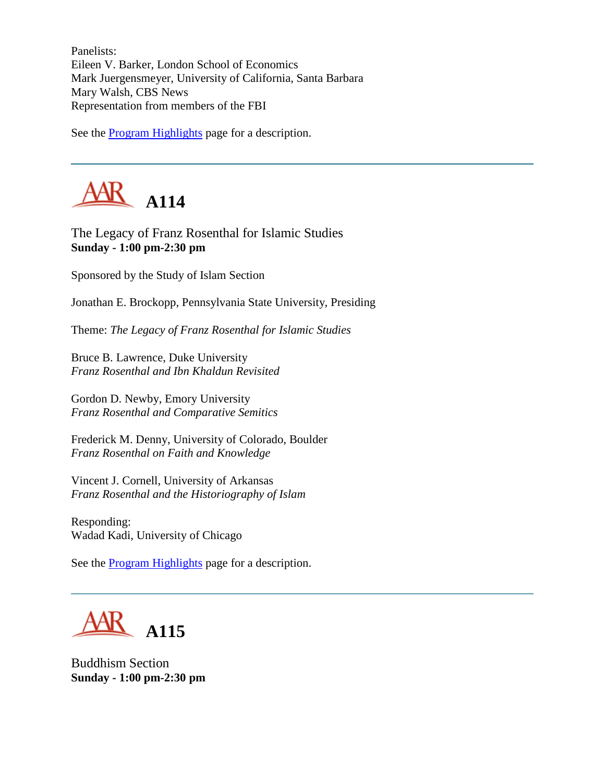Panelists: Eileen V. Barker, London School of Economics Mark Juergensmeyer, University of California, Santa Barbara Mary Walsh, CBS News Representation from members of the FBI

See the [Program Highlights](http://www.aarweb.org/Meetings/Annual_Meeting/Past_and_Future_Meetings/2003/highlights.asp) page for a description.



The Legacy of Franz Rosenthal for Islamic Studies **Sunday - 1:00 pm-2:30 pm**

Sponsored by the Study of Islam Section

Jonathan E. Brockopp, Pennsylvania State University, Presiding

Theme: *The Legacy of Franz Rosenthal for Islamic Studies*

Bruce B. Lawrence, Duke University *Franz Rosenthal and Ibn Khaldun Revisited*

Gordon D. Newby, Emory University *Franz Rosenthal and Comparative Semitics*

Frederick M. Denny, University of Colorado, Boulder *Franz Rosenthal on Faith and Knowledge*

Vincent J. Cornell, University of Arkansas *Franz Rosenthal and the Historiography of Islam*

Responding: Wadad Kadi, University of Chicago

See the [Program Highlights](http://www.aarweb.org/Meetings/Annual_Meeting/Past_and_Future_Meetings/2003/highlights.asp) page for a description.



Buddhism Section **Sunday - 1:00 pm-2:30 pm**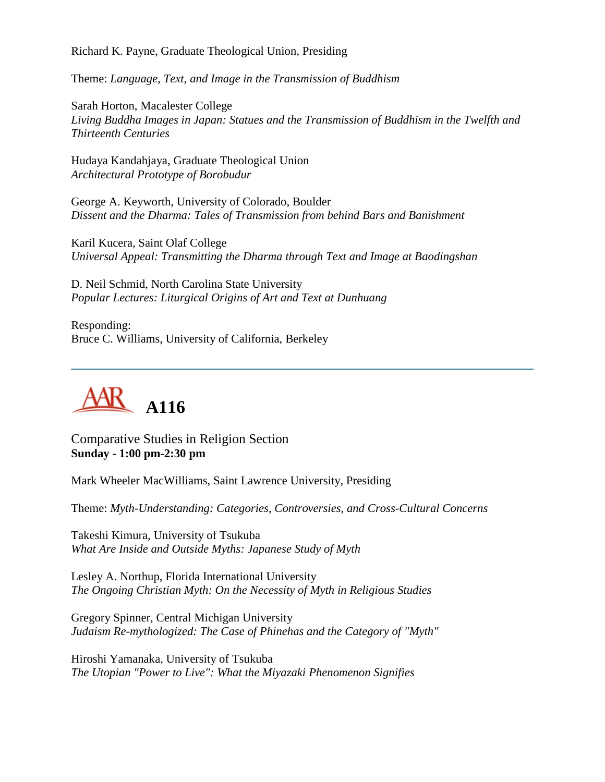Richard K. Payne, Graduate Theological Union, Presiding

Theme: *Language, Text, and Image in the Transmission of Buddhism*

Sarah Horton, Macalester College *Living Buddha Images in Japan: Statues and the Transmission of Buddhism in the Twelfth and Thirteenth Centuries*

Hudaya Kandahjaya, Graduate Theological Union *Architectural Prototype of Borobudur*

George A. Keyworth, University of Colorado, Boulder *Dissent and the Dharma: Tales of Transmission from behind Bars and Banishment*

Karil Kucera, Saint Olaf College *Universal Appeal: Transmitting the Dharma through Text and Image at Baodingshan*

D. Neil Schmid, North Carolina State University *Popular Lectures: Liturgical Origins of Art and Text at Dunhuang*

Responding: Bruce C. Williams, University of California, Berkeley



Comparative Studies in Religion Section **Sunday - 1:00 pm-2:30 pm**

Mark Wheeler MacWilliams, Saint Lawrence University, Presiding

Theme: *Myth-Understanding: Categories, Controversies, and Cross-Cultural Concerns*

Takeshi Kimura, University of Tsukuba *What Are Inside and Outside Myths: Japanese Study of Myth*

Lesley A. Northup, Florida International University *The Ongoing Christian Myth: On the Necessity of Myth in Religious Studies*

Gregory Spinner, Central Michigan University *Judaism Re-mythologized: The Case of Phinehas and the Category of "Myth"*

Hiroshi Yamanaka, University of Tsukuba *The Utopian "Power to Live": What the Miyazaki Phenomenon Signifies*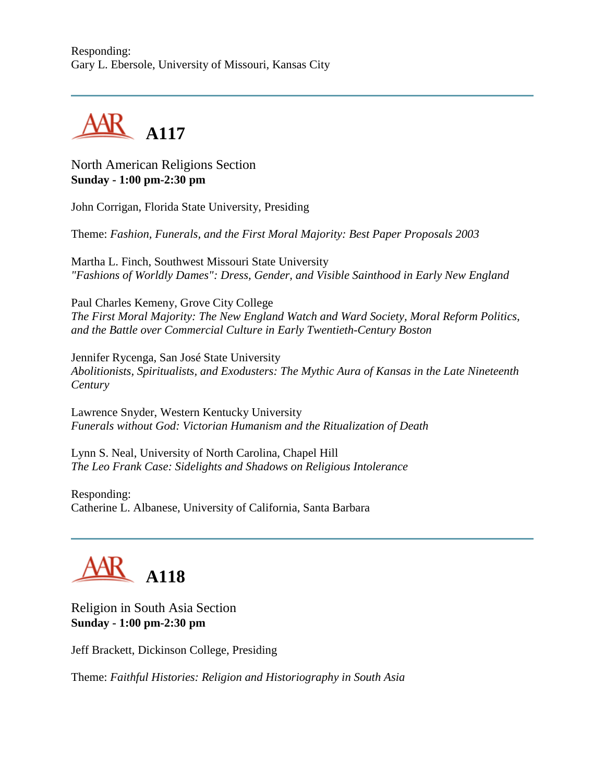

North American Religions Section **Sunday - 1:00 pm-2:30 pm**

John Corrigan, Florida State University, Presiding

Theme: *Fashion, Funerals, and the First Moral Majority: Best Paper Proposals 2003*

Martha L. Finch, Southwest Missouri State University *"Fashions of Worldly Dames": Dress, Gender, and Visible Sainthood in Early New England*

Paul Charles Kemeny, Grove City College *The First Moral Majority: The New England Watch and Ward Society, Moral Reform Politics, and the Battle over Commercial Culture in Early Twentieth-Century Boston*

Jennifer Rycenga, San José State University *Abolitionists, Spiritualists, and Exodusters: The Mythic Aura of Kansas in the Late Nineteenth Century*

Lawrence Snyder, Western Kentucky University *Funerals without God: Victorian Humanism and the Ritualization of Death*

Lynn S. Neal, University of North Carolina, Chapel Hill *The Leo Frank Case: Sidelights and Shadows on Religious Intolerance*

Responding: Catherine L. Albanese, University of California, Santa Barbara



Religion in South Asia Section **Sunday - 1:00 pm-2:30 pm**

Jeff Brackett, Dickinson College, Presiding

Theme: *Faithful Histories: Religion and Historiography in South Asia*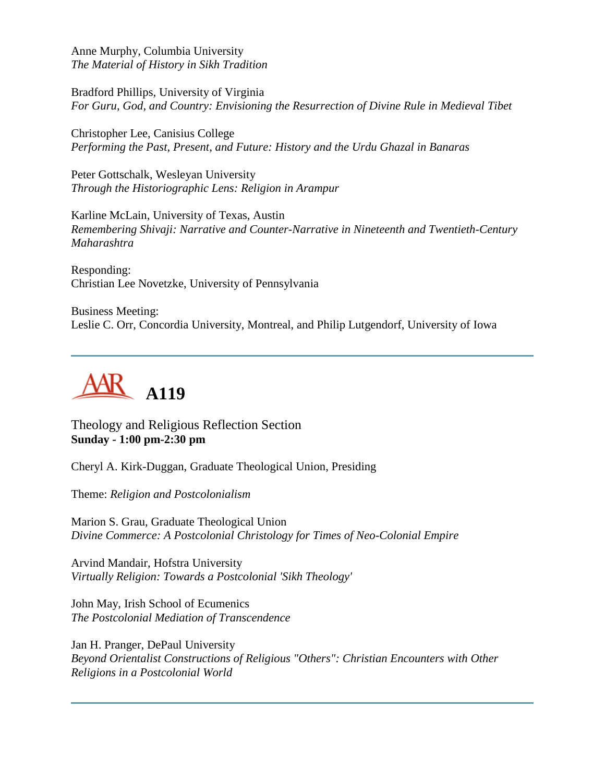Anne Murphy, Columbia University *The Material of History in Sikh Tradition*

Bradford Phillips, University of Virginia *For Guru, God, and Country: Envisioning the Resurrection of Divine Rule in Medieval Tibet*

Christopher Lee, Canisius College *Performing the Past, Present, and Future: History and the Urdu Ghazal in Banaras*

Peter Gottschalk, Wesleyan University *Through the Historiographic Lens: Religion in Arampur*

Karline McLain, University of Texas, Austin *Remembering Shivaji: Narrative and Counter-Narrative in Nineteenth and Twentieth-Century Maharashtra*

Responding: Christian Lee Novetzke, University of Pennsylvania

Business Meeting: Leslie C. Orr, Concordia University, Montreal, and Philip Lutgendorf, University of Iowa



Theology and Religious Reflection Section **Sunday - 1:00 pm-2:30 pm**

Cheryl A. Kirk-Duggan, Graduate Theological Union, Presiding

Theme: *Religion and Postcolonialism*

Marion S. Grau, Graduate Theological Union *Divine Commerce: A Postcolonial Christology for Times of Neo-Colonial Empire*

Arvind Mandair, Hofstra University *Virtually Religion: Towards a Postcolonial 'Sikh Theology'*

John May, Irish School of Ecumenics *The Postcolonial Mediation of Transcendence*

Jan H. Pranger, DePaul University *Beyond Orientalist Constructions of Religious "Others": Christian Encounters with Other Religions in a Postcolonial World*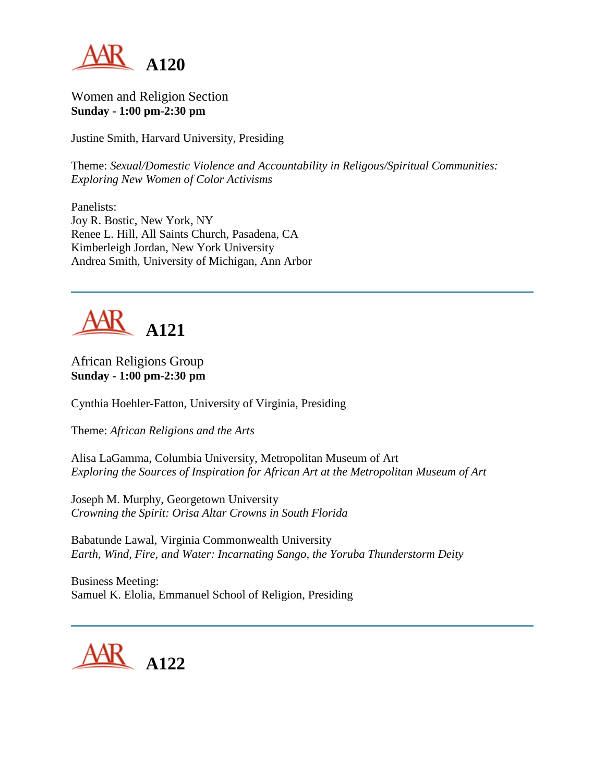

Women and Religion Section **Sunday - 1:00 pm-2:30 pm**

Justine Smith, Harvard University, Presiding

Theme: *Sexual/Domestic Violence and Accountability in Religous/Spiritual Communities: Exploring New Women of Color Activisms*

Panelists: Joy R. Bostic, New York, NY Renee L. Hill, All Saints Church, Pasadena, CA Kimberleigh Jordan, New York University Andrea Smith, University of Michigan, Ann Arbor



#### African Religions Group **Sunday - 1:00 pm-2:30 pm**

Cynthia Hoehler-Fatton, University of Virginia, Presiding

Theme: *African Religions and the Arts*

Alisa LaGamma, Columbia University, Metropolitan Museum of Art *Exploring the Sources of Inspiration for African Art at the Metropolitan Museum of Art*

Joseph M. Murphy, Georgetown University *Crowning the Spirit: Orisa Altar Crowns in South Florida*

Babatunde Lawal, Virginia Commonwealth University *Earth, Wind, Fire, and Water: Incarnating Sango, the Yoruba Thunderstorm Deity*

Business Meeting: Samuel K. Elolia, Emmanuel School of Religion, Presiding

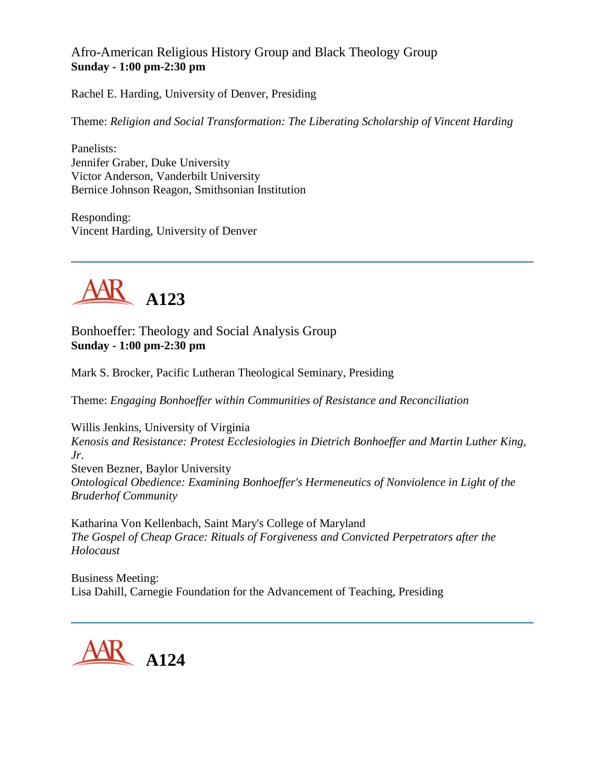Afro-American Religious History Group and Black Theology Group **Sunday - 1:00 pm-2:30 pm**

Rachel E. Harding, University of Denver, Presiding

Theme: *Religion and Social Transformation: The Liberating Scholarship of Vincent Harding*

Panelists: Jennifer Graber, Duke University Victor Anderson, Vanderbilt University Bernice Johnson Reagon, Smithsonian Institution

Responding: Vincent Harding, University of Denver



Bonhoeffer: Theology and Social Analysis Group **Sunday - 1:00 pm-2:30 pm**

Mark S. Brocker, Pacific Lutheran Theological Seminary, Presiding

Theme: *Engaging Bonhoeffer within Communities of Resistance and Reconciliation*

Willis Jenkins, University of Virginia *Kenosis and Resistance: Protest Ecclesiologies in Dietrich Bonhoeffer and Martin Luther King, Jr*. Steven Bezner, Baylor University

*Ontological Obedience: Examining Bonhoeffer's Hermeneutics of Nonviolence in Light of the Bruderhof Community*

Katharina Von Kellenbach, Saint Mary's College of Maryland *The Gospel of Cheap Grace: Rituals of Forgiveness and Convicted Perpetrators after the Holocaust*

Business Meeting: Lisa Dahill, Carnegie Foundation for the Advancement of Teaching, Presiding

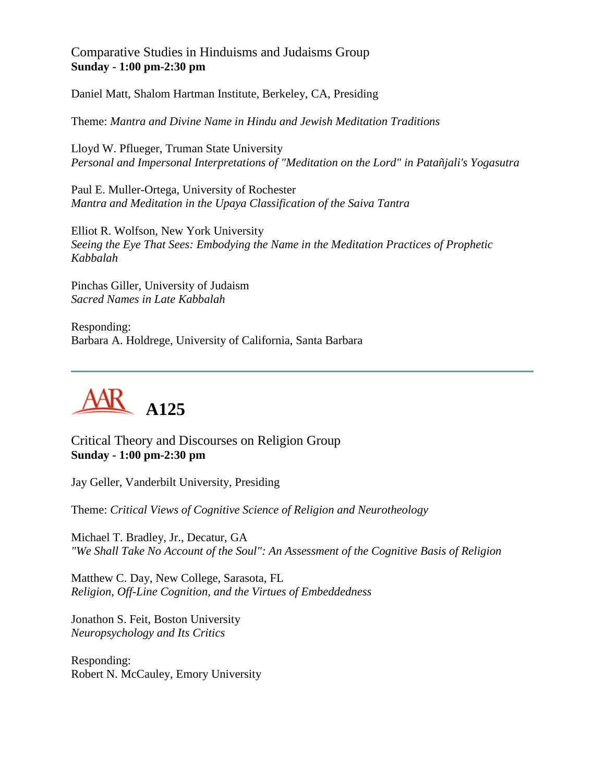#### Comparative Studies in Hinduisms and Judaisms Group **Sunday - 1:00 pm-2:30 pm**

Daniel Matt, Shalom Hartman Institute, Berkeley, CA, Presiding

Theme: *Mantra and Divine Name in Hindu and Jewish Meditation Traditions*

Lloyd W. Pflueger, Truman State University *Personal and Impersonal Interpretations of "Meditation on the Lord" in Patañjali's Yogasutra*

Paul E. Muller-Ortega, University of Rochester *Mantra and Meditation in the Upaya Classification of the Saiva Tantra*

Elliot R. Wolfson, New York University *Seeing the Eye That Sees: Embodying the Name in the Meditation Practices of Prophetic Kabbalah*

Pinchas Giller, University of Judaism *Sacred Names in Late Kabbalah*

Responding: Barbara A. Holdrege, University of California, Santa Barbara



Critical Theory and Discourses on Religion Group **Sunday - 1:00 pm-2:30 pm**

Jay Geller, Vanderbilt University, Presiding

Theme: *Critical Views of Cognitive Science of Religion and Neurotheology*

Michael T. Bradley, Jr., Decatur, GA *"We Shall Take No Account of the Soul": An Assessment of the Cognitive Basis of Religion*

Matthew C. Day, New College, Sarasota, FL *Religion, Off-Line Cognition, and the Virtues of Embeddedness*

Jonathon S. Feit, Boston University *Neuropsychology and Its Critics*

Responding: Robert N. McCauley, Emory University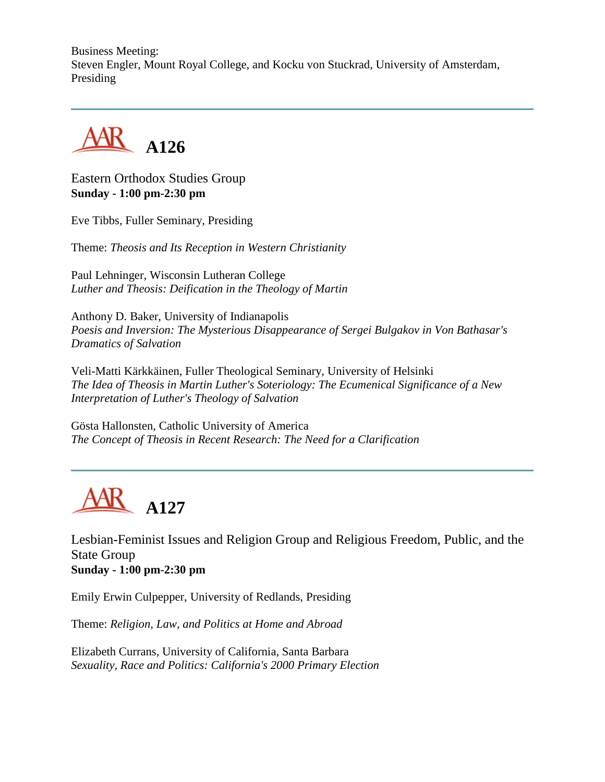Business Meeting: Steven Engler, Mount Royal College, and Kocku von Stuckrad, University of Amsterdam, Presiding



Eastern Orthodox Studies Group **Sunday - 1:00 pm-2:30 pm**

Eve Tibbs, Fuller Seminary, Presiding

Theme: *Theosis and Its Reception in Western Christianity*

Paul Lehninger, Wisconsin Lutheran College *Luther and Theosis: Deification in the Theology of Martin*

Anthony D. Baker, University of Indianapolis *Poesis and Inversion: The Mysterious Disappearance of Sergei Bulgakov in Von Bathasar's Dramatics of Salvation*

Veli-Matti Kärkkäinen, Fuller Theological Seminary, University of Helsinki *The Idea of Theosis in Martin Luther's Soteriology: The Ecumenical Significance of a New Interpretation of Luther's Theology of Salvation*

Gösta Hallonsten, Catholic University of America *The Concept of Theosis in Recent Research: The Need for a Clarification*



Lesbian-Feminist Issues and Religion Group and Religious Freedom, Public, and the State Group **Sunday - 1:00 pm-2:30 pm**

Emily Erwin Culpepper, University of Redlands, Presiding

Theme: *Religion, Law, and Politics at Home and Abroad*

Elizabeth Currans, University of California, Santa Barbara *Sexuality, Race and Politics: California's 2000 Primary Election*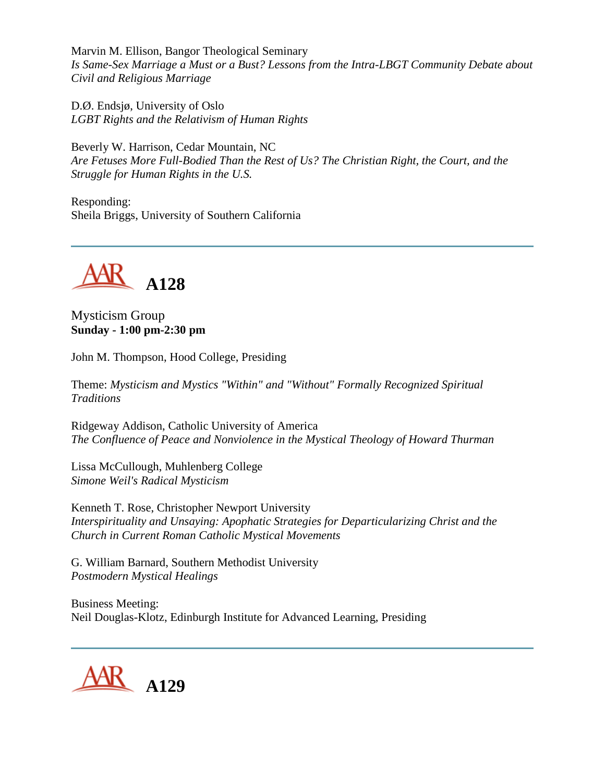Marvin M. Ellison, Bangor Theological Seminary *Is Same-Sex Marriage a Must or a Bust? Lessons from the Intra-LBGT Community Debate about Civil and Religious Marriage*

D.Ø. Endsjø, University of Oslo *LGBT Rights and the Relativism of Human Rights*

Beverly W. Harrison, Cedar Mountain, NC *Are Fetuses More Full-Bodied Than the Rest of Us? The Christian Right, the Court, and the Struggle for Human Rights in the U.S.*

Responding: Sheila Briggs, University of Southern California



Mysticism Group **Sunday - 1:00 pm-2:30 pm**

John M. Thompson, Hood College, Presiding

Theme: *Mysticism and Mystics "Within" and "Without" Formally Recognized Spiritual Traditions*

Ridgeway Addison, Catholic University of America *The Confluence of Peace and Nonviolence in the Mystical Theology of Howard Thurman*

Lissa McCullough, Muhlenberg College *Simone Weil's Radical Mysticism*

Kenneth T. Rose, Christopher Newport University *Interspirituality and Unsaying: Apophatic Strategies for Departicularizing Christ and the Church in Current Roman Catholic Mystical Movements*

G. William Barnard, Southern Methodist University *Postmodern Mystical Healings*

Business Meeting: Neil Douglas-Klotz, Edinburgh Institute for Advanced Learning, Presiding

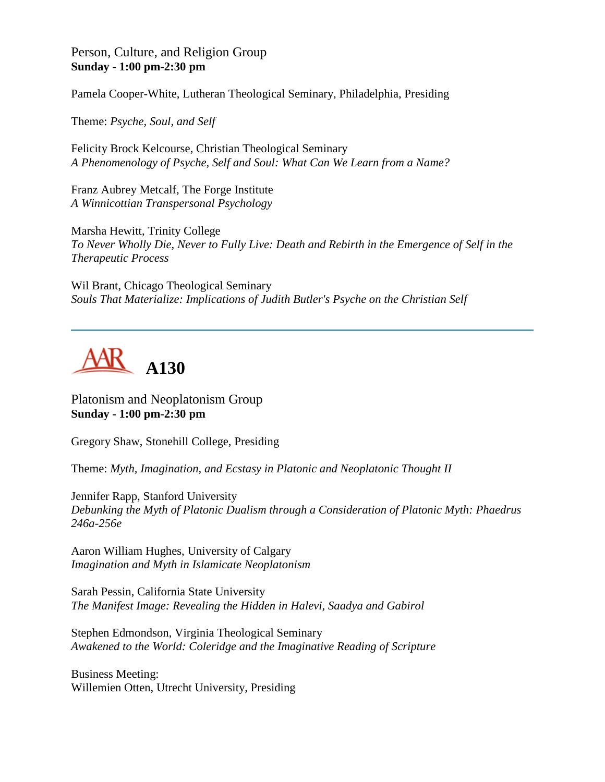#### Person, Culture, and Religion Group **Sunday - 1:00 pm-2:30 pm**

Pamela Cooper-White, Lutheran Theological Seminary, Philadelphia, Presiding

Theme: *Psyche, Soul, and Self*

Felicity Brock Kelcourse, Christian Theological Seminary *A Phenomenology of Psyche, Self and Soul: What Can We Learn from a Name?*

Franz Aubrey Metcalf, The Forge Institute *A Winnicottian Transpersonal Psychology*

Marsha Hewitt, Trinity College *To Never Wholly Die, Never to Fully Live: Death and Rebirth in the Emergence of Self in the Therapeutic Process*

Wil Brant, Chicago Theological Seminary *Souls That Materialize: Implications of Judith Butler's Psyche on the Christian Self*



Platonism and Neoplatonism Group **Sunday - 1:00 pm-2:30 pm**

Gregory Shaw, Stonehill College, Presiding

Theme: *Myth, Imagination, and Ecstasy in Platonic and Neoplatonic Thought II*

Jennifer Rapp, Stanford University *Debunking the Myth of Platonic Dualism through a Consideration of Platonic Myth: Phaedrus 246a-256e*

Aaron William Hughes, University of Calgary *Imagination and Myth in Islamicate Neoplatonism*

Sarah Pessin, California State University *The Manifest Image: Revealing the Hidden in Halevi, Saadya and Gabirol*

Stephen Edmondson, Virginia Theological Seminary *Awakened to the World: Coleridge and the Imaginative Reading of Scripture*

Business Meeting: Willemien Otten, Utrecht University, Presiding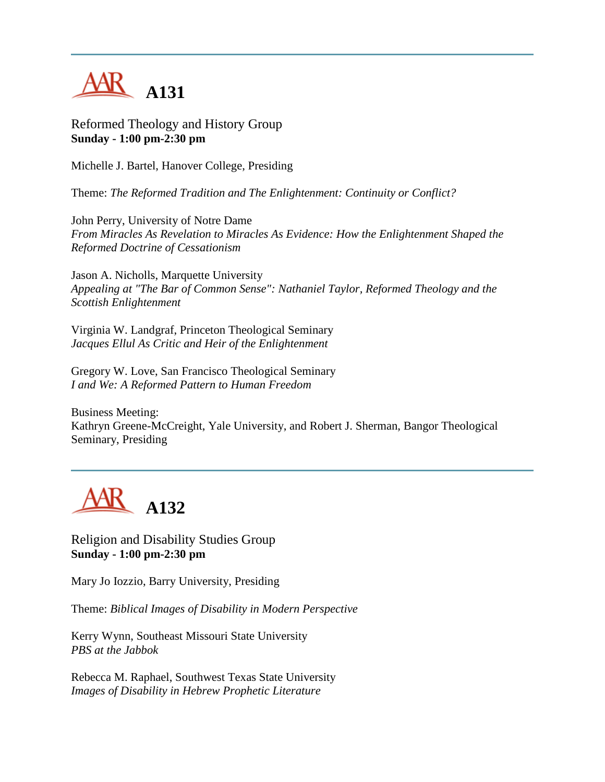

Reformed Theology and History Group **Sunday - 1:00 pm-2:30 pm**

Michelle J. Bartel, Hanover College, Presiding

Theme: *The Reformed Tradition and The Enlightenment: Continuity or Conflict?*

John Perry, University of Notre Dame *From Miracles As Revelation to Miracles As Evidence: How the Enlightenment Shaped the Reformed Doctrine of Cessationism*

Jason A. Nicholls, Marquette University *Appealing at "The Bar of Common Sense": Nathaniel Taylor, Reformed Theology and the Scottish Enlightenment*

Virginia W. Landgraf, Princeton Theological Seminary *Jacques Ellul As Critic and Heir of the Enlightenment*

Gregory W. Love, San Francisco Theological Seminary *I and We: A Reformed Pattern to Human Freedom*

Business Meeting: Kathryn Greene-McCreight, Yale University, and Robert J. Sherman, Bangor Theological Seminary, Presiding



Religion and Disability Studies Group **Sunday - 1:00 pm-2:30 pm**

Mary Jo Iozzio, Barry University, Presiding

Theme: *Biblical Images of Disability in Modern Perspective*

Kerry Wynn, Southeast Missouri State University *PBS at the Jabbok*

Rebecca M. Raphael, Southwest Texas State University *Images of Disability in Hebrew Prophetic Literature*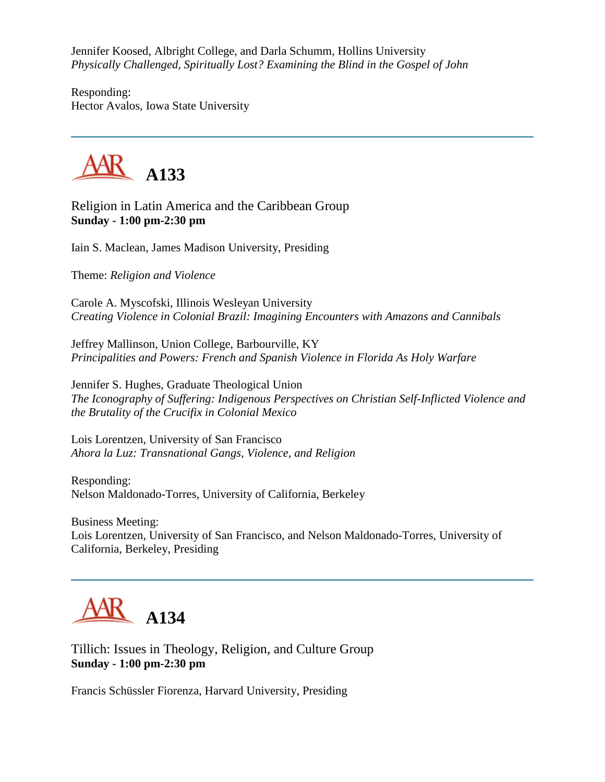Jennifer Koosed, Albright College, and Darla Schumm, Hollins University *Physically Challenged, Spiritually Lost? Examining the Blind in the Gospel of John*

Responding: Hector Avalos, Iowa State University



Religion in Latin America and the Caribbean Group **Sunday - 1:00 pm-2:30 pm**

Iain S. Maclean, James Madison University, Presiding

Theme: *Religion and Violence*

Carole A. Myscofski, Illinois Wesleyan University *Creating Violence in Colonial Brazil: Imagining Encounters with Amazons and Cannibals*

Jeffrey Mallinson, Union College, Barbourville, KY *Principalities and Powers: French and Spanish Violence in Florida As Holy Warfare*

Jennifer S. Hughes, Graduate Theological Union *The Iconography of Suffering: Indigenous Perspectives on Christian Self-Inflicted Violence and the Brutality of the Crucifix in Colonial Mexico*

Lois Lorentzen, University of San Francisco *Ahora la Luz: Transnational Gangs, Violence, and Religion*

Responding: Nelson Maldonado-Torres, University of California, Berkeley

Business Meeting: Lois Lorentzen, University of San Francisco, and Nelson Maldonado-Torres, University of California, Berkeley, Presiding

**A134**

Tillich: Issues in Theology, Religion, and Culture Group **Sunday - 1:00 pm-2:30 pm**

Francis Schüssler Fiorenza, Harvard University, Presiding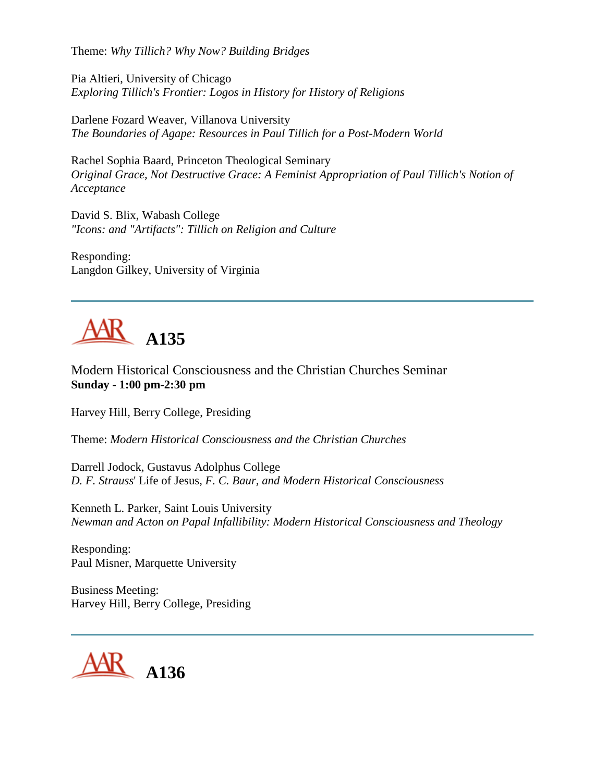Theme: *Why Tillich? Why Now? Building Bridges*

Pia Altieri, University of Chicago *Exploring Tillich's Frontier: Logos in History for History of Religions*

Darlene Fozard Weaver, Villanova University *The Boundaries of Agape: Resources in Paul Tillich for a Post-Modern World*

Rachel Sophia Baard, Princeton Theological Seminary *Original Grace, Not Destructive Grace: A Feminist Appropriation of Paul Tillich's Notion of Acceptance*

David S. Blix, Wabash College *"Icons: and "Artifacts": Tillich on Religion and Culture*

Responding: Langdon Gilkey, University of Virginia

## **A135**

Modern Historical Consciousness and the Christian Churches Seminar **Sunday - 1:00 pm-2:30 pm**

Harvey Hill, Berry College, Presiding

Theme: *Modern Historical Consciousness and the Christian Churches*

Darrell Jodock, Gustavus Adolphus College *D. F. Strauss*' Life of Jesus, *F. C. Baur, and Modern Historical Consciousness*

Kenneth L. Parker, Saint Louis University *Newman and Acton on Papal Infallibility: Modern Historical Consciousness and Theology*

Responding: Paul Misner, Marquette University

Business Meeting: Harvey Hill, Berry College, Presiding

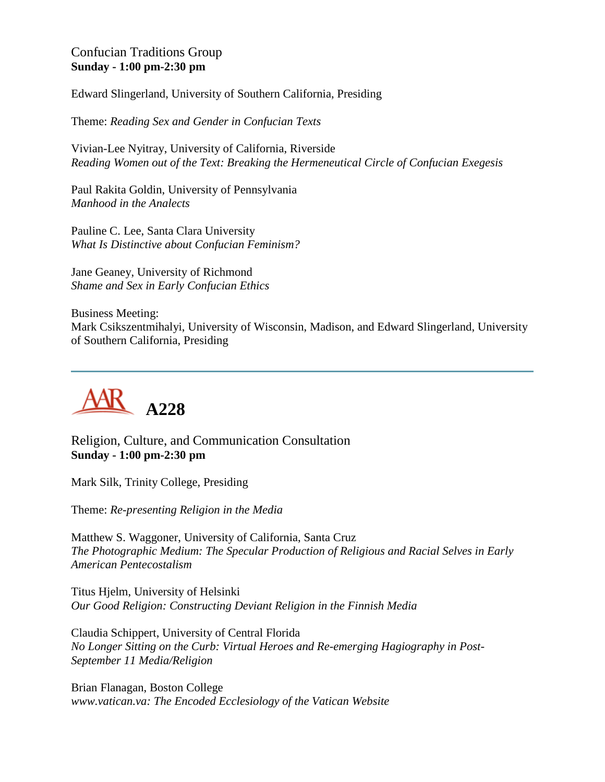#### Confucian Traditions Group **Sunday - 1:00 pm-2:30 pm**

Edward Slingerland, University of Southern California, Presiding

Theme: *Reading Sex and Gender in Confucian Texts*

Vivian-Lee Nyitray, University of California, Riverside *Reading Women out of the Text: Breaking the Hermeneutical Circle of Confucian Exegesis*

Paul Rakita Goldin, University of Pennsylvania *Manhood in the Analects*

Pauline C. Lee, Santa Clara University *What Is Distinctive about Confucian Feminism?*

Jane Geaney, University of Richmond *Shame and Sex in Early Confucian Ethics*

Business Meeting: Mark Csikszentmihalyi, University of Wisconsin, Madison, and Edward Slingerland, University of Southern California, Presiding



Religion, Culture, and Communication Consultation **Sunday - 1:00 pm-2:30 pm**

Mark Silk, Trinity College, Presiding

Theme: *Re-presenting Religion in the Media*

Matthew S. Waggoner, University of California, Santa Cruz *The Photographic Medium: The Specular Production of Religious and Racial Selves in Early American Pentecostalism*

Titus Hjelm, University of Helsinki *Our Good Religion: Constructing Deviant Religion in the Finnish Media*

Claudia Schippert, University of Central Florida *No Longer Sitting on the Curb: Virtual Heroes and Re-emerging Hagiography in Post-September 11 Media/Religion*

Brian Flanagan, Boston College *www.vatican.va: The Encoded Ecclesiology of the Vatican Website*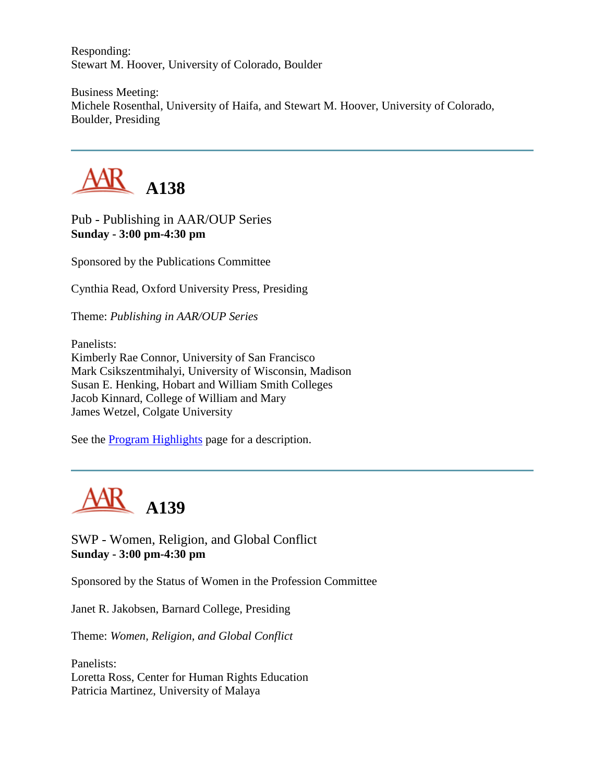Responding: Stewart M. Hoover, University of Colorado, Boulder

Business Meeting: Michele Rosenthal, University of Haifa, and Stewart M. Hoover, University of Colorado, Boulder, Presiding



Pub - Publishing in AAR/OUP Series **Sunday - 3:00 pm-4:30 pm**

Sponsored by the Publications Committee

Cynthia Read, Oxford University Press, Presiding

Theme: *Publishing in AAR/OUP Series*

Panelists: Kimberly Rae Connor, University of San Francisco Mark Csikszentmihalyi, University of Wisconsin, Madison Susan E. Henking, Hobart and William Smith Colleges Jacob Kinnard, College of William and Mary James Wetzel, Colgate University

See the [Program Highlights](http://www.aarweb.org/Meetings/Annual_Meeting/Past_and_Future_Meetings/2003/highlights.asp) page for a description.



SWP - Women, Religion, and Global Conflict **Sunday - 3:00 pm-4:30 pm**

Sponsored by the Status of Women in the Profession Committee

Janet R. Jakobsen, Barnard College, Presiding

Theme: *Women, Religion, and Global Conflict*

Panelists: Loretta Ross, Center for Human Rights Education Patricia Martinez, University of Malaya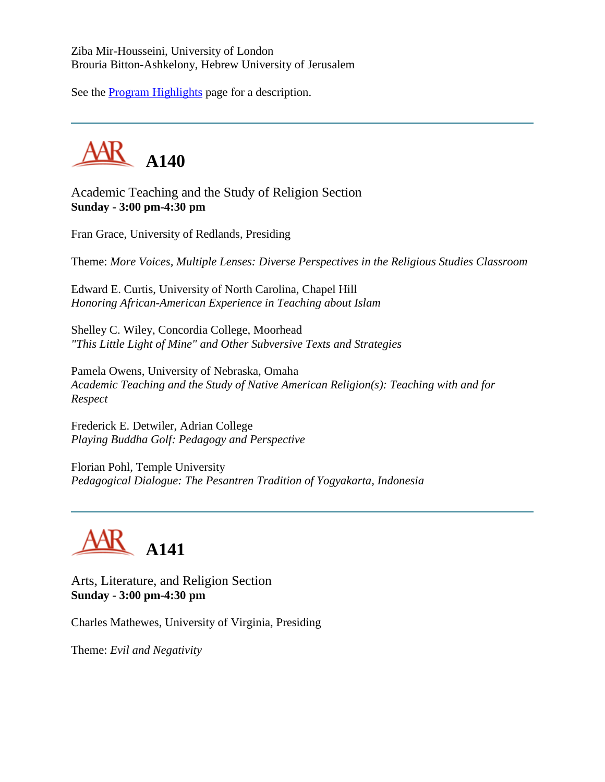Ziba Mir-Housseini, University of London Brouria Bitton-Ashkelony, Hebrew University of Jerusalem

See the [Program Highlights](http://www.aarweb.org/Meetings/Annual_Meeting/Past_and_Future_Meetings/2003/highlights.asp) page for a description.



Academic Teaching and the Study of Religion Section **Sunday - 3:00 pm-4:30 pm**

Fran Grace, University of Redlands, Presiding

Theme: *More Voices, Multiple Lenses: Diverse Perspectives in the Religious Studies Classroom*

Edward E. Curtis, University of North Carolina, Chapel Hill *Honoring African-American Experience in Teaching about Islam*

Shelley C. Wiley, Concordia College, Moorhead *"This Little Light of Mine" and Other Subversive Texts and Strategies*

Pamela Owens, University of Nebraska, Omaha *Academic Teaching and the Study of Native American Religion(s): Teaching with and for Respect*

Frederick E. Detwiler, Adrian College *Playing Buddha Golf: Pedagogy and Perspective*

Florian Pohl, Temple University *Pedagogical Dialogue: The Pesantren Tradition of Yogyakarta, Indonesia*



Arts, Literature, and Religion Section **Sunday - 3:00 pm-4:30 pm**

Charles Mathewes, University of Virginia, Presiding

Theme: *Evil and Negativity*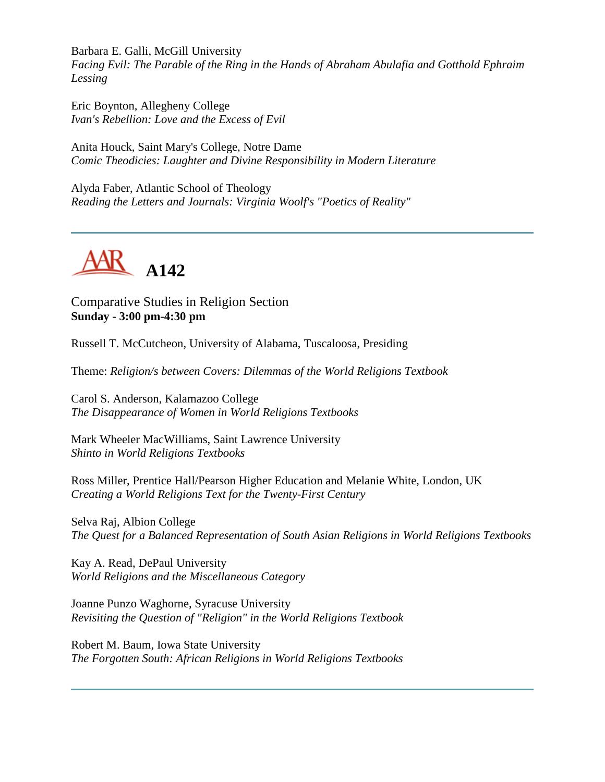Barbara E. Galli, McGill University *Facing Evil: The Parable of the Ring in the Hands of Abraham Abulafia and Gotthold Ephraim Lessing*

Eric Boynton, Allegheny College *Ivan's Rebellion: Love and the Excess of Evil*

Anita Houck, Saint Mary's College, Notre Dame *Comic Theodicies: Laughter and Divine Responsibility in Modern Literature*

Alyda Faber, Atlantic School of Theology *Reading the Letters and Journals: Virginia Woolf's "Poetics of Reality"*



Comparative Studies in Religion Section **Sunday - 3:00 pm-4:30 pm**

Russell T. McCutcheon, University of Alabama, Tuscaloosa, Presiding

Theme: *Religion/s between Covers: Dilemmas of the World Religions Textbook*

Carol S. Anderson, Kalamazoo College *The Disappearance of Women in World Religions Textbooks*

Mark Wheeler MacWilliams, Saint Lawrence University *Shinto in World Religions Textbooks*

Ross Miller, Prentice Hall/Pearson Higher Education and Melanie White, London, UK *Creating a World Religions Text for the Twenty-First Century*

Selva Raj, Albion College *The Quest for a Balanced Representation of South Asian Religions in World Religions Textbooks*

Kay A. Read, DePaul University *World Religions and the Miscellaneous Category*

Joanne Punzo Waghorne, Syracuse University *Revisiting the Question of "Religion" in the World Religions Textbook*

Robert M. Baum, Iowa State University *The Forgotten South: African Religions in World Religions Textbooks*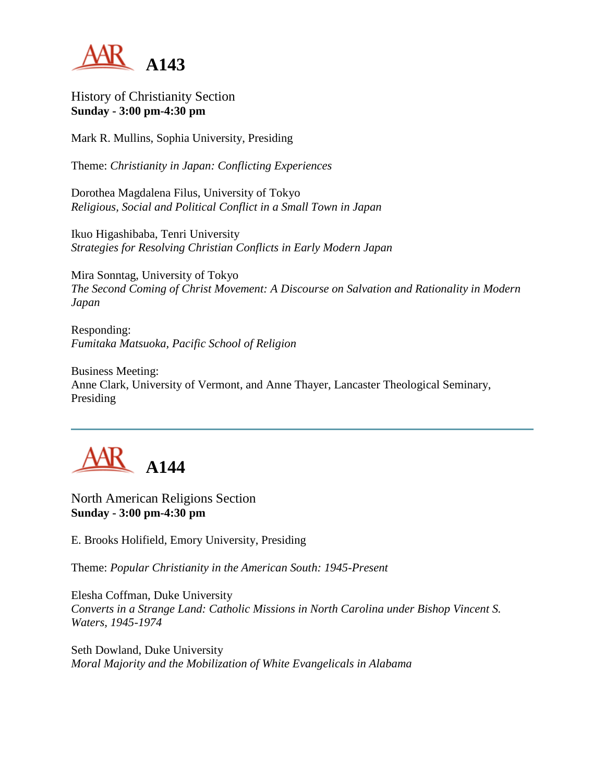

History of Christianity Section **Sunday - 3:00 pm-4:30 pm**

Mark R. Mullins, Sophia University, Presiding

Theme: *Christianity in Japan: Conflicting Experiences*

Dorothea Magdalena Filus, University of Tokyo *Religious, Social and Political Conflict in a Small Town in Japan*

Ikuo Higashibaba, Tenri University *Strategies for Resolving Christian Conflicts in Early Modern Japan*

Mira Sonntag, University of Tokyo *The Second Coming of Christ Movement: A Discourse on Salvation and Rationality in Modern Japan*

Responding: *Fumitaka Matsuoka, Pacific School of Religion*

Business Meeting: Anne Clark, University of Vermont, and Anne Thayer, Lancaster Theological Seminary, Presiding



North American Religions Section **Sunday - 3:00 pm-4:30 pm**

E. Brooks Holifield, Emory University, Presiding

Theme: *Popular Christianity in the American South: 1945-Present*

Elesha Coffman, Duke University *Converts in a Strange Land: Catholic Missions in North Carolina under Bishop Vincent S. Waters, 1945-1974*

Seth Dowland, Duke University *Moral Majority and the Mobilization of White Evangelicals in Alabama*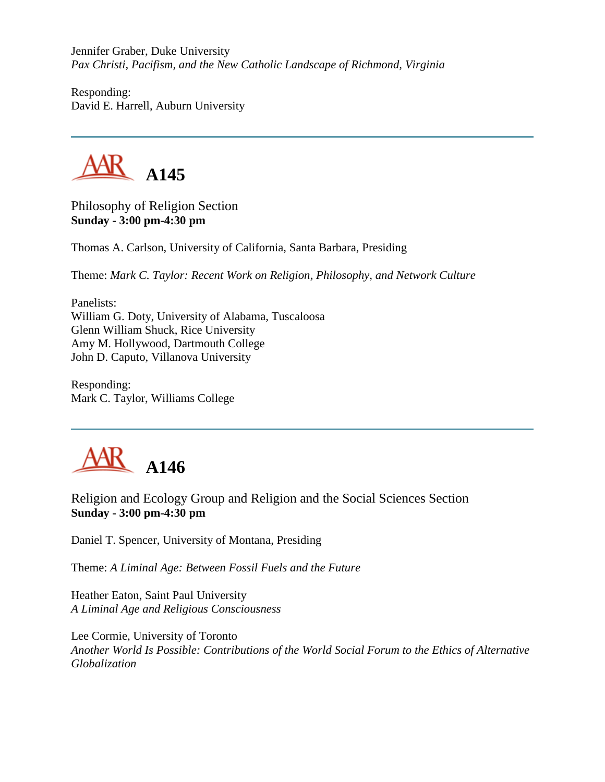Jennifer Graber, Duke University *Pax Christi, Pacifism, and the New Catholic Landscape of Richmond, Virginia*

Responding: David E. Harrell, Auburn University



Philosophy of Religion Section **Sunday - 3:00 pm-4:30 pm**

Thomas A. Carlson, University of California, Santa Barbara, Presiding

Theme: *Mark C. Taylor: Recent Work on Religion, Philosophy, and Network Culture*

Panelists: William G. Doty, University of Alabama, Tuscaloosa Glenn William Shuck, Rice University Amy M. Hollywood, Dartmouth College John D. Caputo, Villanova University

Responding: Mark C. Taylor, Williams College



Religion and Ecology Group and Religion and the Social Sciences Section **Sunday - 3:00 pm-4:30 pm**

Daniel T. Spencer, University of Montana, Presiding

Theme: *A Liminal Age: Between Fossil Fuels and the Future*

Heather Eaton, Saint Paul University *A Liminal Age and Religious Consciousness*

Lee Cormie, University of Toronto *Another World Is Possible: Contributions of the World Social Forum to the Ethics of Alternative Globalization*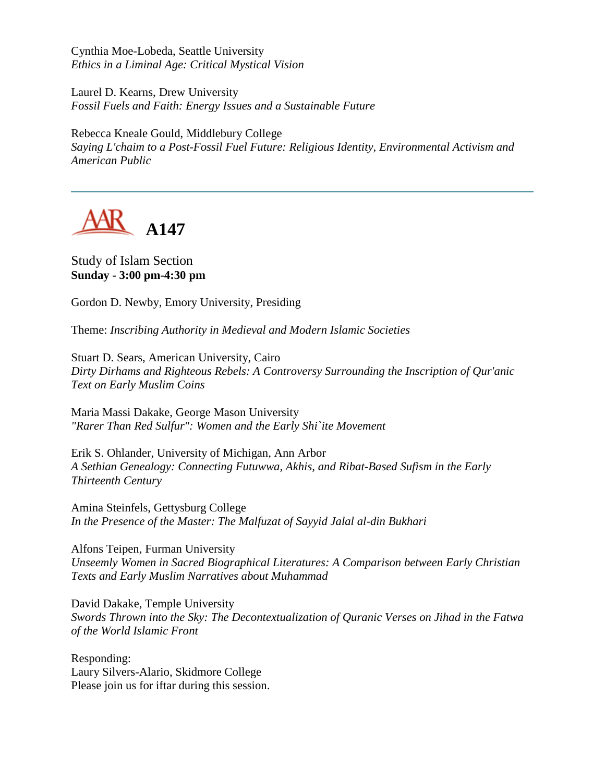Cynthia Moe-Lobeda, Seattle University *Ethics in a Liminal Age: Critical Mystical Vision*

Laurel D. Kearns, Drew University *Fossil Fuels and Faith: Energy Issues and a Sustainable Future*

Rebecca Kneale Gould, Middlebury College *Saying L'chaim to a Post-Fossil Fuel Future: Religious Identity, Environmental Activism and American Public*



Study of Islam Section **Sunday - 3:00 pm-4:30 pm**

Gordon D. Newby, Emory University, Presiding

Theme: *Inscribing Authority in Medieval and Modern Islamic Societies*

Stuart D. Sears, American University, Cairo *Dirty Dirhams and Righteous Rebels: A Controversy Surrounding the Inscription of Qur'anic Text on Early Muslim Coins*

Maria Massi Dakake, George Mason University *"Rarer Than Red Sulfur": Women and the Early Shi`ite Movement*

Erik S. Ohlander, University of Michigan, Ann Arbor *A Sethian Genealogy: Connecting Futuwwa, Akhis, and Ribat-Based Sufism in the Early Thirteenth Century*

Amina Steinfels, Gettysburg College *In the Presence of the Master: The Malfuzat of Sayyid Jalal al-din Bukhari*

Alfons Teipen, Furman University *Unseemly Women in Sacred Biographical Literatures: A Comparison between Early Christian Texts and Early Muslim Narratives about Muhammad*

David Dakake, Temple University *Swords Thrown into the Sky: The Decontextualization of Quranic Verses on Jihad in the Fatwa of the World Islamic Front*

Responding: Laury Silvers-Alario, Skidmore College Please join us for iftar during this session.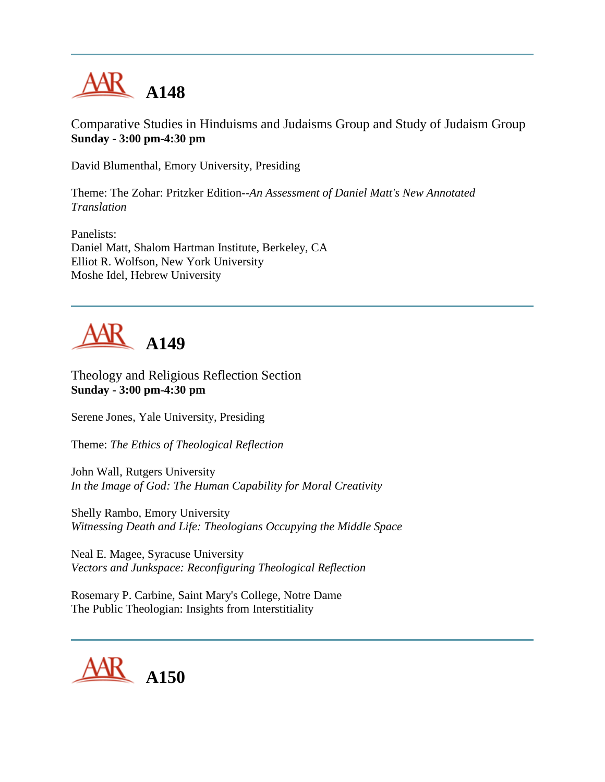

Comparative Studies in Hinduisms and Judaisms Group and Study of Judaism Group **Sunday - 3:00 pm-4:30 pm**

David Blumenthal, Emory University, Presiding

Theme: The Zohar: Pritzker Edition--*An Assessment of Daniel Matt's New Annotated Translation*

Panelists: Daniel Matt, Shalom Hartman Institute, Berkeley, CA Elliot R. Wolfson, New York University Moshe Idel, Hebrew University



Theology and Religious Reflection Section **Sunday - 3:00 pm-4:30 pm**

Serene Jones, Yale University, Presiding

Theme: *The Ethics of Theological Reflection*

John Wall, Rutgers University *In the Image of God: The Human Capability for Moral Creativity*

Shelly Rambo, Emory University *Witnessing Death and Life: Theologians Occupying the Middle Space*

Neal E. Magee, Syracuse University *Vectors and Junkspace: Reconfiguring Theological Reflection*

Rosemary P. Carbine, Saint Mary's College, Notre Dame The Public Theologian: Insights from Interstitiality

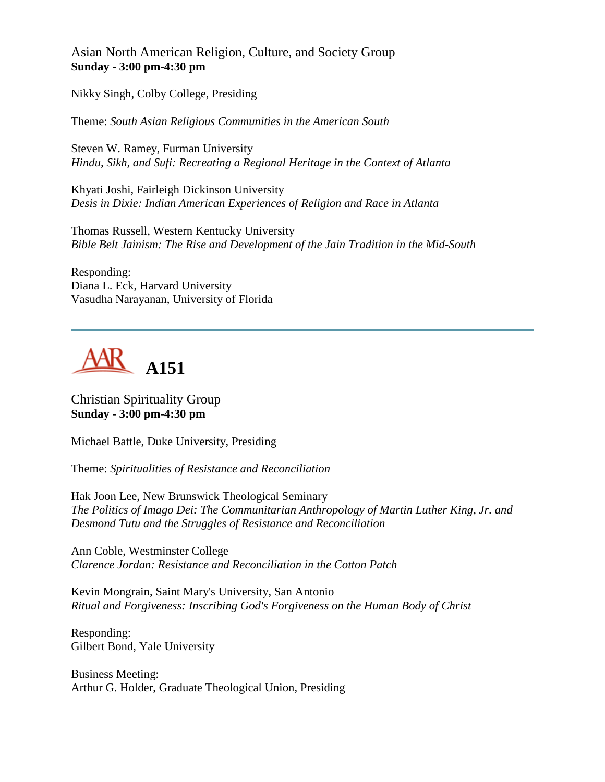Asian North American Religion, Culture, and Society Group **Sunday - 3:00 pm-4:30 pm**

Nikky Singh, Colby College, Presiding

Theme: *South Asian Religious Communities in the American South*

Steven W. Ramey, Furman University *Hindu, Sikh, and Sufi: Recreating a Regional Heritage in the Context of Atlanta*

Khyati Joshi, Fairleigh Dickinson University *Desis in Dixie: Indian American Experiences of Religion and Race in Atlanta*

Thomas Russell, Western Kentucky University *Bible Belt Jainism: The Rise and Development of the Jain Tradition in the Mid-South*

Responding: Diana L. Eck, Harvard University Vasudha Narayanan, University of Florida



Christian Spirituality Group **Sunday - 3:00 pm-4:30 pm**

Michael Battle, Duke University, Presiding

Theme: *Spiritualities of Resistance and Reconciliation*

Hak Joon Lee, New Brunswick Theological Seminary *The Politics of Imago Dei: The Communitarian Anthropology of Martin Luther King, Jr. and Desmond Tutu and the Struggles of Resistance and Reconciliation*

Ann Coble, Westminster College *Clarence Jordan: Resistance and Reconciliation in the Cotton Patch*

Kevin Mongrain, Saint Mary's University, San Antonio *Ritual and Forgiveness: Inscribing God's Forgiveness on the Human Body of Christ*

Responding: Gilbert Bond, Yale University

Business Meeting: Arthur G. Holder, Graduate Theological Union, Presiding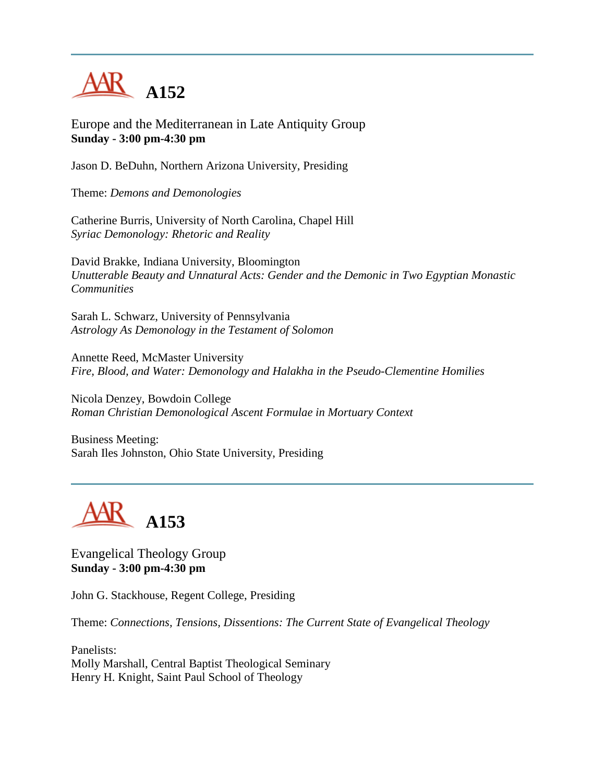

Europe and the Mediterranean in Late Antiquity Group **Sunday - 3:00 pm-4:30 pm**

Jason D. BeDuhn, Northern Arizona University, Presiding

Theme: *Demons and Demonologies*

Catherine Burris, University of North Carolina, Chapel Hill *Syriac Demonology: Rhetoric and Reality*

David Brakke, Indiana University, Bloomington *Unutterable Beauty and Unnatural Acts: Gender and the Demonic in Two Egyptian Monastic Communities*

Sarah L. Schwarz, University of Pennsylvania *Astrology As Demonology in the Testament of Solomon*

Annette Reed, McMaster University *Fire, Blood, and Water: Demonology and Halakha in the Pseudo-Clementine Homilies*

Nicola Denzey, Bowdoin College *Roman Christian Demonological Ascent Formulae in Mortuary Context*

Business Meeting: Sarah Iles Johnston, Ohio State University, Presiding



Evangelical Theology Group **Sunday - 3:00 pm-4:30 pm**

John G. Stackhouse, Regent College, Presiding

Theme: *Connections, Tensions, Dissentions: The Current State of Evangelical Theology*

Panelists: Molly Marshall, Central Baptist Theological Seminary Henry H. Knight, Saint Paul School of Theology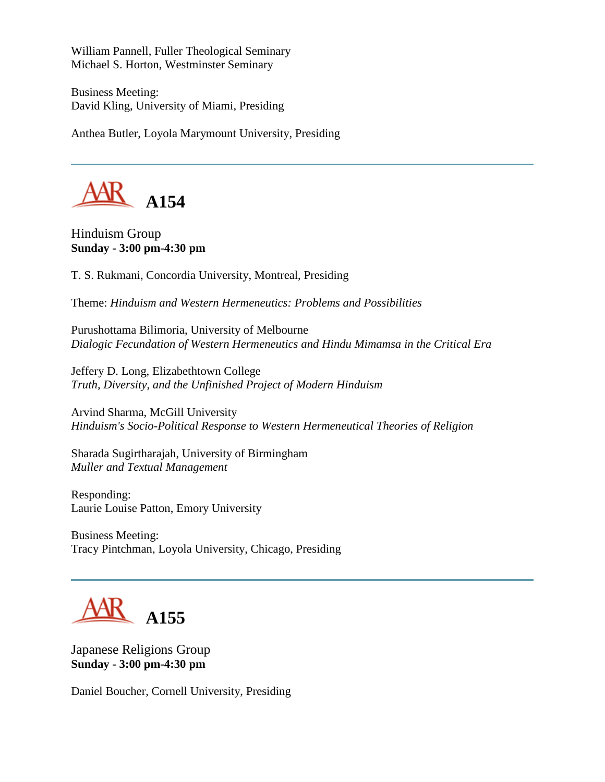William Pannell, Fuller Theological Seminary Michael S. Horton, Westminster Seminary

Business Meeting: David Kling, University of Miami, Presiding

Anthea Butler, Loyola Marymount University, Presiding



Hinduism Group **Sunday - 3:00 pm-4:30 pm**

T. S. Rukmani, Concordia University, Montreal, Presiding

Theme: *Hinduism and Western Hermeneutics: Problems and Possibilities*

Purushottama Bilimoria, University of Melbourne *Dialogic Fecundation of Western Hermeneutics and Hindu Mimamsa in the Critical Era*

Jeffery D. Long, Elizabethtown College *Truth, Diversity, and the Unfinished Project of Modern Hinduism*

Arvind Sharma, McGill University *Hinduism's Socio-Political Response to Western Hermeneutical Theories of Religion*

Sharada Sugirtharajah, University of Birmingham *Muller and Textual Management*

Responding: Laurie Louise Patton, Emory University

Business Meeting: Tracy Pintchman, Loyola University, Chicago, Presiding



Japanese Religions Group **Sunday - 3:00 pm-4:30 pm**

Daniel Boucher, Cornell University, Presiding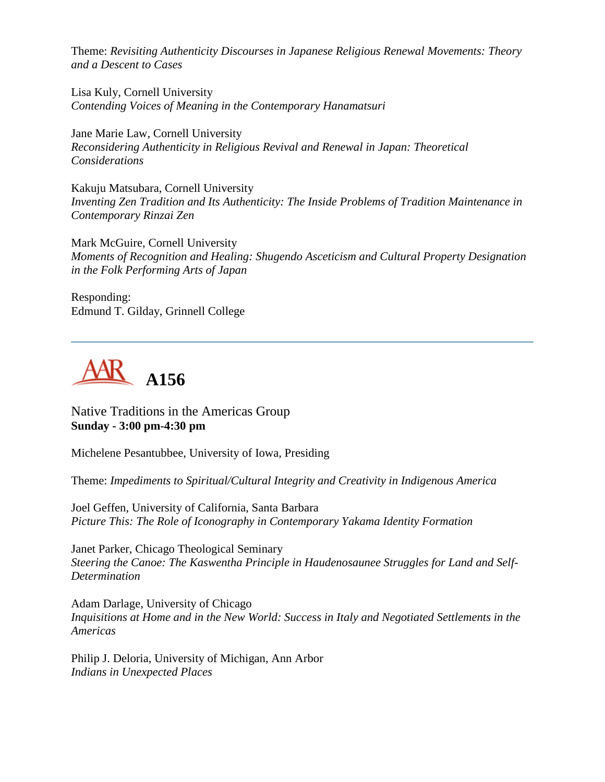Theme: *Revisiting Authenticity Discourses in Japanese Religious Renewal Movements: Theory and a Descent to Cases*

Lisa Kuly, Cornell University *Contending Voices of Meaning in the Contemporary Hanamatsuri*

Jane Marie Law, Cornell University *Reconsidering Authenticity in Religious Revival and Renewal in Japan: Theoretical Considerations*

Kakuju Matsubara, Cornell University *Inventing Zen Tradition and Its Authenticity: The Inside Problems of Tradition Maintenance in Contemporary Rinzai Zen*

Mark McGuire, Cornell University *Moments of Recognition and Healing: Shugendo Asceticism and Cultural Property Designation in the Folk Performing Arts of Japan*

Responding: Edmund T. Gilday, Grinnell College



Native Traditions in the Americas Group **Sunday - 3:00 pm-4:30 pm**

Michelene Pesantubbee, University of Iowa, Presiding

Theme: *Impediments to Spiritual/Cultural Integrity and Creativity in Indigenous America*

Joel Geffen, University of California, Santa Barbara *Picture This: The Role of Iconography in Contemporary Yakama Identity Formation*

Janet Parker, Chicago Theological Seminary *Steering the Canoe: The Kaswentha Principle in Haudenosaunee Struggles for Land and Self-Determination*

Adam Darlage, University of Chicago *Inquisitions at Home and in the New World: Success in Italy and Negotiated Settlements in the Americas*

Philip J. Deloria, University of Michigan, Ann Arbor *Indians in Unexpected Places*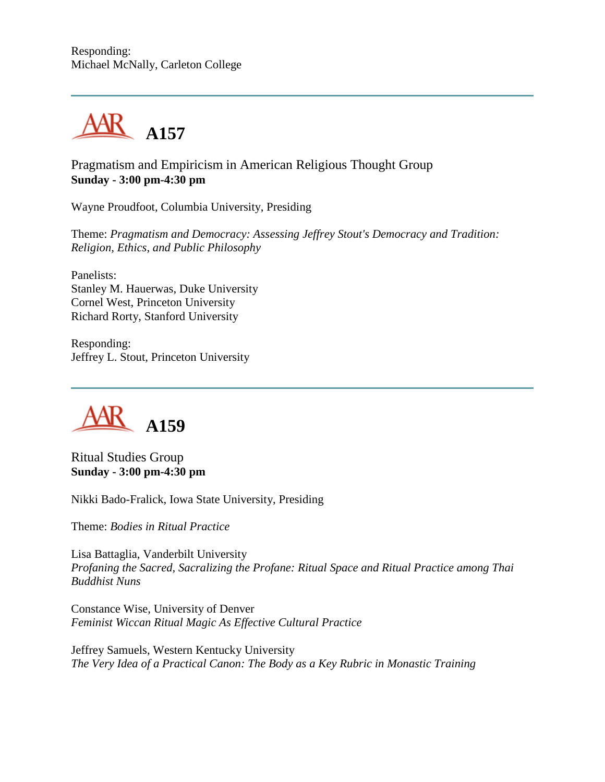

Pragmatism and Empiricism in American Religious Thought Group **Sunday - 3:00 pm-4:30 pm**

Wayne Proudfoot, Columbia University, Presiding

Theme: *Pragmatism and Democracy: Assessing Jeffrey Stout's Democracy and Tradition: Religion, Ethics, and Public Philosophy*

Panelists: Stanley M. Hauerwas, Duke University Cornel West, Princeton University Richard Rorty, Stanford University

Responding: Jeffrey L. Stout, Princeton University



Ritual Studies Group **Sunday - 3:00 pm-4:30 pm**

Nikki Bado-Fralick, Iowa State University, Presiding

Theme: *Bodies in Ritual Practice*

Lisa Battaglia, Vanderbilt University *Profaning the Sacred, Sacralizing the Profane: Ritual Space and Ritual Practice among Thai Buddhist Nuns*

Constance Wise, University of Denver *Feminist Wiccan Ritual Magic As Effective Cultural Practice*

Jeffrey Samuels, Western Kentucky University *The Very Idea of a Practical Canon: The Body as a Key Rubric in Monastic Training*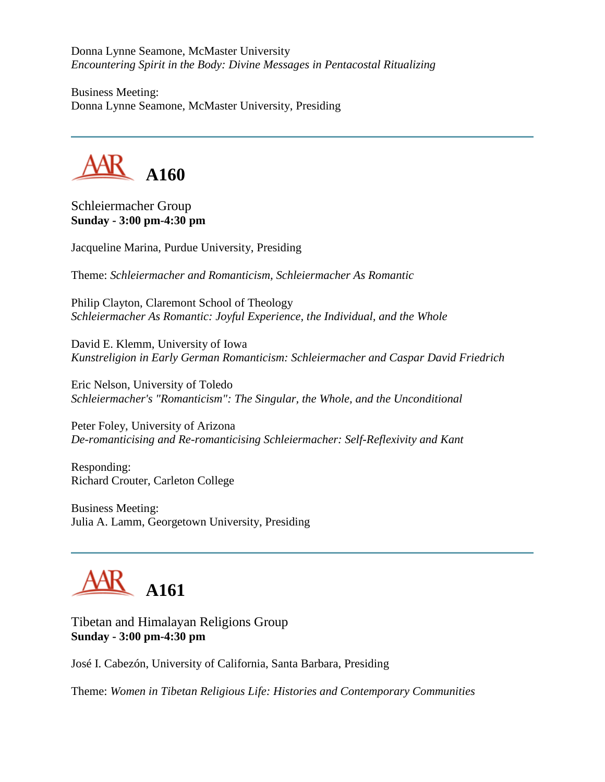Donna Lynne Seamone, McMaster University *Encountering Spirit in the Body: Divine Messages in Pentacostal Ritualizing*

Business Meeting: Donna Lynne Seamone, McMaster University, Presiding



Schleiermacher Group **Sunday - 3:00 pm-4:30 pm**

Jacqueline Marina, Purdue University, Presiding

Theme: *Schleiermacher and Romanticism, Schleiermacher As Romantic*

Philip Clayton, Claremont School of Theology *Schleiermacher As Romantic: Joyful Experience, the Individual, and the Whole*

David E. Klemm, University of Iowa *Kunstreligion in Early German Romanticism: Schleiermacher and Caspar David Friedrich*

Eric Nelson, University of Toledo *Schleiermacher's "Romanticism": The Singular, the Whole, and the Unconditional*

Peter Foley, University of Arizona *De-romanticising and Re-romanticising Schleiermacher: Self-Reflexivity and Kant*

Responding: Richard Crouter, Carleton College

Business Meeting: Julia A. Lamm, Georgetown University, Presiding

**A161**

Tibetan and Himalayan Religions Group **Sunday - 3:00 pm-4:30 pm**

José I. Cabezón, University of California, Santa Barbara, Presiding

Theme: *Women in Tibetan Religious Life: Histories and Contemporary Communities*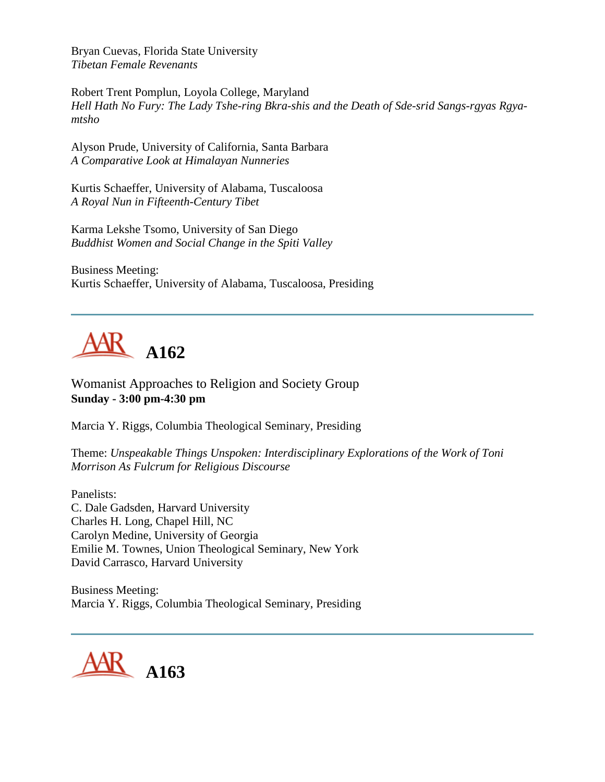Bryan Cuevas, Florida State University *Tibetan Female Revenants*

Robert Trent Pomplun, Loyola College, Maryland *Hell Hath No Fury: The Lady Tshe-ring Bkra-shis and the Death of Sde-srid Sangs-rgyas Rgyamtsho*

Alyson Prude, University of California, Santa Barbara *A Comparative Look at Himalayan Nunneries*

Kurtis Schaeffer, University of Alabama, Tuscaloosa *A Royal Nun in Fifteenth-Century Tibet*

Karma Lekshe Tsomo, University of San Diego *Buddhist Women and Social Change in the Spiti Valley*

Business Meeting: Kurtis Schaeffer, University of Alabama, Tuscaloosa, Presiding



Womanist Approaches to Religion and Society Group **Sunday - 3:00 pm-4:30 pm**

Marcia Y. Riggs, Columbia Theological Seminary, Presiding

Theme: *Unspeakable Things Unspoken: Interdisciplinary Explorations of the Work of Toni Morrison As Fulcrum for Religious Discourse*

Panelists: C. Dale Gadsden, Harvard University Charles H. Long, Chapel Hill, NC Carolyn Medine, University of Georgia Emilie M. Townes, Union Theological Seminary, New York David Carrasco, Harvard University

Business Meeting: Marcia Y. Riggs, Columbia Theological Seminary, Presiding

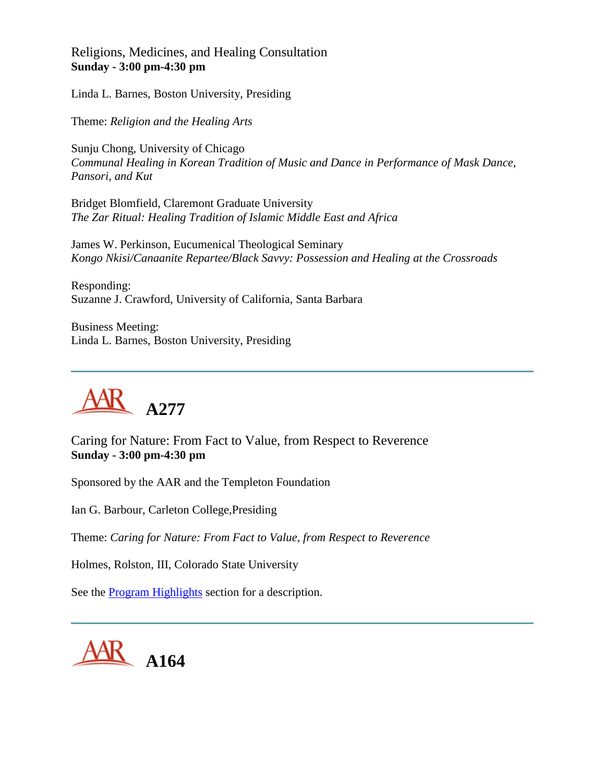Religions, Medicines, and Healing Consultation **Sunday - 3:00 pm-4:30 pm**

Linda L. Barnes, Boston University, Presiding

Theme: *Religion and the Healing Arts*

Sunju Chong, University of Chicago *Communal Healing in Korean Tradition of Music and Dance in Performance of Mask Dance, Pansori, and Kut*

Bridget Blomfield, Claremont Graduate University *The Zar Ritual: Healing Tradition of Islamic Middle East and Africa*

James W. Perkinson, Eucumenical Theological Seminary *Kongo Nkisi/Canaanite Repartee/Black Savvy: Possession and Healing at the Crossroads*

Responding: Suzanne J. Crawford, University of California, Santa Barbara

Business Meeting: Linda L. Barnes, Boston University, Presiding



Caring for Nature: From Fact to Value, from Respect to Reverence **Sunday - 3:00 pm-4:30 pm**

Sponsored by the AAR and the Templeton Foundation

Ian G. Barbour, Carleton College,Presiding

Theme: *Caring for Nature: From Fact to Value, from Respect to Reverence*

Holmes, Rolston, III, Colorado State University

See the [Program Highlights](http://www.aarweb.org/Meetings/Annual_Meeting/Past_and_Future_Meetings/2003/highlights.asp) section for a description.

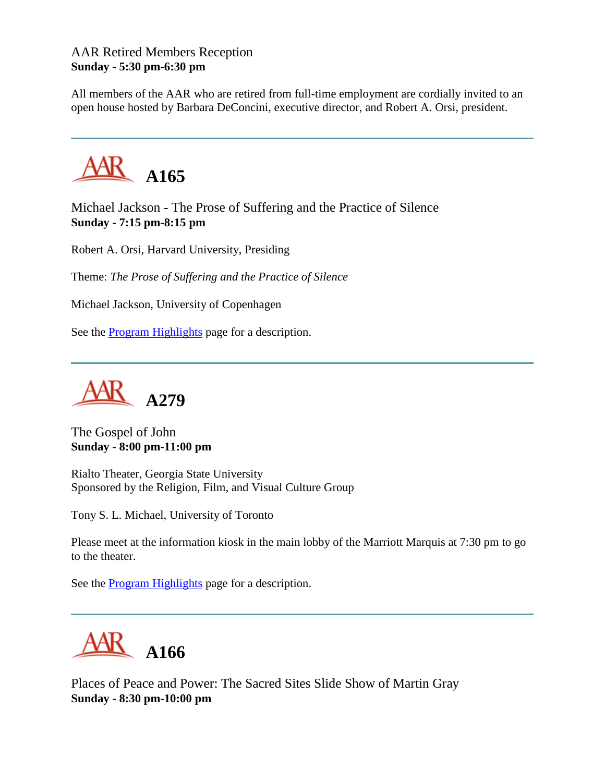## AAR Retired Members Reception **Sunday - 5:30 pm-6:30 pm**

All members of the AAR who are retired from full-time employment are cordially invited to an open house hosted by Barbara DeConcini, executive director, and Robert A. Orsi, president.



Michael Jackson - The Prose of Suffering and the Practice of Silence **Sunday - 7:15 pm-8:15 pm**

Robert A. Orsi, Harvard University, Presiding

Theme: *The Prose of Suffering and the Practice of Silence*

Michael Jackson, University of Copenhagen

See the [Program Highlights](http://www.aarweb.org/Meetings/Annual_Meeting/Past_and_Future_Meetings/2003/highlights.asp) page for a description.



The Gospel of John **Sunday - 8:00 pm-11:00 pm**

Rialto Theater, Georgia State University Sponsored by the Religion, Film, and Visual Culture Group

Tony S. L. Michael, University of Toronto

Please meet at the information kiosk in the main lobby of the Marriott Marquis at 7:30 pm to go to the theater.

See the [Program Highlights](http://www.aarweb.org/Meetings/Annual_Meeting/Past_and_Future_Meetings/2003/highlights.asp) page for a description.



Places of Peace and Power: The Sacred Sites Slide Show of Martin Gray **Sunday - 8:30 pm-10:00 pm**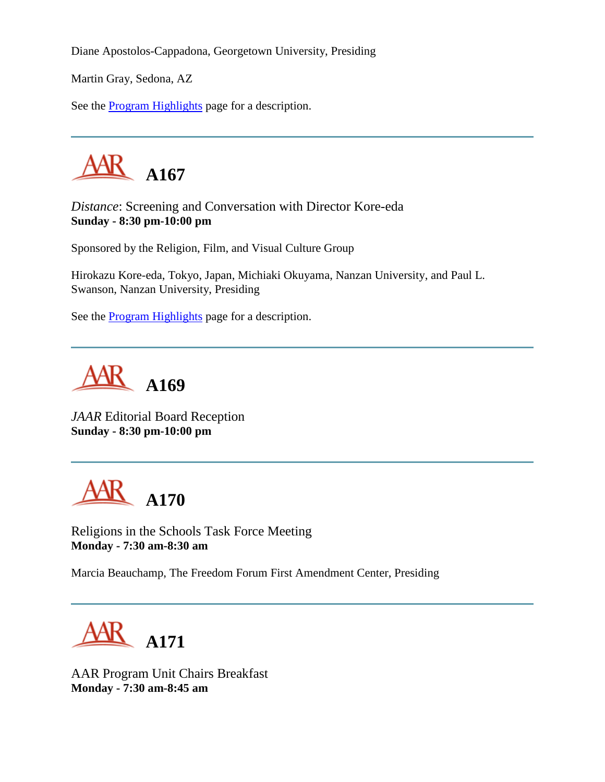Diane Apostolos-Cappadona, Georgetown University, Presiding

Martin Gray, Sedona, AZ

See the [Program Highlights](http://www.aarweb.org/Meetings/Annual_Meeting/Past_and_Future_Meetings/2003/highlights.asp) page for a description.



*Distance*: Screening and Conversation with Director Kore-eda **Sunday - 8:30 pm-10:00 pm**

Sponsored by the Religion, Film, and Visual Culture Group

Hirokazu Kore-eda, Tokyo, Japan, Michiaki Okuyama, Nanzan University, and Paul L. Swanson, Nanzan University, Presiding

See the [Program Highlights](http://www.aarweb.org/Meetings/Annual_Meeting/Past_and_Future_Meetings/2003/highlights.asp) page for a description.



*JAAR* Editorial Board Reception **Sunday - 8:30 pm-10:00 pm**



Religions in the Schools Task Force Meeting **Monday - 7:30 am-8:30 am**

Marcia Beauchamp, The Freedom Forum First Amendment Center, Presiding



AAR Program Unit Chairs Breakfast **Monday - 7:30 am-8:45 am**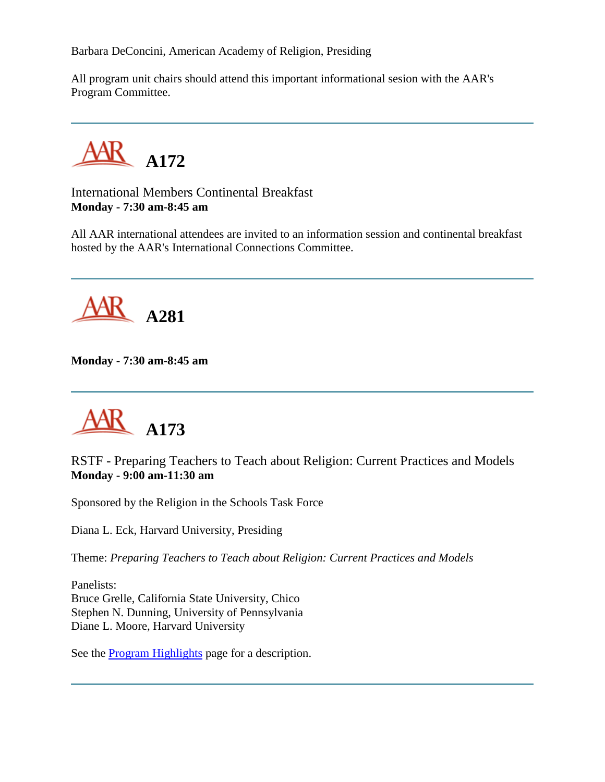Barbara DeConcini, American Academy of Religion, Presiding

All program unit chairs should attend this important informational sesion with the AAR's Program Committee.

**A172**

International Members Continental Breakfast **Monday - 7:30 am-8:45 am**

All AAR international attendees are invited to an information session and continental breakfast hosted by the AAR's International Connections Committee.



**Monday - 7:30 am-8:45 am**



RSTF - Preparing Teachers to Teach about Religion: Current Practices and Models **Monday - 9:00 am-11:30 am**

Sponsored by the Religion in the Schools Task Force

Diana L. Eck, Harvard University, Presiding

Theme: *Preparing Teachers to Teach about Religion: Current Practices and Models*

Panelists: Bruce Grelle, California State University, Chico Stephen N. Dunning, University of Pennsylvania Diane L. Moore, Harvard University

See the [Program Highlights](http://www.aarweb.org/Meetings/Annual_Meeting/Past_and_Future_Meetings/2003/highlights.asp) page for a description.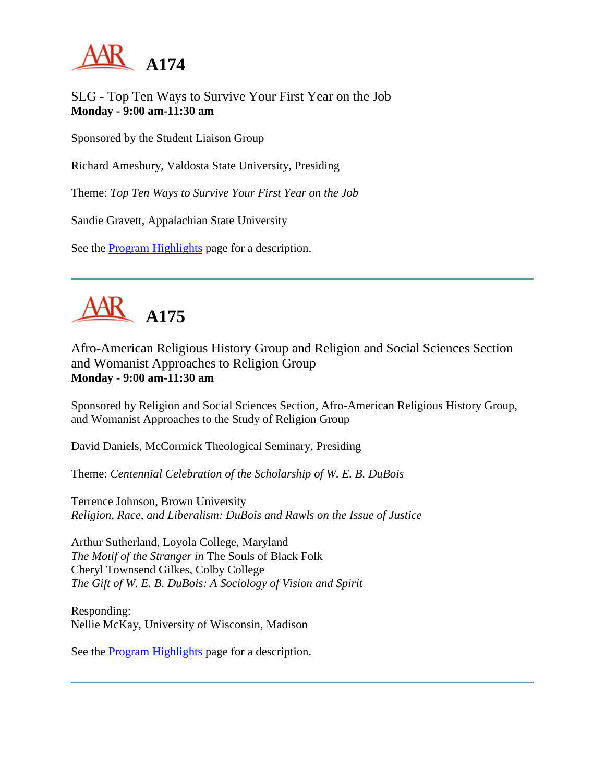

SLG - Top Ten Ways to Survive Your First Year on the Job **Monday - 9:00 am-11:30 am**

Sponsored by the Student Liaison Group

Richard Amesbury, Valdosta State University, Presiding

Theme: *Top Ten Ways to Survive Your First Year on the Job*

Sandie Gravett, Appalachian State University

See the [Program Highlights](http://www.aarweb.org/Meetings/Annual_Meeting/Past_and_Future_Meetings/2003/highlights.asp) page for a description.



Afro-American Religious History Group and Religion and Social Sciences Section and Womanist Approaches to Religion Group **Monday - 9:00 am-11:30 am**

Sponsored by Religion and Social Sciences Section, Afro-American Religious History Group, and Womanist Approaches to the Study of Religion Group

David Daniels, McCormick Theological Seminary, Presiding

Theme: *Centennial Celebration of the Scholarship of W. E. B. DuBois*

Terrence Johnson, Brown University *Religion, Race, and Liberalism: DuBois and Rawls on the Issue of Justice*

Arthur Sutherland, Loyola College, Maryland *The Motif of the Stranger in* The Souls of Black Folk Cheryl Townsend Gilkes, Colby College *The Gift of W. E. B. DuBois: A Sociology of Vision and Spirit*

Responding: Nellie McKay, University of Wisconsin, Madison

See the [Program Highlights](http://www.aarweb.org/Meetings/Annual_Meeting/Past_and_Future_Meetings/2003/highlights.asp) page for a description.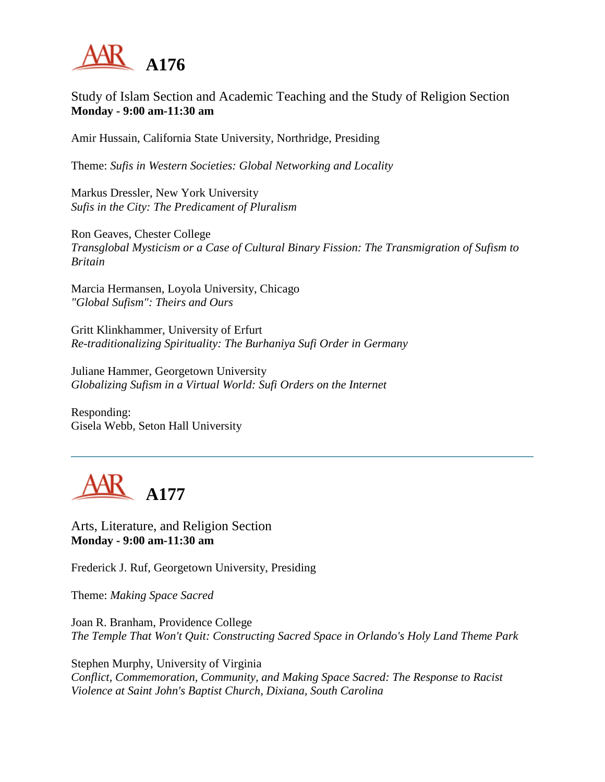

## Study of Islam Section and Academic Teaching and the Study of Religion Section **Monday - 9:00 am-11:30 am**

Amir Hussain, California State University, Northridge, Presiding

Theme: *Sufis in Western Societies: Global Networking and Locality*

Markus Dressler, New York University *Sufis in the City: The Predicament of Pluralism*

Ron Geaves, Chester College *Transglobal Mysticism or a Case of Cultural Binary Fission: The Transmigration of Sufism to Britain*

Marcia Hermansen, Loyola University, Chicago *"Global Sufism": Theirs and Ours*

Gritt Klinkhammer, University of Erfurt *Re-traditionalizing Spirituality: The Burhaniya Sufi Order in Germany*

Juliane Hammer, Georgetown University *Globalizing Sufism in a Virtual World: Sufi Orders on the Internet*

Responding: Gisela Webb, Seton Hall University



Arts, Literature, and Religion Section **Monday - 9:00 am-11:30 am**

Frederick J. Ruf, Georgetown University, Presiding

Theme: *Making Space Sacred*

Joan R. Branham, Providence College *The Temple That Won't Quit: Constructing Sacred Space in Orlando's Holy Land Theme Park*

Stephen Murphy, University of Virginia *Conflict, Commemoration, Community, and Making Space Sacred: The Response to Racist Violence at Saint John's Baptist Church, Dixiana, South Carolina*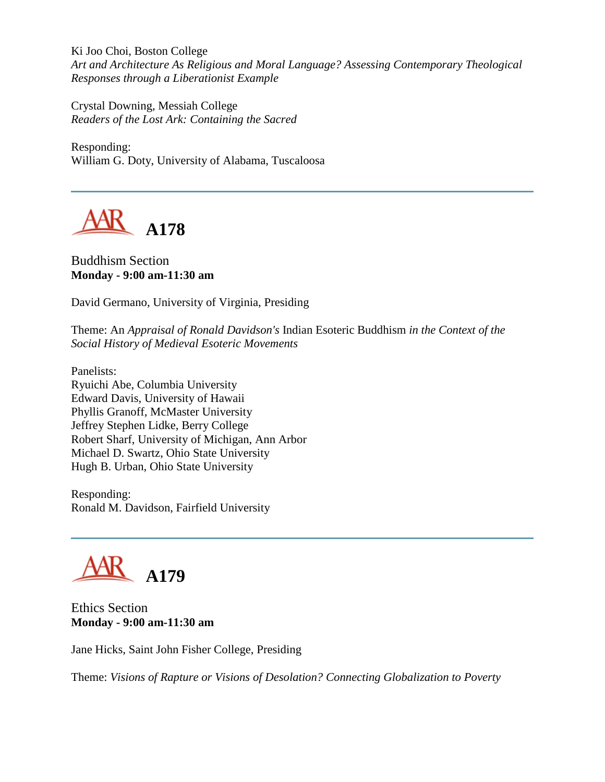Ki Joo Choi, Boston College *Art and Architecture As Religious and Moral Language? Assessing Contemporary Theological Responses through a Liberationist Example*

Crystal Downing, Messiah College *Readers of the Lost Ark: Containing the Sacred*

Responding: William G. Doty, University of Alabama, Tuscaloosa



### Buddhism Section **Monday - 9:00 am-11:30 am**

David Germano, University of Virginia, Presiding

Theme: An *Appraisal of Ronald Davidson's* Indian Esoteric Buddhism *in the Context of the Social History of Medieval Esoteric Movements*

Panelists: Ryuichi Abe, Columbia University Edward Davis, University of Hawaii Phyllis Granoff, McMaster University Jeffrey Stephen Lidke, Berry College Robert Sharf, University of Michigan, Ann Arbor Michael D. Swartz, Ohio State University Hugh B. Urban, Ohio State University

Responding: Ronald M. Davidson, Fairfield University



Ethics Section **Monday - 9:00 am-11:30 am**

Jane Hicks, Saint John Fisher College, Presiding

Theme: *Visions of Rapture or Visions of Desolation? Connecting Globalization to Poverty*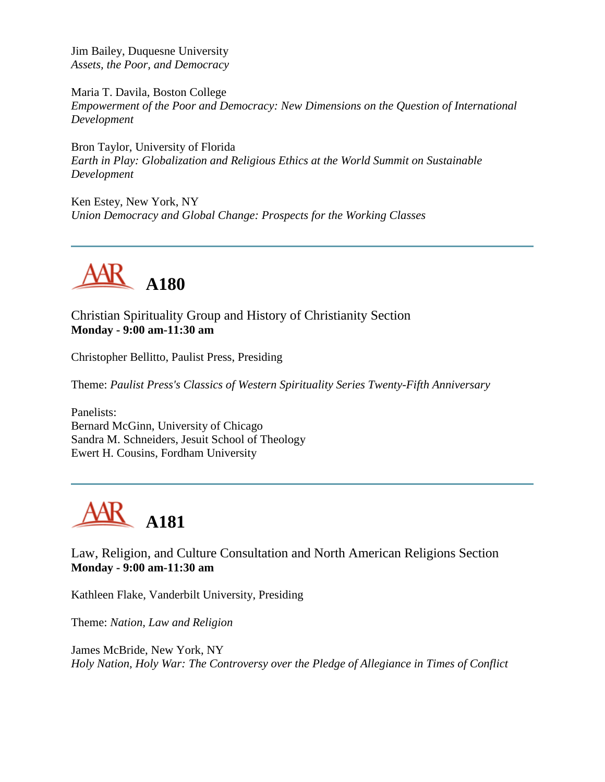Jim Bailey, Duquesne University *Assets, the Poor, and Democracy*

Maria T. Davila, Boston College *Empowerment of the Poor and Democracy: New Dimensions on the Question of International Development*

Bron Taylor, University of Florida *Earth in Play: Globalization and Religious Ethics at the World Summit on Sustainable Development*

Ken Estey, New York, NY *Union Democracy and Global Change: Prospects for the Working Classes*



Christian Spirituality Group and History of Christianity Section **Monday - 9:00 am-11:30 am**

Christopher Bellitto, Paulist Press, Presiding

Theme: *Paulist Press's Classics of Western Spirituality Series Twenty-Fifth Anniversary*

Panelists: Bernard McGinn, University of Chicago Sandra M. Schneiders, Jesuit School of Theology Ewert H. Cousins, Fordham University



Law, Religion, and Culture Consultation and North American Religions Section **Monday - 9:00 am-11:30 am**

Kathleen Flake, Vanderbilt University, Presiding

Theme: *Nation, Law and Religion*

James McBride, New York, NY *Holy Nation, Holy War: The Controversy over the Pledge of Allegiance in Times of Conflict*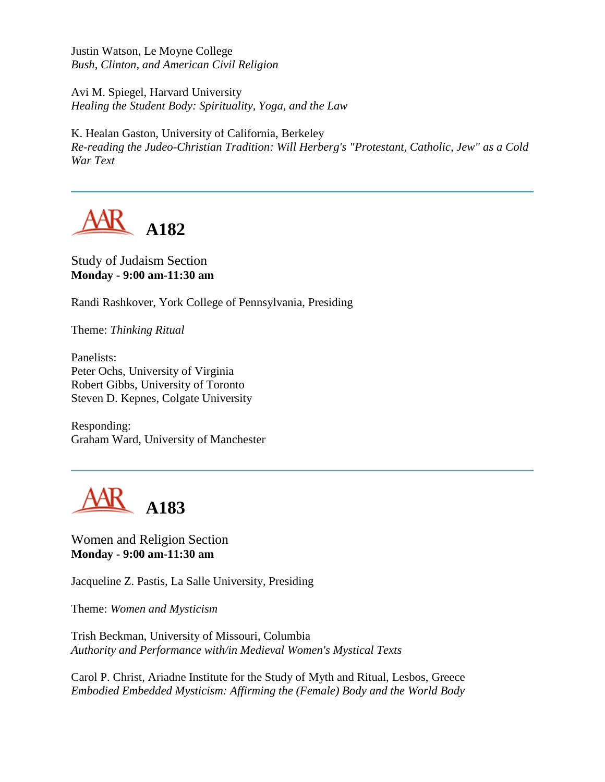Justin Watson, Le Moyne College *Bush, Clinton, and American Civil Religion*

Avi M. Spiegel, Harvard University *Healing the Student Body: Spirituality, Yoga, and the Law*

K. Healan Gaston, University of California, Berkeley *Re-reading the Judeo-Christian Tradition: Will Herberg's "Protestant, Catholic, Jew" as a Cold War Text*



Study of Judaism Section **Monday - 9:00 am-11:30 am**

Randi Rashkover, York College of Pennsylvania, Presiding

Theme: *Thinking Ritual*

Panelists: Peter Ochs, University of Virginia Robert Gibbs, University of Toronto Steven D. Kepnes, Colgate University

Responding: Graham Ward, University of Manchester



Women and Religion Section **Monday - 9:00 am-11:30 am**

Jacqueline Z. Pastis, La Salle University, Presiding

Theme: *Women and Mysticism*

Trish Beckman, University of Missouri, Columbia *Authority and Performance with/in Medieval Women's Mystical Texts*

Carol P. Christ, Ariadne Institute for the Study of Myth and Ritual, Lesbos, Greece *Embodied Embedded Mysticism: Affirming the (Female) Body and the World Body*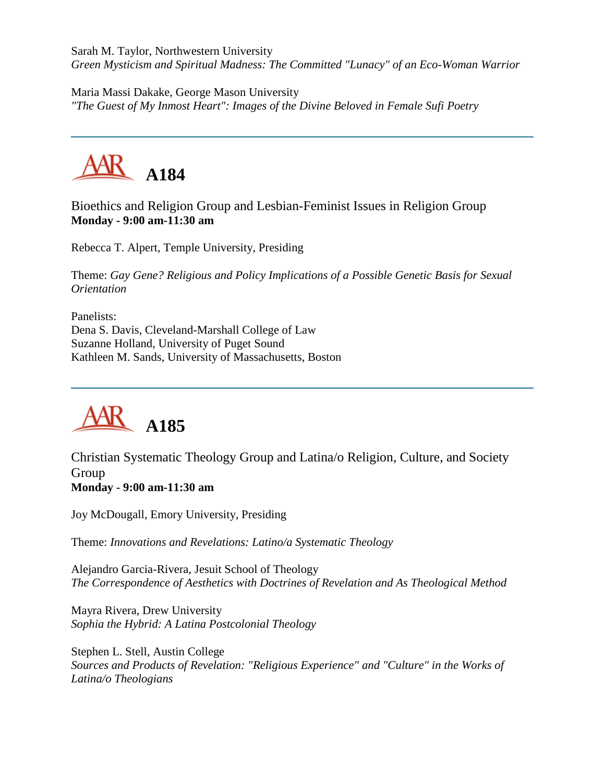Sarah M. Taylor, Northwestern University *Green Mysticism and Spiritual Madness: The Committed "Lunacy" of an Eco-Woman Warrior*

Maria Massi Dakake, George Mason University *"The Guest of My Inmost Heart": Images of the Divine Beloved in Female Sufi Poetry*



Bioethics and Religion Group and Lesbian-Feminist Issues in Religion Group **Monday - 9:00 am-11:30 am**

Rebecca T. Alpert, Temple University, Presiding

Theme: *Gay Gene? Religious and Policy Implications of a Possible Genetic Basis for Sexual Orientation*

Panelists: Dena S. Davis, Cleveland-Marshall College of Law Suzanne Holland, University of Puget Sound Kathleen M. Sands, University of Massachusetts, Boston



Christian Systematic Theology Group and Latina/o Religion, Culture, and Society Group **Monday - 9:00 am-11:30 am**

Joy McDougall, Emory University, Presiding

Theme: *Innovations and Revelations: Latino/a Systematic Theology*

Alejandro Garcia-Rivera, Jesuit School of Theology *The Correspondence of Aesthetics with Doctrines of Revelation and As Theological Method*

Mayra Rivera, Drew University *Sophia the Hybrid: A Latina Postcolonial Theology*

Stephen L. Stell, Austin College *Sources and Products of Revelation: "Religious Experience" and "Culture" in the Works of Latina/o Theologians*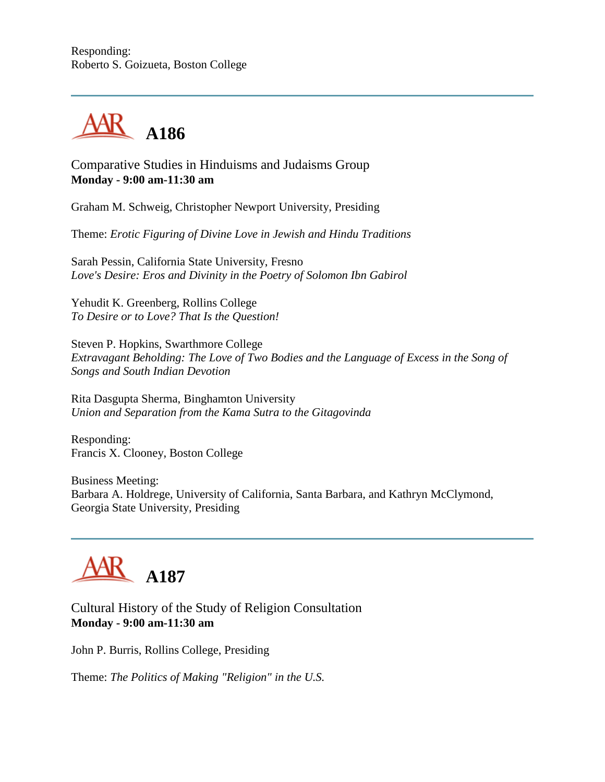

Comparative Studies in Hinduisms and Judaisms Group **Monday - 9:00 am-11:30 am**

Graham M. Schweig, Christopher Newport University, Presiding

Theme: *Erotic Figuring of Divine Love in Jewish and Hindu Traditions*

Sarah Pessin, California State University, Fresno *Love's Desire: Eros and Divinity in the Poetry of Solomon Ibn Gabirol*

Yehudit K. Greenberg, Rollins College *To Desire or to Love? That Is the Question!*

Steven P. Hopkins, Swarthmore College *Extravagant Beholding: The Love of Two Bodies and the Language of Excess in the Song of Songs and South Indian Devotion*

Rita Dasgupta Sherma, Binghamton University *Union and Separation from the Kama Sutra to the Gitagovinda*

Responding: Francis X. Clooney, Boston College

Business Meeting: Barbara A. Holdrege, University of California, Santa Barbara, and Kathryn McClymond, Georgia State University, Presiding



Cultural History of the Study of Religion Consultation **Monday - 9:00 am-11:30 am**

John P. Burris, Rollins College, Presiding

Theme: *The Politics of Making "Religion" in the U.S.*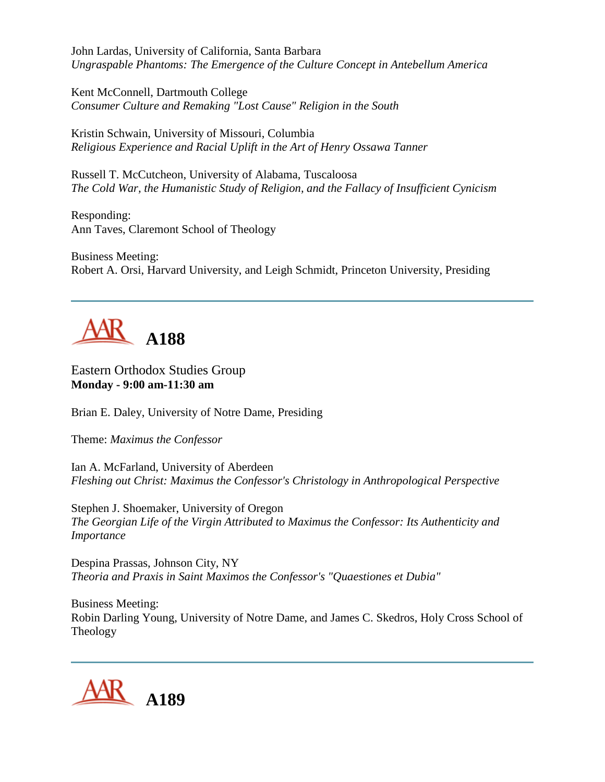John Lardas, University of California, Santa Barbara *Ungraspable Phantoms: The Emergence of the Culture Concept in Antebellum America*

Kent McConnell, Dartmouth College *Consumer Culture and Remaking "Lost Cause" Religion in the South*

Kristin Schwain, University of Missouri, Columbia *Religious Experience and Racial Uplift in the Art of Henry Ossawa Tanner*

Russell T. McCutcheon, University of Alabama, Tuscaloosa *The Cold War, the Humanistic Study of Religion, and the Fallacy of Insufficient Cynicism*

Responding: Ann Taves, Claremont School of Theology

Business Meeting: Robert A. Orsi, Harvard University, and Leigh Schmidt, Princeton University, Presiding

# **A188**

Eastern Orthodox Studies Group **Monday - 9:00 am-11:30 am**

Brian E. Daley, University of Notre Dame, Presiding

Theme: *Maximus the Confessor*

Ian A. McFarland, University of Aberdeen *Fleshing out Christ: Maximus the Confessor's Christology in Anthropological Perspective*

Stephen J. Shoemaker, University of Oregon *The Georgian Life of the Virgin Attributed to Maximus the Confessor: Its Authenticity and Importance*

Despina Prassas, Johnson City, NY *Theoria and Praxis in Saint Maximos the Confessor's "Quaestiones et Dubia"*

Business Meeting: Robin Darling Young, University of Notre Dame, and James C. Skedros, Holy Cross School of Theology

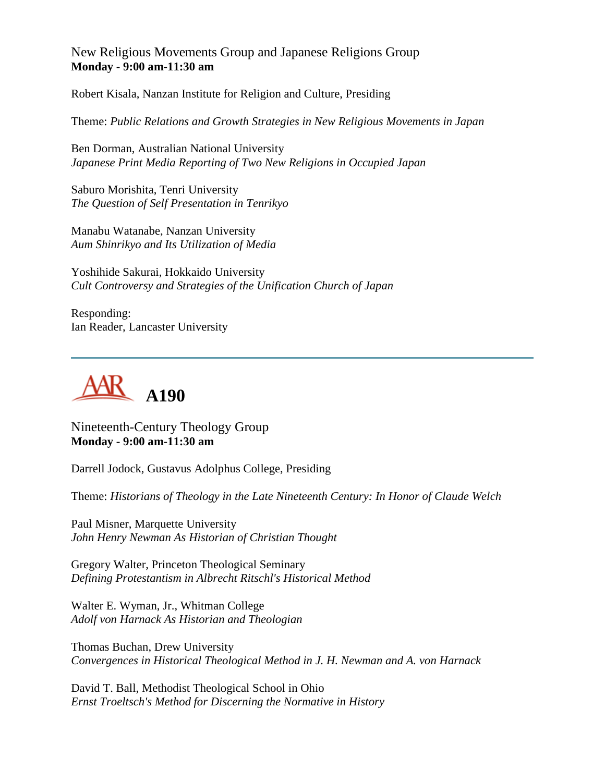New Religious Movements Group and Japanese Religions Group **Monday - 9:00 am-11:30 am**

Robert Kisala, Nanzan Institute for Religion and Culture, Presiding

Theme: *Public Relations and Growth Strategies in New Religious Movements in Japan*

Ben Dorman, Australian National University *Japanese Print Media Reporting of Two New Religions in Occupied Japan*

Saburo Morishita, Tenri University *The Question of Self Presentation in Tenrikyo*

Manabu Watanabe, Nanzan University *Aum Shinrikyo and Its Utilization of Media*

Yoshihide Sakurai, Hokkaido University *Cult Controversy and Strategies of the Unification Church of Japan*

Responding: Ian Reader, Lancaster University



Nineteenth-Century Theology Group **Monday - 9:00 am-11:30 am**

Darrell Jodock, Gustavus Adolphus College, Presiding

Theme: *Historians of Theology in the Late Nineteenth Century: In Honor of Claude Welch*

Paul Misner, Marquette University *John Henry Newman As Historian of Christian Thought*

Gregory Walter, Princeton Theological Seminary *Defining Protestantism in Albrecht Ritschl's Historical Method*

Walter E. Wyman, Jr., Whitman College *Adolf von Harnack As Historian and Theologian*

Thomas Buchan, Drew University *Convergences in Historical Theological Method in J. H. Newman and A. von Harnack*

David T. Ball, Methodist Theological School in Ohio *Ernst Troeltsch's Method for Discerning the Normative in History*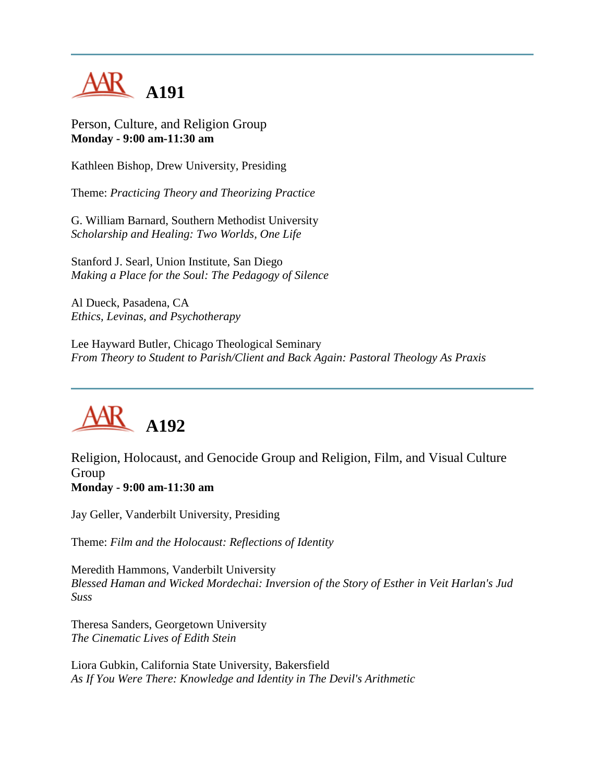

Person, Culture, and Religion Group **Monday - 9:00 am-11:30 am**

Kathleen Bishop, Drew University, Presiding

Theme: *Practicing Theory and Theorizing Practice*

G. William Barnard, Southern Methodist University *Scholarship and Healing: Two Worlds, One Life*

Stanford J. Searl, Union Institute, San Diego *Making a Place for the Soul: The Pedagogy of Silence*

Al Dueck, Pasadena, CA *Ethics, Levinas, and Psychotherapy*

Lee Hayward Butler, Chicago Theological Seminary *From Theory to Student to Parish/Client and Back Again: Pastoral Theology As Praxis*



Religion, Holocaust, and Genocide Group and Religion, Film, and Visual Culture Group **Monday - 9:00 am-11:30 am**

Jay Geller, Vanderbilt University, Presiding

Theme: *Film and the Holocaust: Reflections of Identity*

Meredith Hammons, Vanderbilt University *Blessed Haman and Wicked Mordechai: Inversion of the Story of Esther in Veit Harlan's Jud Suss*

Theresa Sanders, Georgetown University *The Cinematic Lives of Edith Stein*

Liora Gubkin, California State University, Bakersfield *As If You Were There: Knowledge and Identity in The Devil's Arithmetic*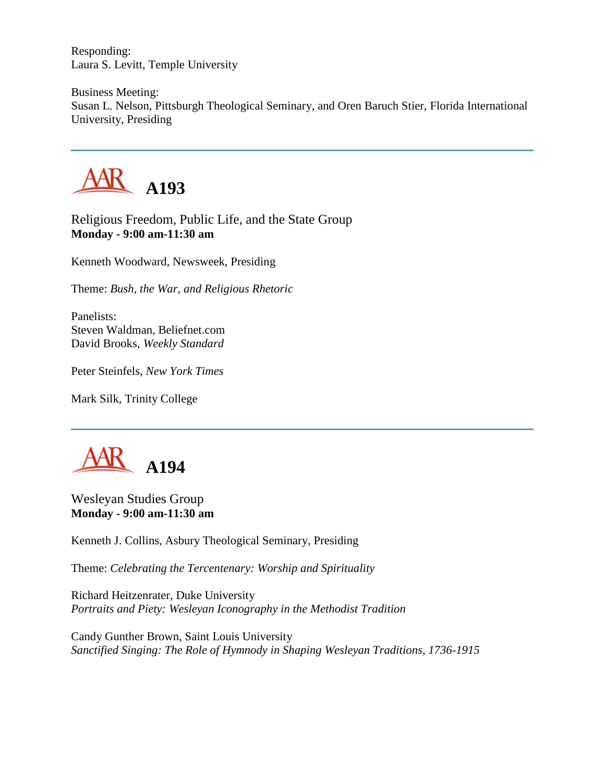Responding: Laura S. Levitt, Temple University

Business Meeting: Susan L. Nelson, Pittsburgh Theological Seminary, and Oren Baruch Stier, Florida International University, Presiding



Religious Freedom, Public Life, and the State Group **Monday - 9:00 am-11:30 am**

Kenneth Woodward, Newsweek, Presiding

Theme: *Bush, the War, and Religious Rhetoric*

Panelists: Steven Waldman, Beliefnet.com David Brooks, *Weekly Standard*

Peter Steinfels, *New York Times*

Mark Silk, Trinity College



Wesleyan Studies Group **Monday - 9:00 am-11:30 am**

Kenneth J. Collins, Asbury Theological Seminary, Presiding

Theme: *Celebrating the Tercentenary: Worship and Spirituality*

Richard Heitzenrater, Duke University *Portraits and Piety: Wesleyan Iconography in the Methodist Tradition*

Candy Gunther Brown, Saint Louis University *Sanctified Singing: The Role of Hymnody in Shaping Wesleyan Traditions, 1736-1915*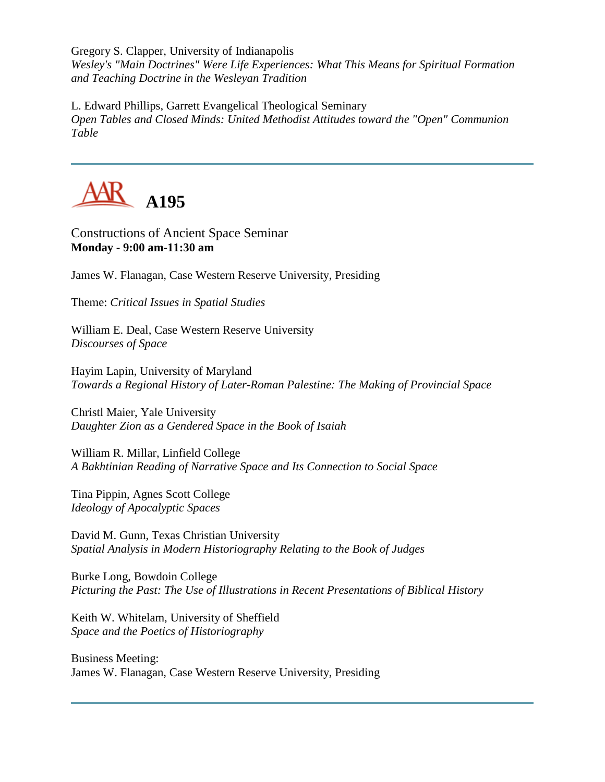Gregory S. Clapper, University of Indianapolis *Wesley's "Main Doctrines" Were Life Experiences: What This Means for Spiritual Formation and Teaching Doctrine in the Wesleyan Tradition*

L. Edward Phillips, Garrett Evangelical Theological Seminary *Open Tables and Closed Minds: United Methodist Attitudes toward the "Open" Communion Table*



Constructions of Ancient Space Seminar **Monday - 9:00 am-11:30 am**

James W. Flanagan, Case Western Reserve University, Presiding

Theme: *Critical Issues in Spatial Studies*

William E. Deal, Case Western Reserve University *Discourses of Space*

Hayim Lapin, University of Maryland *Towards a Regional History of Later-Roman Palestine: The Making of Provincial Space*

Christl Maier, Yale University *Daughter Zion as a Gendered Space in the Book of Isaiah*

William R. Millar, Linfield College *A Bakhtinian Reading of Narrative Space and Its Connection to Social Space*

Tina Pippin, Agnes Scott College *Ideology of Apocalyptic Spaces*

David M. Gunn, Texas Christian University *Spatial Analysis in Modern Historiography Relating to the Book of Judges*

Burke Long, Bowdoin College *Picturing the Past: The Use of Illustrations in Recent Presentations of Biblical History*

Keith W. Whitelam, University of Sheffield *Space and the Poetics of Historiography*

Business Meeting: James W. Flanagan, Case Western Reserve University, Presiding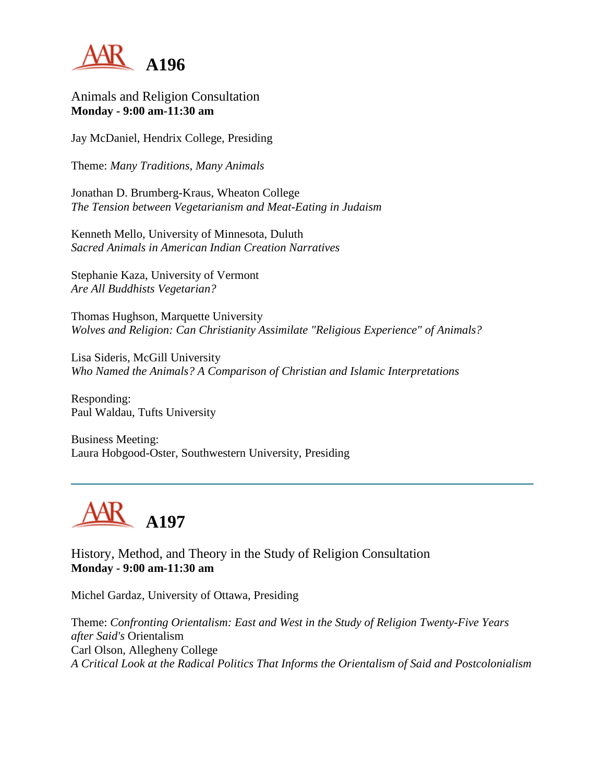

Animals and Religion Consultation **Monday - 9:00 am-11:30 am**

Jay McDaniel, Hendrix College, Presiding

Theme: *Many Traditions, Many Animals*

Jonathan D. Brumberg-Kraus, Wheaton College *The Tension between Vegetarianism and Meat-Eating in Judaism*

Kenneth Mello, University of Minnesota, Duluth *Sacred Animals in American Indian Creation Narratives*

Stephanie Kaza, University of Vermont *Are All Buddhists Vegetarian?*

Thomas Hughson, Marquette University *Wolves and Religion: Can Christianity Assimilate "Religious Experience" of Animals?*

Lisa Sideris, McGill University *Who Named the Animals? A Comparison of Christian and Islamic Interpretations*

Responding: Paul Waldau, Tufts University

Business Meeting: Laura Hobgood-Oster, Southwestern University, Presiding



History, Method, and Theory in the Study of Religion Consultation **Monday - 9:00 am-11:30 am**

Michel Gardaz, University of Ottawa, Presiding

Theme: *Confronting Orientalism: East and West in the Study of Religion Twenty-Five Years after Said's* Orientalism Carl Olson, Allegheny College *A Critical Look at the Radical Politics That Informs the Orientalism of Said and Postcolonialism*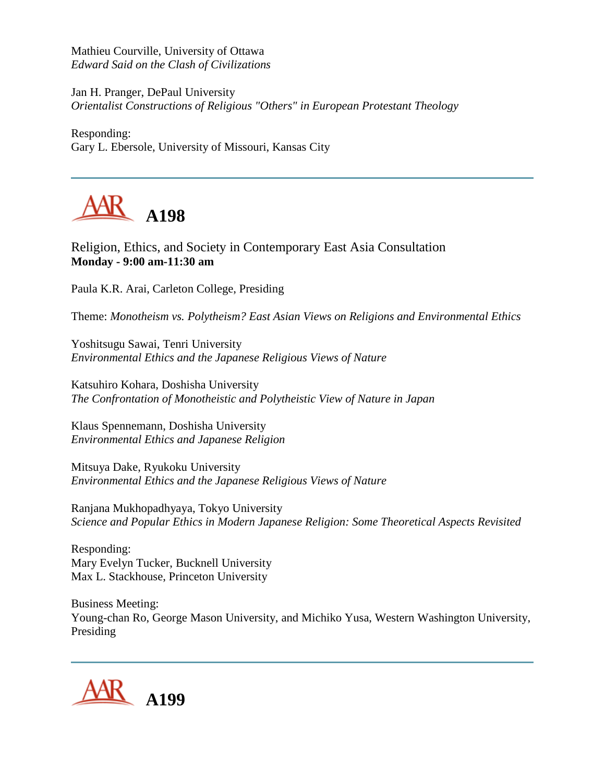Mathieu Courville, University of Ottawa *Edward Said on the Clash of Civilizations*

Jan H. Pranger, DePaul University *Orientalist Constructions of Religious "Others" in European Protestant Theology*

Responding: Gary L. Ebersole, University of Missouri, Kansas City



Religion, Ethics, and Society in Contemporary East Asia Consultation **Monday - 9:00 am-11:30 am**

Paula K.R. Arai, Carleton College, Presiding

Theme: *Monotheism vs. Polytheism? East Asian Views on Religions and Environmental Ethics*

Yoshitsugu Sawai, Tenri University *Environmental Ethics and the Japanese Religious Views of Nature*

Katsuhiro Kohara, Doshisha University *The Confrontation of Monotheistic and Polytheistic View of Nature in Japan*

Klaus Spennemann, Doshisha University *Environmental Ethics and Japanese Religion*

Mitsuya Dake, Ryukoku University *Environmental Ethics and the Japanese Religious Views of Nature*

Ranjana Mukhopadhyaya, Tokyo University *Science and Popular Ethics in Modern Japanese Religion: Some Theoretical Aspects Revisited*

Responding: Mary Evelyn Tucker, Bucknell University Max L. Stackhouse, Princeton University

Business Meeting: Young-chan Ro, George Mason University, and Michiko Yusa, Western Washington University, Presiding

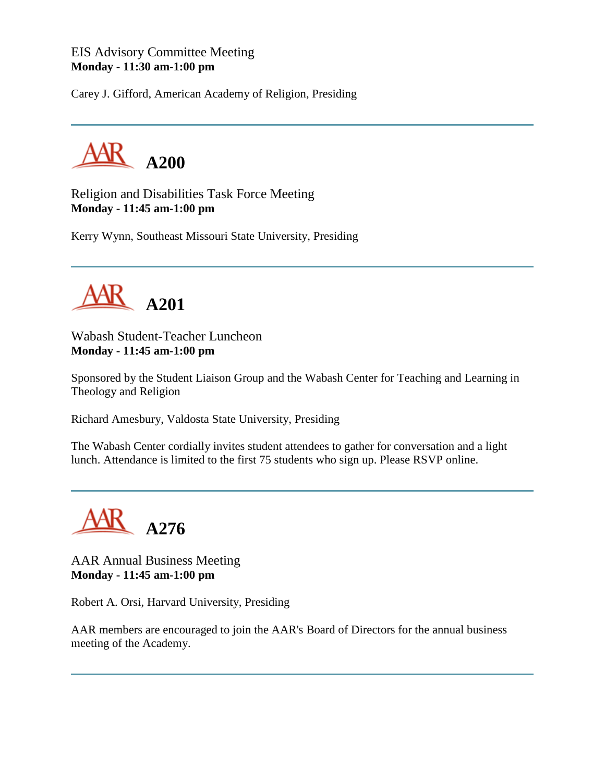### EIS Advisory Committee Meeting **Monday - 11:30 am-1:00 pm**

Carey J. Gifford, American Academy of Religion, Presiding



Religion and Disabilities Task Force Meeting **Monday - 11:45 am-1:00 pm**

Kerry Wynn, Southeast Missouri State University, Presiding



Wabash Student-Teacher Luncheon **Monday - 11:45 am-1:00 pm**

Sponsored by the Student Liaison Group and the Wabash Center for Teaching and Learning in Theology and Religion

Richard Amesbury, Valdosta State University, Presiding

The Wabash Center cordially invites student attendees to gather for conversation and a light lunch. Attendance is limited to the first 75 students who sign up. Please RSVP online.



AAR Annual Business Meeting **Monday - 11:45 am-1:00 pm**

Robert A. Orsi, Harvard University, Presiding

AAR members are encouraged to join the AAR's Board of Directors for the annual business meeting of the Academy.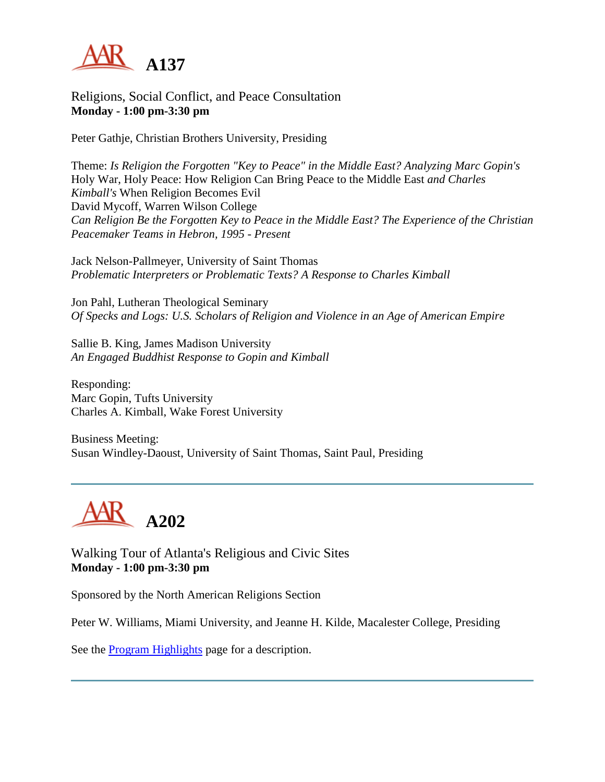

Religions, Social Conflict, and Peace Consultation **Monday - 1:00 pm-3:30 pm**

Peter Gathje, Christian Brothers University, Presiding

Theme: *Is Religion the Forgotten "Key to Peace" in the Middle East? Analyzing Marc Gopin's* Holy War, Holy Peace: How Religion Can Bring Peace to the Middle East *and Charles Kimball's* When Religion Becomes Evil David Mycoff, Warren Wilson College *Can Religion Be the Forgotten Key to Peace in the Middle East? The Experience of the Christian Peacemaker Teams in Hebron, 1995 - Present*

Jack Nelson-Pallmeyer, University of Saint Thomas *Problematic Interpreters or Problematic Texts? A Response to Charles Kimball*

Jon Pahl, Lutheran Theological Seminary *Of Specks and Logs: U.S. Scholars of Religion and Violence in an Age of American Empire*

Sallie B. King, James Madison University *An Engaged Buddhist Response to Gopin and Kimball*

Responding: Marc Gopin, Tufts University Charles A. Kimball, Wake Forest University

Business Meeting: Susan Windley-Daoust, University of Saint Thomas, Saint Paul, Presiding



Walking Tour of Atlanta's Religious and Civic Sites **Monday - 1:00 pm-3:30 pm**

Sponsored by the North American Religions Section

Peter W. Williams, Miami University, and Jeanne H. Kilde, Macalester College, Presiding

See the [Program Highlights](http://www.aarweb.org/Meetings/Annual_Meeting/Past_and_Future_Meetings/2003/highlights.asp) page for a description.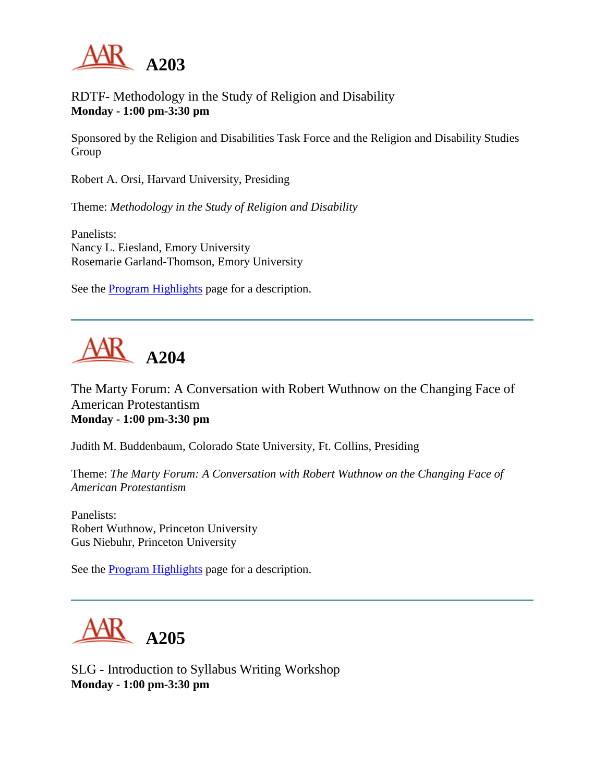

## RDTF- Methodology in the Study of Religion and Disability **Monday - 1:00 pm-3:30 pm**

Sponsored by the Religion and Disabilities Task Force and the Religion and Disability Studies Group

Robert A. Orsi, Harvard University, Presiding

Theme: *Methodology in the Study of Religion and Disability*

Panelists: Nancy L. Eiesland, Emory University Rosemarie Garland-Thomson, Emory University

See the **Program Highlights** page for a description.

# **A204**

The Marty Forum: A Conversation with Robert Wuthnow on the Changing Face of American Protestantism **Monday - 1:00 pm-3:30 pm**

Judith M. Buddenbaum, Colorado State University, Ft. Collins, Presiding

Theme: *The Marty Forum: A Conversation with Robert Wuthnow on the Changing Face of American Protestantism*

Panelists: Robert Wuthnow, Princeton University Gus Niebuhr, Princeton University

See the [Program Highlights](http://www.aarweb.org/Meetings/Annual_Meeting/Past_and_Future_Meetings/2003/highlights.asp) page for a description.



SLG - Introduction to Syllabus Writing Workshop **Monday - 1:00 pm-3:30 pm**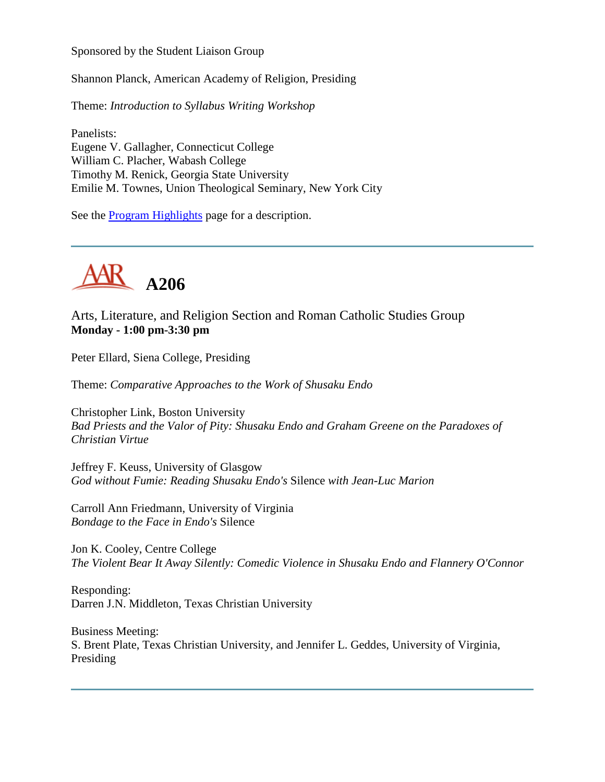Sponsored by the Student Liaison Group

Shannon Planck, American Academy of Religion, Presiding

Theme: *Introduction to Syllabus Writing Workshop*

Panelists: Eugene V. Gallagher, Connecticut College William C. Placher, Wabash College Timothy M. Renick, Georgia State University Emilie M. Townes, Union Theological Seminary, New York City

See the [Program Highlights](http://www.aarweb.org/Meetings/Annual_Meeting/Past_and_Future_Meetings/2003/highlights.asp) page for a description.



Arts, Literature, and Religion Section and Roman Catholic Studies Group **Monday - 1:00 pm-3:30 pm**

Peter Ellard, Siena College, Presiding

Theme: *Comparative Approaches to the Work of Shusaku Endo*

Christopher Link, Boston University *Bad Priests and the Valor of Pity: Shusaku Endo and Graham Greene on the Paradoxes of Christian Virtue*

Jeffrey F. Keuss, University of Glasgow *God without Fumie: Reading Shusaku Endo's* Silence *with Jean-Luc Marion*

Carroll Ann Friedmann, University of Virginia *Bondage to the Face in Endo's* Silence

Jon K. Cooley, Centre College *The Violent Bear It Away Silently: Comedic Violence in Shusaku Endo and Flannery O'Connor*

Responding: Darren J.N. Middleton, Texas Christian University

Business Meeting: S. Brent Plate, Texas Christian University, and Jennifer L. Geddes, University of Virginia, Presiding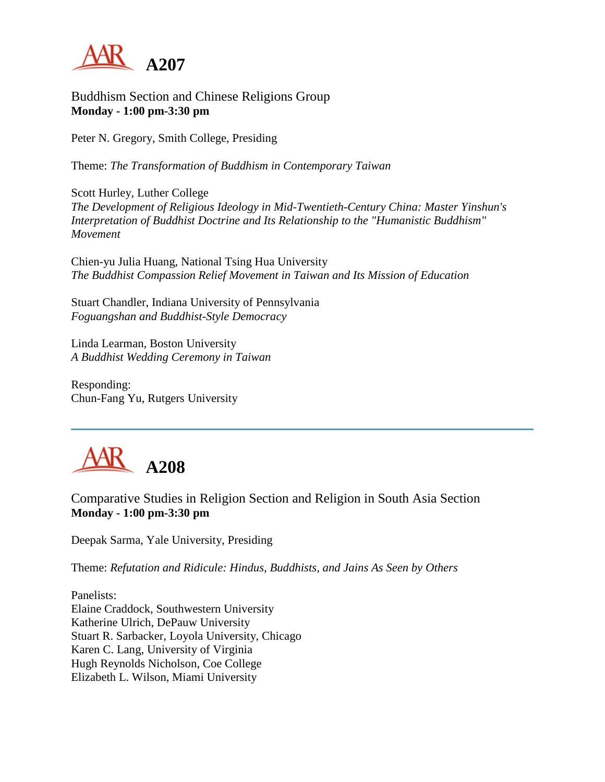

Buddhism Section and Chinese Religions Group **Monday - 1:00 pm-3:30 pm**

Peter N. Gregory, Smith College, Presiding

Theme: *The Transformation of Buddhism in Contemporary Taiwan*

Scott Hurley, Luther College *The Development of Religious Ideology in Mid-Twentieth-Century China: Master Yinshun's Interpretation of Buddhist Doctrine and Its Relationship to the "Humanistic Buddhism" Movement*

Chien-yu Julia Huang, National Tsing Hua University *The Buddhist Compassion Relief Movement in Taiwan and Its Mission of Education*

Stuart Chandler, Indiana University of Pennsylvania *Foguangshan and Buddhist-Style Democracy*

Linda Learman, Boston University *A Buddhist Wedding Ceremony in Taiwan*

Responding: Chun-Fang Yu, Rutgers University



Comparative Studies in Religion Section and Religion in South Asia Section **Monday - 1:00 pm-3:30 pm**

Deepak Sarma, Yale University, Presiding

Theme: *Refutation and Ridicule: Hindus, Buddhists, and Jains As Seen by Others*

Panelists: Elaine Craddock, Southwestern University Katherine Ulrich, DePauw University Stuart R. Sarbacker, Loyola University, Chicago Karen C. Lang, University of Virginia Hugh Reynolds Nicholson, Coe College Elizabeth L. Wilson, Miami University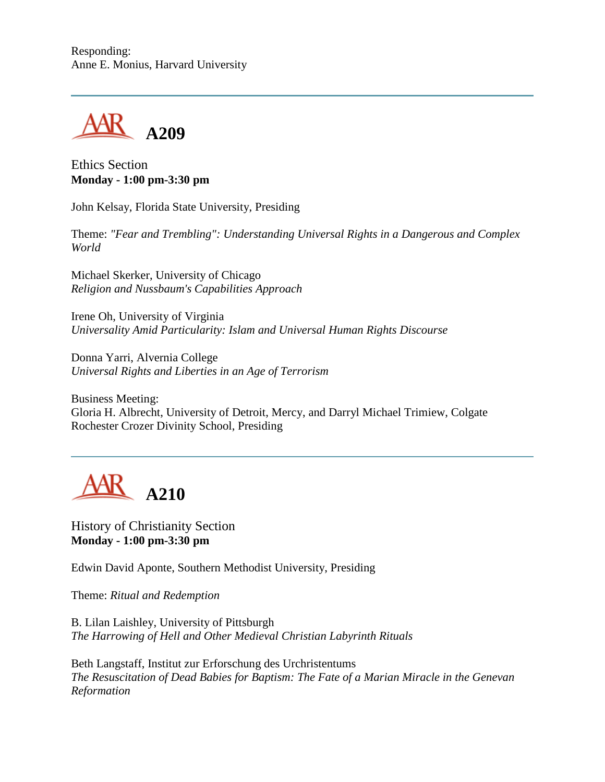Responding: Anne E. Monius, Harvard University



Ethics Section **Monday - 1:00 pm-3:30 pm**

John Kelsay, Florida State University, Presiding

Theme: *"Fear and Trembling": Understanding Universal Rights in a Dangerous and Complex World*

Michael Skerker, University of Chicago *Religion and Nussbaum's Capabilities Approach*

Irene Oh, University of Virginia *Universality Amid Particularity: Islam and Universal Human Rights Discourse*

Donna Yarri, Alvernia College *Universal Rights and Liberties in an Age of Terrorism*

Business Meeting: Gloria H. Albrecht, University of Detroit, Mercy, and Darryl Michael Trimiew, Colgate Rochester Crozer Divinity School, Presiding



History of Christianity Section **Monday - 1:00 pm-3:30 pm**

Edwin David Aponte, Southern Methodist University, Presiding

Theme: *Ritual and Redemption*

B. Lilan Laishley, University of Pittsburgh *The Harrowing of Hell and Other Medieval Christian Labyrinth Rituals*

Beth Langstaff, Institut zur Erforschung des Urchristentums *The Resuscitation of Dead Babies for Baptism: The Fate of a Marian Miracle in the Genevan Reformation*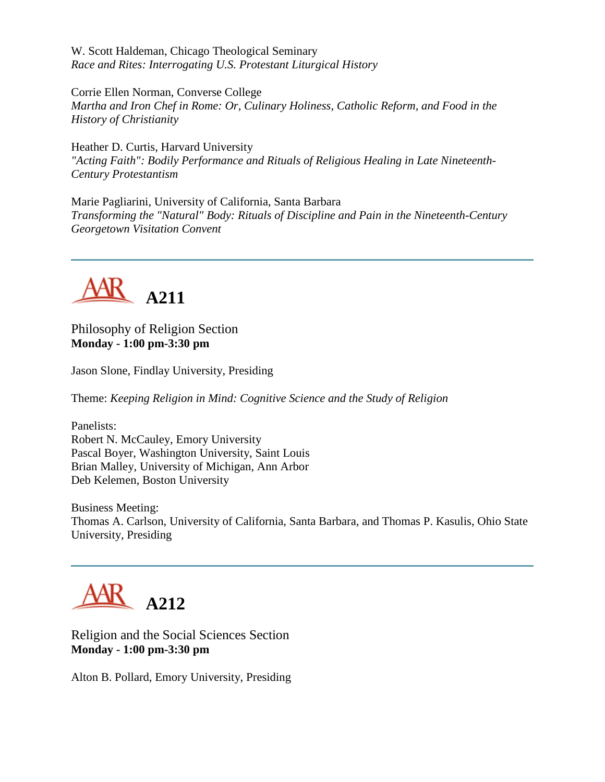W. Scott Haldeman, Chicago Theological Seminary *Race and Rites: Interrogating U.S. Protestant Liturgical History*

Corrie Ellen Norman, Converse College *Martha and Iron Chef in Rome: Or, Culinary Holiness, Catholic Reform, and Food in the History of Christianity*

Heather D. Curtis, Harvard University *"Acting Faith": Bodily Performance and Rituals of Religious Healing in Late Nineteenth-Century Protestantism*

Marie Pagliarini, University of California, Santa Barbara *Transforming the "Natural" Body: Rituals of Discipline and Pain in the Nineteenth-Century Georgetown Visitation Convent*



Philosophy of Religion Section **Monday - 1:00 pm-3:30 pm**

Jason Slone, Findlay University, Presiding

Theme: *Keeping Religion in Mind: Cognitive Science and the Study of Religion*

Panelists: Robert N. McCauley, Emory University Pascal Boyer, Washington University, Saint Louis Brian Malley, University of Michigan, Ann Arbor Deb Kelemen, Boston University

Business Meeting: Thomas A. Carlson, University of California, Santa Barbara, and Thomas P. Kasulis, Ohio State University, Presiding



Religion and the Social Sciences Section **Monday - 1:00 pm-3:30 pm**

Alton B. Pollard, Emory University, Presiding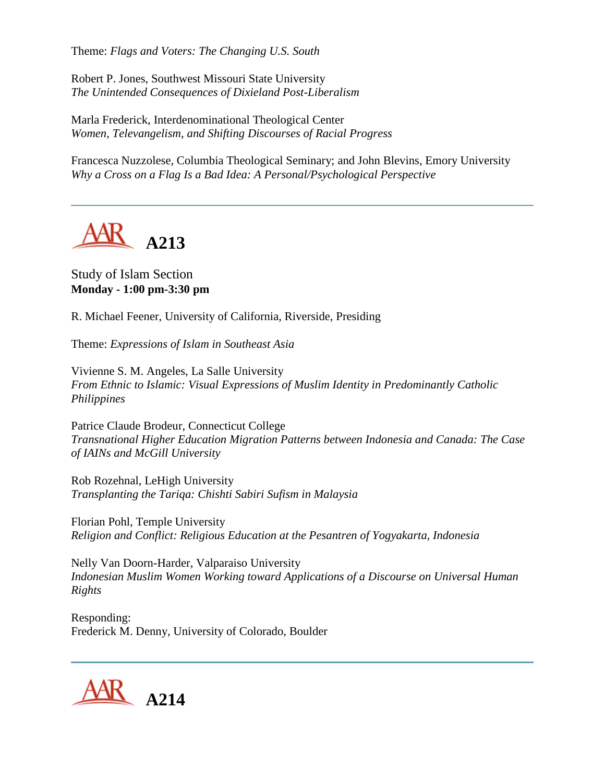Theme: *Flags and Voters: The Changing U.S. South*

Robert P. Jones, Southwest Missouri State University *The Unintended Consequences of Dixieland Post-Liberalism*

Marla Frederick, Interdenominational Theological Center *Women, Televangelism, and Shifting Discourses of Racial Progress*

Francesca Nuzzolese, Columbia Theological Seminary; and John Blevins, Emory University *Why a Cross on a Flag Is a Bad Idea: A Personal/Psychological Perspective*



#### Study of Islam Section **Monday - 1:00 pm-3:30 pm**

R. Michael Feener, University of California, Riverside, Presiding

Theme: *Expressions of Islam in Southeast Asia*

Vivienne S. M. Angeles, La Salle University *From Ethnic to Islamic: Visual Expressions of Muslim Identity in Predominantly Catholic Philippines*

Patrice Claude Brodeur, Connecticut College *Transnational Higher Education Migration Patterns between Indonesia and Canada: The Case of IAINs and McGill University*

Rob Rozehnal, LeHigh University *Transplanting the Tariqa: Chishti Sabiri Sufism in Malaysia*

Florian Pohl, Temple University *Religion and Conflict: Religious Education at the Pesantren of Yogyakarta, Indonesia*

Nelly Van Doorn-Harder, Valparaiso University *Indonesian Muslim Women Working toward Applications of a Discourse on Universal Human Rights*

Responding: Frederick M. Denny, University of Colorado, Boulder

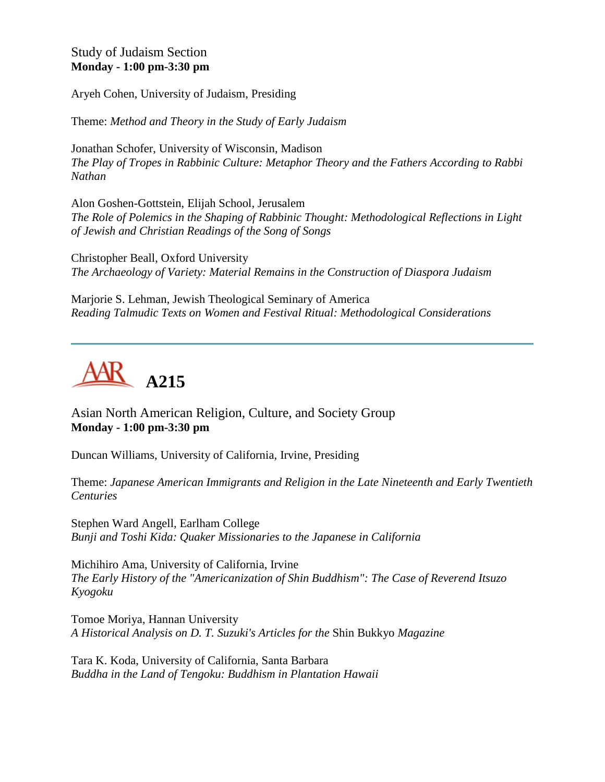Study of Judaism Section **Monday - 1:00 pm-3:30 pm**

Aryeh Cohen, University of Judaism, Presiding

Theme: *Method and Theory in the Study of Early Judaism*

Jonathan Schofer, University of Wisconsin, Madison *The Play of Tropes in Rabbinic Culture: Metaphor Theory and the Fathers According to Rabbi Nathan*

Alon Goshen-Gottstein, Elijah School, Jerusalem *The Role of Polemics in the Shaping of Rabbinic Thought: Methodological Reflections in Light of Jewish and Christian Readings of the Song of Songs*

Christopher Beall, Oxford University *The Archaeology of Variety: Material Remains in the Construction of Diaspora Judaism*

Marjorie S. Lehman, Jewish Theological Seminary of America *Reading Talmudic Texts on Women and Festival Ritual: Methodological Considerations*



Asian North American Religion, Culture, and Society Group **Monday - 1:00 pm-3:30 pm**

Duncan Williams, University of California, Irvine, Presiding

Theme: *Japanese American Immigrants and Religion in the Late Nineteenth and Early Twentieth Centuries*

Stephen Ward Angell, Earlham College *Bunji and Toshi Kida: Quaker Missionaries to the Japanese in California*

Michihiro Ama, University of California, Irvine *The Early History of the "Americanization of Shin Buddhism": The Case of Reverend Itsuzo Kyogoku*

Tomoe Moriya, Hannan University *A Historical Analysis on D. T. Suzuki's Articles for the* Shin Bukkyo *Magazine*

Tara K. Koda, University of California, Santa Barbara *Buddha in the Land of Tengoku: Buddhism in Plantation Hawaii*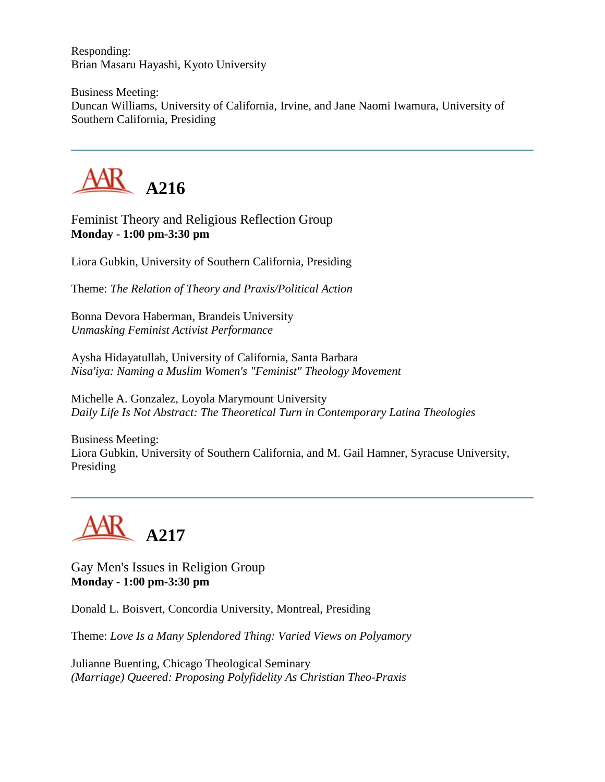Responding: Brian Masaru Hayashi, Kyoto University

Business Meeting: Duncan Williams, University of California, Irvine, and Jane Naomi Iwamura, University of Southern California, Presiding



Feminist Theory and Religious Reflection Group **Monday - 1:00 pm-3:30 pm**

Liora Gubkin, University of Southern California, Presiding

Theme: *The Relation of Theory and Praxis/Political Action*

Bonna Devora Haberman, Brandeis University *Unmasking Feminist Activist Performance*

Aysha Hidayatullah, University of California, Santa Barbara *Nisa'iya: Naming a Muslim Women's "Feminist" Theology Movement*

Michelle A. Gonzalez, Loyola Marymount University *Daily Life Is Not Abstract: The Theoretical Turn in Contemporary Latina Theologies*

Business Meeting: Liora Gubkin, University of Southern California, and M. Gail Hamner, Syracuse University, Presiding



Gay Men's Issues in Religion Group **Monday - 1:00 pm-3:30 pm**

Donald L. Boisvert, Concordia University, Montreal, Presiding

Theme: *Love Is a Many Splendored Thing: Varied Views on Polyamory*

Julianne Buenting, Chicago Theological Seminary *(Marriage) Queered: Proposing Polyfidelity As Christian Theo-Praxis*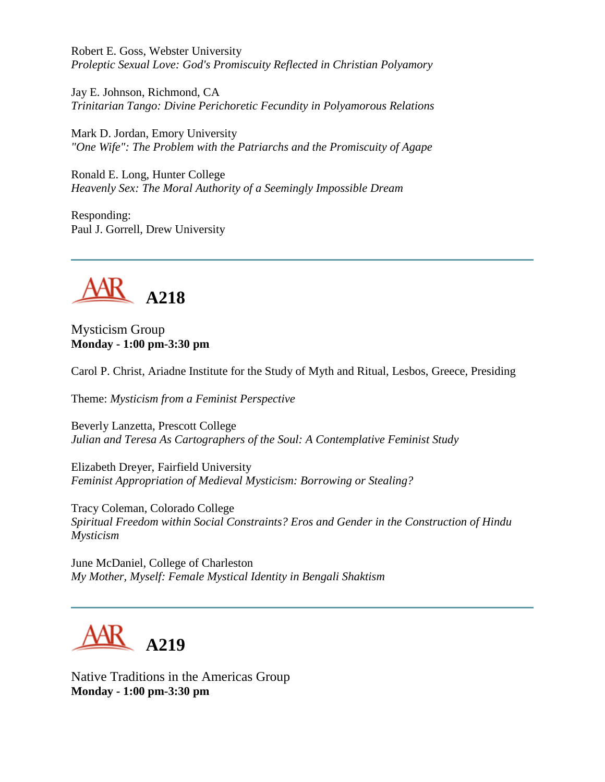Robert E. Goss, Webster University *Proleptic Sexual Love: God's Promiscuity Reflected in Christian Polyamory*

Jay E. Johnson, Richmond, CA *Trinitarian Tango: Divine Perichoretic Fecundity in Polyamorous Relations*

Mark D. Jordan, Emory University *"One Wife": The Problem with the Patriarchs and the Promiscuity of Agape*

Ronald E. Long, Hunter College *Heavenly Sex: The Moral Authority of a Seemingly Impossible Dream*

Responding: Paul J. Gorrell, Drew University



Mysticism Group **Monday - 1:00 pm-3:30 pm**

Carol P. Christ, Ariadne Institute for the Study of Myth and Ritual, Lesbos, Greece, Presiding

Theme: *Mysticism from a Feminist Perspective*

Beverly Lanzetta, Prescott College *Julian and Teresa As Cartographers of the Soul: A Contemplative Feminist Study*

Elizabeth Dreyer, Fairfield University *Feminist Appropriation of Medieval Mysticism: Borrowing or Stealing?*

Tracy Coleman, Colorado College *Spiritual Freedom within Social Constraints? Eros and Gender in the Construction of Hindu Mysticism*

June McDaniel, College of Charleston *My Mother, Myself: Female Mystical Identity in Bengali Shaktism*



Native Traditions in the Americas Group **Monday - 1:00 pm-3:30 pm**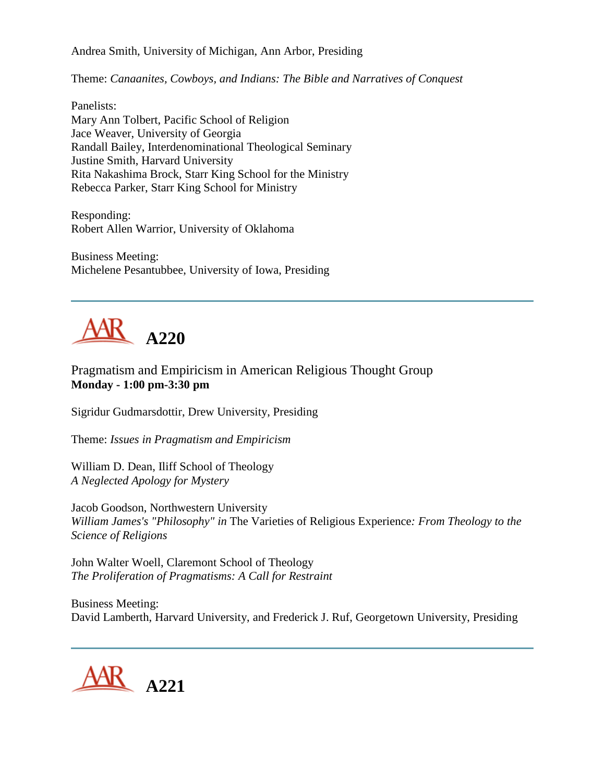Andrea Smith, University of Michigan, Ann Arbor, Presiding

Theme: *Canaanites, Cowboys, and Indians: The Bible and Narratives of Conquest*

Panelists: Mary Ann Tolbert, Pacific School of Religion Jace Weaver, University of Georgia Randall Bailey, Interdenominational Theological Seminary Justine Smith, Harvard University Rita Nakashima Brock, Starr King School for the Ministry Rebecca Parker, Starr King School for Ministry

Responding: Robert Allen Warrior, University of Oklahoma

Business Meeting: Michelene Pesantubbee, University of Iowa, Presiding



Pragmatism and Empiricism in American Religious Thought Group **Monday - 1:00 pm-3:30 pm**

Sigridur Gudmarsdottir, Drew University, Presiding

Theme: *Issues in Pragmatism and Empiricism*

William D. Dean, Iliff School of Theology *A Neglected Apology for Mystery*

Jacob Goodson, Northwestern University *William James's "Philosophy" in* The Varieties of Religious Experience*: From Theology to the Science of Religions*

John Walter Woell, Claremont School of Theology *The Proliferation of Pragmatisms: A Call for Restraint*

Business Meeting: David Lamberth, Harvard University, and Frederick J. Ruf, Georgetown University, Presiding

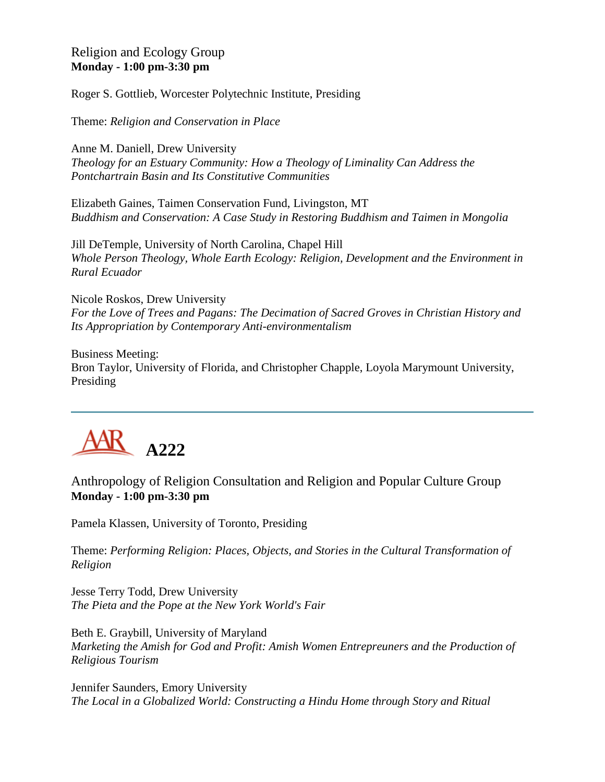#### Religion and Ecology Group **Monday - 1:00 pm-3:30 pm**

Roger S. Gottlieb, Worcester Polytechnic Institute, Presiding

Theme: *Religion and Conservation in Place*

Anne M. Daniell, Drew University *Theology for an Estuary Community: How a Theology of Liminality Can Address the Pontchartrain Basin and Its Constitutive Communities*

Elizabeth Gaines, Taimen Conservation Fund, Livingston, MT *Buddhism and Conservation: A Case Study in Restoring Buddhism and Taimen in Mongolia*

Jill DeTemple, University of North Carolina, Chapel Hill *Whole Person Theology, Whole Earth Ecology: Religion, Development and the Environment in Rural Ecuador*

Nicole Roskos, Drew University *For the Love of Trees and Pagans: The Decimation of Sacred Groves in Christian History and Its Appropriation by Contemporary Anti-environmentalism*

Business Meeting: Bron Taylor, University of Florida, and Christopher Chapple, Loyola Marymount University, Presiding



### Anthropology of Religion Consultation and Religion and Popular Culture Group **Monday - 1:00 pm-3:30 pm**

Pamela Klassen, University of Toronto, Presiding

Theme: *Performing Religion: Places, Objects, and Stories in the Cultural Transformation of Religion*

Jesse Terry Todd, Drew University *The Pieta and the Pope at the New York World's Fair*

Beth E. Graybill, University of Maryland *Marketing the Amish for God and Profit: Amish Women Entrepreuners and the Production of Religious Tourism*

Jennifer Saunders, Emory University *The Local in a Globalized World: Constructing a Hindu Home through Story and Ritual*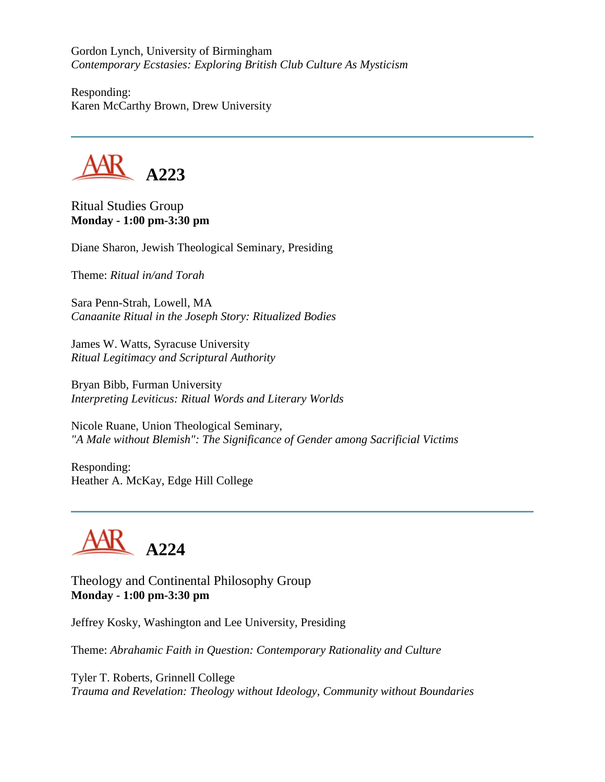Gordon Lynch, University of Birmingham *Contemporary Ecstasies: Exploring British Club Culture As Mysticism*

Responding: Karen McCarthy Brown, Drew University



Ritual Studies Group **Monday - 1:00 pm-3:30 pm**

Diane Sharon, Jewish Theological Seminary, Presiding

Theme: *Ritual in/and Torah*

Sara Penn-Strah, Lowell, MA *Canaanite Ritual in the Joseph Story: Ritualized Bodies*

James W. Watts, Syracuse University *Ritual Legitimacy and Scriptural Authority*

Bryan Bibb, Furman University *Interpreting Leviticus: Ritual Words and Literary Worlds*

Nicole Ruane, Union Theological Seminary, *"A Male without Blemish": The Significance of Gender among Sacrificial Victims*

Responding: Heather A. McKay, Edge Hill College



Theology and Continental Philosophy Group **Monday - 1:00 pm-3:30 pm**

Jeffrey Kosky, Washington and Lee University, Presiding

Theme: *Abrahamic Faith in Question: Contemporary Rationality and Culture*

Tyler T. Roberts, Grinnell College *Trauma and Revelation: Theology without Ideology, Community without Boundaries*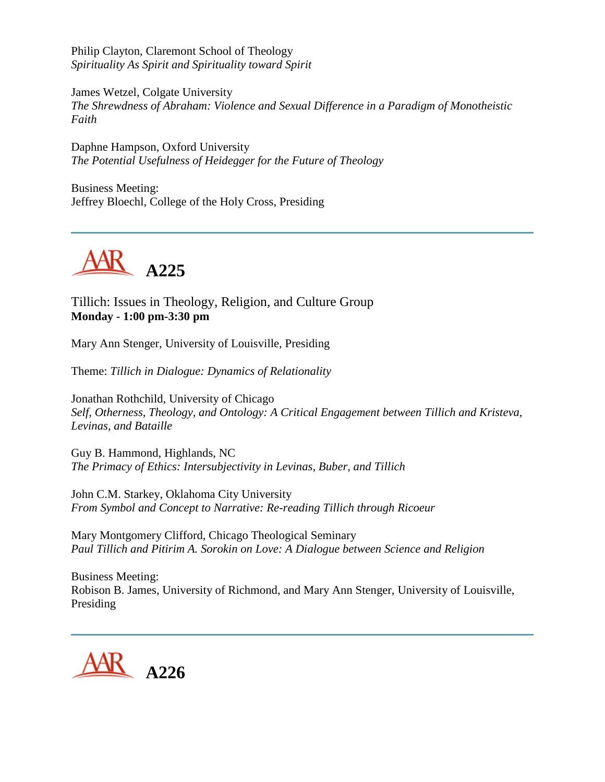Philip Clayton, Claremont School of Theology *Spirituality As Spirit and Spirituality toward Spirit*

James Wetzel, Colgate University *The Shrewdness of Abraham: Violence and Sexual Difference in a Paradigm of Monotheistic Faith*

Daphne Hampson, Oxford University *The Potential Usefulness of Heidegger for the Future of Theology*

Business Meeting: Jeffrey Bloechl, College of the Holy Cross, Presiding



Tillich: Issues in Theology, Religion, and Culture Group **Monday - 1:00 pm-3:30 pm**

Mary Ann Stenger, University of Louisville, Presiding

Theme: *Tillich in Dialogue: Dynamics of Relationality*

Jonathan Rothchild, University of Chicago *Self, Otherness, Theology, and Ontology: A Critical Engagement between Tillich and Kristeva, Levinas, and Bataille*

Guy B. Hammond, Highlands, NC *The Primacy of Ethics: Intersubjectivity in Levinas, Buber, and Tillich*

John C.M. Starkey, Oklahoma City University *From Symbol and Concept to Narrative: Re-reading Tillich through Ricoeur*

Mary Montgomery Clifford, Chicago Theological Seminary *Paul Tillich and Pitirim A. Sorokin on Love: A Dialogue between Science and Religion*

Business Meeting: Robison B. James, University of Richmond, and Mary Ann Stenger, University of Louisville, Presiding

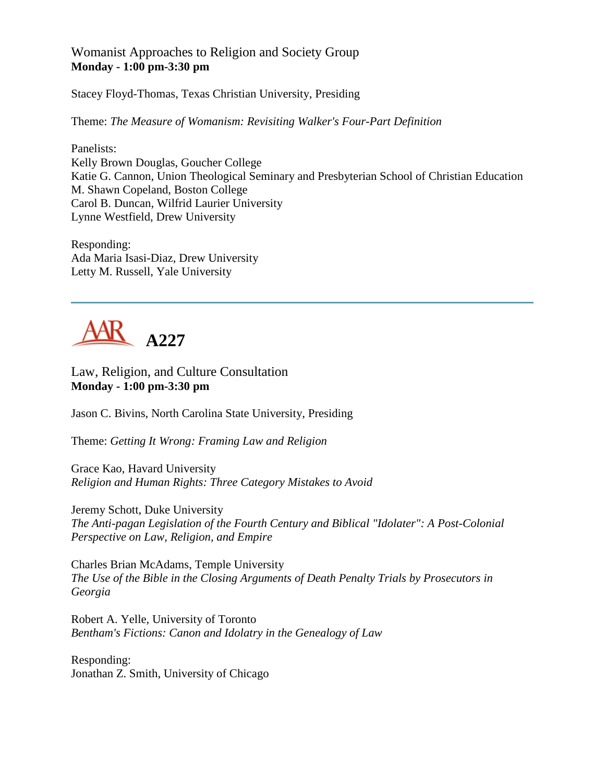#### Womanist Approaches to Religion and Society Group **Monday - 1:00 pm-3:30 pm**

Stacey Floyd-Thomas, Texas Christian University, Presiding

Theme: *The Measure of Womanism: Revisiting Walker's Four-Part Definition*

Panelists: Kelly Brown Douglas, Goucher College Katie G. Cannon, Union Theological Seminary and Presbyterian School of Christian Education M. Shawn Copeland, Boston College Carol B. Duncan, Wilfrid Laurier University Lynne Westfield, Drew University

Responding: Ada Maria Isasi-Diaz, Drew University Letty M. Russell, Yale University



Law, Religion, and Culture Consultation **Monday - 1:00 pm-3:30 pm**

Jason C. Bivins, North Carolina State University, Presiding

Theme: *Getting It Wrong: Framing Law and Religion*

Grace Kao, Havard University *Religion and Human Rights: Three Category Mistakes to Avoid*

Jeremy Schott, Duke University *The Anti-pagan Legislation of the Fourth Century and Biblical "Idolater": A Post-Colonial Perspective on Law, Religion, and Empire*

Charles Brian McAdams, Temple University *The Use of the Bible in the Closing Arguments of Death Penalty Trials by Prosecutors in Georgia*

Robert A. Yelle, University of Toronto *Bentham's Fictions: Canon and Idolatry in the Genealogy of Law*

Responding: Jonathan Z. Smith, University of Chicago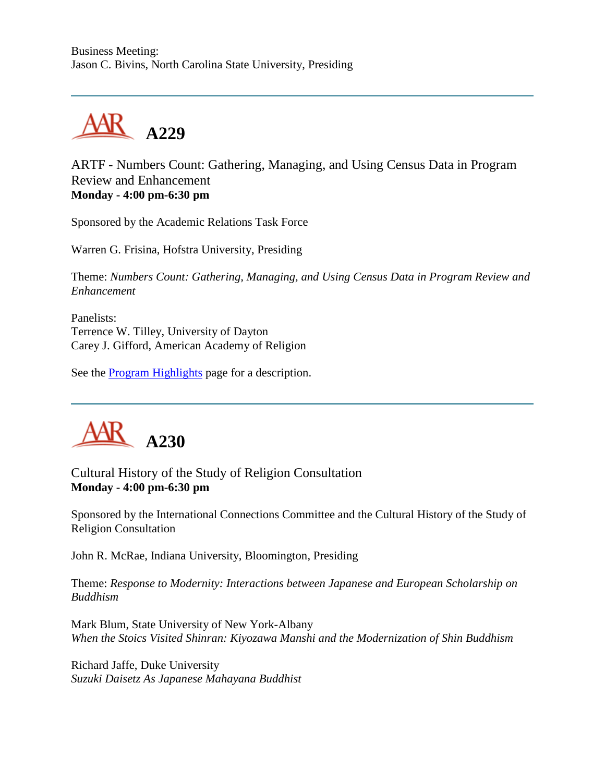

ARTF - Numbers Count: Gathering, Managing, and Using Census Data in Program Review and Enhancement **Monday - 4:00 pm-6:30 pm**

Sponsored by the Academic Relations Task Force

Warren G. Frisina, Hofstra University, Presiding

Theme: *Numbers Count: Gathering, Managing, and Using Census Data in Program Review and Enhancement*

Panelists: Terrence W. Tilley, University of Dayton Carey J. Gifford, American Academy of Religion

See the [Program Highlights](http://www.aarweb.org/Meetings/Annual_Meeting/Past_and_Future_Meetings/2003/highlights.asp) page for a description.



Cultural History of the Study of Religion Consultation **Monday - 4:00 pm-6:30 pm**

Sponsored by the International Connections Committee and the Cultural History of the Study of Religion Consultation

John R. McRae, Indiana University, Bloomington, Presiding

Theme: *Response to Modernity: Interactions between Japanese and European Scholarship on Buddhism*

Mark Blum, State University of New York-Albany *When the Stoics Visited Shinran: Kiyozawa Manshi and the Modernization of Shin Buddhism*

Richard Jaffe, Duke University *Suzuki Daisetz As Japanese Mahayana Buddhist*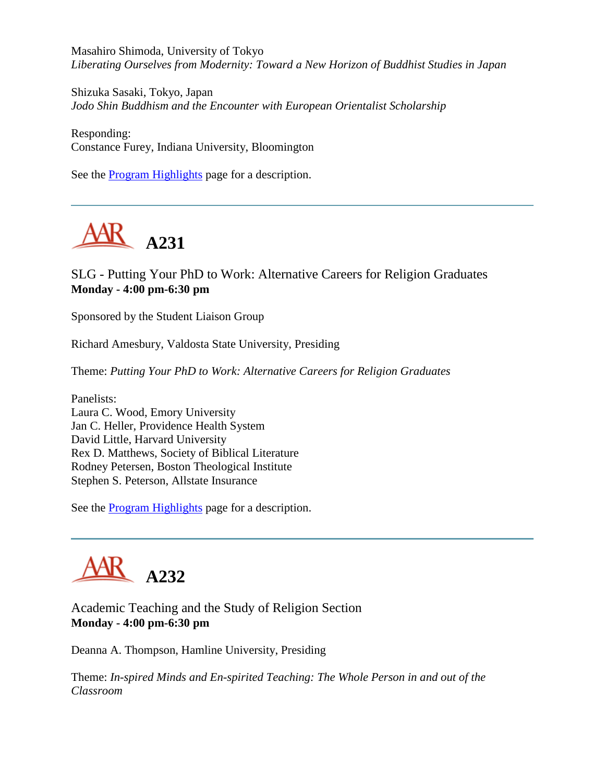Masahiro Shimoda, University of Tokyo *Liberating Ourselves from Modernity: Toward a New Horizon of Buddhist Studies in Japan*

Shizuka Sasaki, Tokyo, Japan *Jodo Shin Buddhism and the Encounter with European Orientalist Scholarship*

Responding: Constance Furey, Indiana University, Bloomington

See the [Program Highlights](http://www.aarweb.org/Meetings/Annual_Meeting/Past_and_Future_Meetings/2003/highlights.asp) page for a description.



SLG - Putting Your PhD to Work: Alternative Careers for Religion Graduates **Monday - 4:00 pm-6:30 pm**

Sponsored by the Student Liaison Group

Richard Amesbury, Valdosta State University, Presiding

Theme: *Putting Your PhD to Work: Alternative Careers for Religion Graduates*

Panelists: Laura C. Wood, Emory University Jan C. Heller, Providence Health System David Little, Harvard University Rex D. Matthews, Society of Biblical Literature Rodney Petersen, Boston Theological Institute Stephen S. Peterson, Allstate Insurance

See the [Program Highlights](http://www.aarweb.org/Meetings/Annual_Meeting/Past_and_Future_Meetings/2003/highlights.asp) page for a description.



Academic Teaching and the Study of Religion Section **Monday - 4:00 pm-6:30 pm**

Deanna A. Thompson, Hamline University, Presiding

Theme: *In-spired Minds and En-spirited Teaching: The Whole Person in and out of the Classroom*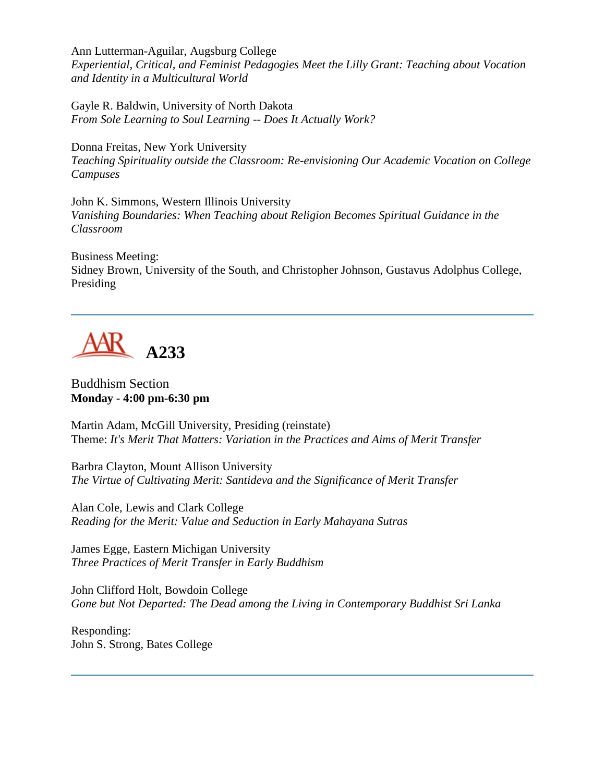Ann Lutterman-Aguilar, Augsburg College *Experiential, Critical, and Feminist Pedagogies Meet the Lilly Grant: Teaching about Vocation and Identity in a Multicultural World*

Gayle R. Baldwin, University of North Dakota *From Sole Learning to Soul Learning -- Does It Actually Work?*

Donna Freitas, New York University *Teaching Spirituality outside the Classroom: Re-envisioning Our Academic Vocation on College Campuses*

John K. Simmons, Western Illinois University *Vanishing Boundaries: When Teaching about Religion Becomes Spiritual Guidance in the Classroom*

Business Meeting: Sidney Brown, University of the South, and Christopher Johnson, Gustavus Adolphus College, Presiding



Buddhism Section **Monday - 4:00 pm-6:30 pm**

Martin Adam, McGill University, Presiding (reinstate) Theme: *It's Merit That Matters: Variation in the Practices and Aims of Merit Transfer*

Barbra Clayton, Mount Allison University *The Virtue of Cultivating Merit: Santideva and the Significance of Merit Transfer*

Alan Cole, Lewis and Clark College *Reading for the Merit: Value and Seduction in Early Mahayana Sutras*

James Egge, Eastern Michigan University *Three Practices of Merit Transfer in Early Buddhism*

John Clifford Holt, Bowdoin College *Gone but Not Departed: The Dead among the Living in Contemporary Buddhist Sri Lanka*

Responding: John S. Strong, Bates College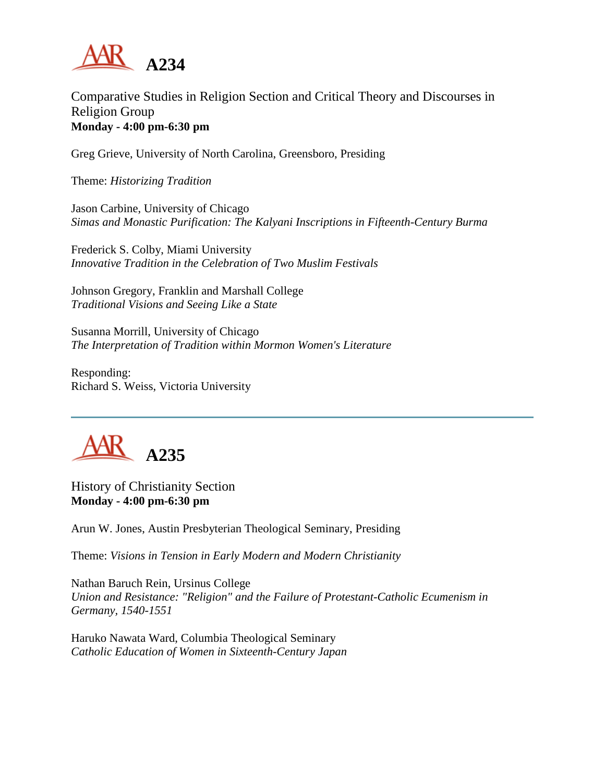

## Comparative Studies in Religion Section and Critical Theory and Discourses in Religion Group **Monday - 4:00 pm-6:30 pm**

Greg Grieve, University of North Carolina, Greensboro, Presiding

Theme: *Historizing Tradition*

Jason Carbine, University of Chicago *Simas and Monastic Purification: The Kalyani Inscriptions in Fifteenth-Century Burma*

Frederick S. Colby, Miami University *Innovative Tradition in the Celebration of Two Muslim Festivals*

Johnson Gregory, Franklin and Marshall College *Traditional Visions and Seeing Like a State*

Susanna Morrill, University of Chicago *The Interpretation of Tradition within Mormon Women's Literature*

Responding: Richard S. Weiss, Victoria University



History of Christianity Section **Monday - 4:00 pm-6:30 pm**

Arun W. Jones, Austin Presbyterian Theological Seminary, Presiding

Theme: *Visions in Tension in Early Modern and Modern Christianity*

Nathan Baruch Rein, Ursinus College *Union and Resistance: "Religion" and the Failure of Protestant-Catholic Ecumenism in Germany, 1540-1551*

Haruko Nawata Ward, Columbia Theological Seminary *Catholic Education of Women in Sixteenth-Century Japan*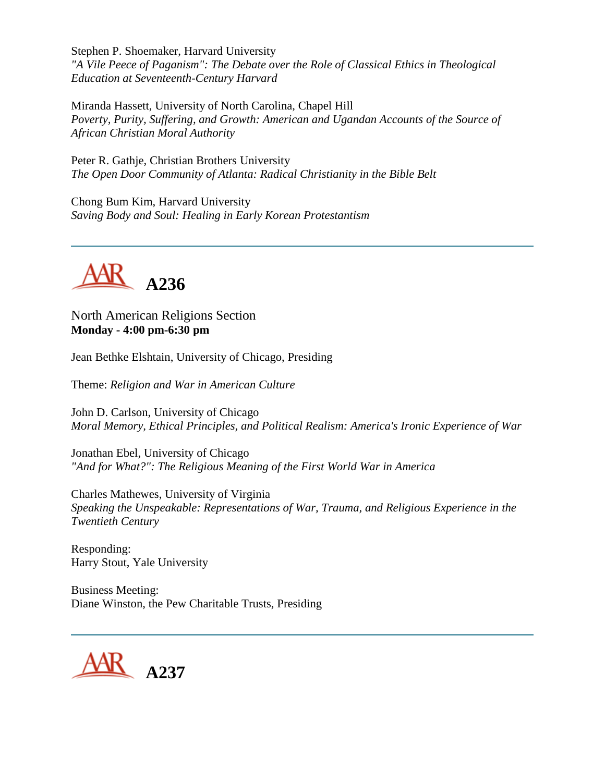Stephen P. Shoemaker, Harvard University *"A Vile Peece of Paganism": The Debate over the Role of Classical Ethics in Theological Education at Seventeenth-Century Harvard*

Miranda Hassett, University of North Carolina, Chapel Hill *Poverty, Purity, Suffering, and Growth: American and Ugandan Accounts of the Source of African Christian Moral Authority*

Peter R. Gathje, Christian Brothers University *The Open Door Community of Atlanta: Radical Christianity in the Bible Belt*

Chong Bum Kim, Harvard University *Saving Body and Soul: Healing in Early Korean Protestantism*



North American Religions Section **Monday - 4:00 pm-6:30 pm**

Jean Bethke Elshtain, University of Chicago, Presiding

Theme: *Religion and War in American Culture*

John D. Carlson, University of Chicago *Moral Memory, Ethical Principles, and Political Realism: America's Ironic Experience of War*

Jonathan Ebel, University of Chicago *"And for What?": The Religious Meaning of the First World War in America*

Charles Mathewes, University of Virginia *Speaking the Unspeakable: Representations of War, Trauma, and Religious Experience in the Twentieth Century*

Responding: Harry Stout, Yale University

Business Meeting: Diane Winston, the Pew Charitable Trusts, Presiding

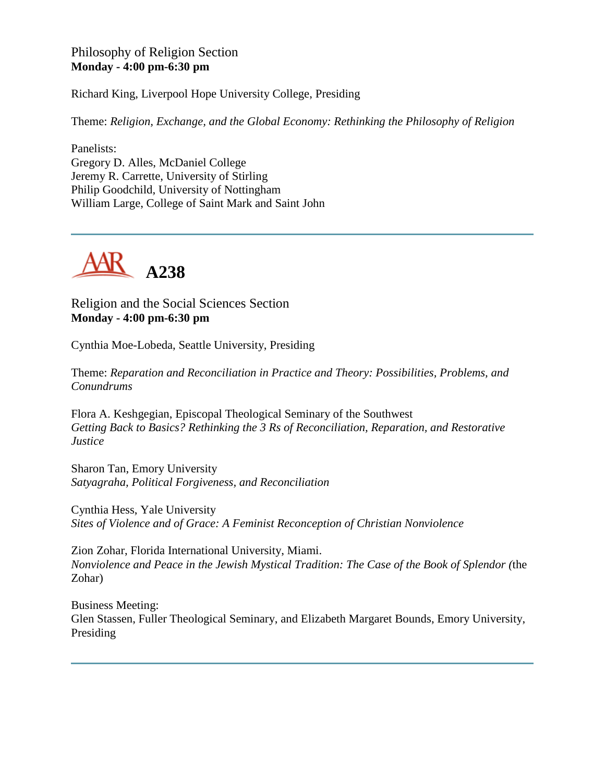### Philosophy of Religion Section **Monday - 4:00 pm-6:30 pm**

Richard King, Liverpool Hope University College, Presiding

Theme: *Religion, Exchange, and the Global Economy: Rethinking the Philosophy of Religion*

Panelists: Gregory D. Alles, McDaniel College Jeremy R. Carrette, University of Stirling Philip Goodchild, University of Nottingham William Large, College of Saint Mark and Saint John



Religion and the Social Sciences Section **Monday - 4:00 pm-6:30 pm**

Cynthia Moe-Lobeda, Seattle University, Presiding

Theme: *Reparation and Reconciliation in Practice and Theory: Possibilities, Problems, and Conundrums*

Flora A. Keshgegian, Episcopal Theological Seminary of the Southwest *Getting Back to Basics? Rethinking the 3 Rs of Reconciliation, Reparation, and Restorative Justice*

Sharon Tan, Emory University *Satyagraha, Political Forgiveness, and Reconciliation*

Cynthia Hess, Yale University *Sites of Violence and of Grace: A Feminist Reconception of Christian Nonviolence*

Zion Zohar, Florida International University, Miami. *Nonviolence and Peace in the Jewish Mystical Tradition: The Case of the Book of Splendor (*the Zohar)

Business Meeting: Glen Stassen, Fuller Theological Seminary, and Elizabeth Margaret Bounds, Emory University, Presiding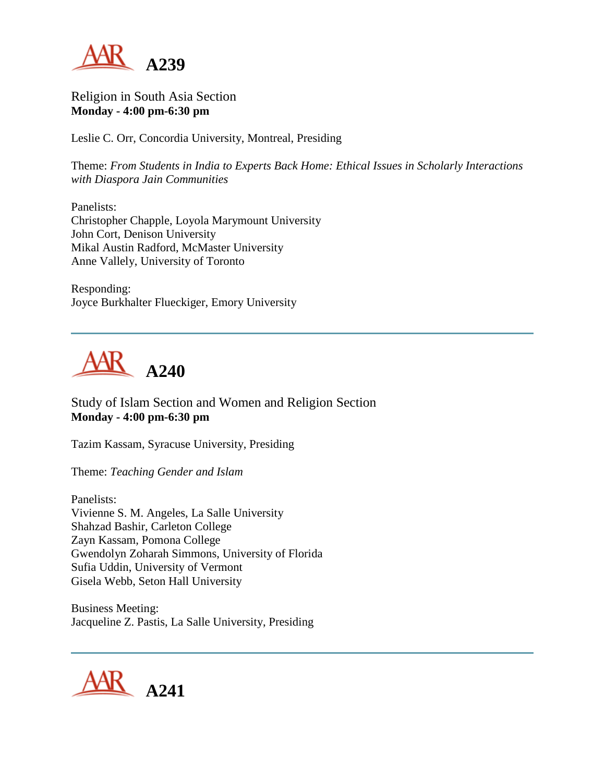

Religion in South Asia Section **Monday - 4:00 pm-6:30 pm**

Leslie C. Orr, Concordia University, Montreal, Presiding

Theme: *From Students in India to Experts Back Home: Ethical Issues in Scholarly Interactions with Diaspora Jain Communities*

Panelists: Christopher Chapple, Loyola Marymount University John Cort, Denison University Mikal Austin Radford, McMaster University Anne Vallely, University of Toronto

Responding: Joyce Burkhalter Flueckiger, Emory University



Study of Islam Section and Women and Religion Section **Monday - 4:00 pm-6:30 pm**

Tazim Kassam, Syracuse University, Presiding

Theme: *Teaching Gender and Islam*

Panelists: Vivienne S. M. Angeles, La Salle University Shahzad Bashir, Carleton College Zayn Kassam, Pomona College Gwendolyn Zoharah Simmons, University of Florida Sufia Uddin, University of Vermont Gisela Webb, Seton Hall University

Business Meeting: Jacqueline Z. Pastis, La Salle University, Presiding

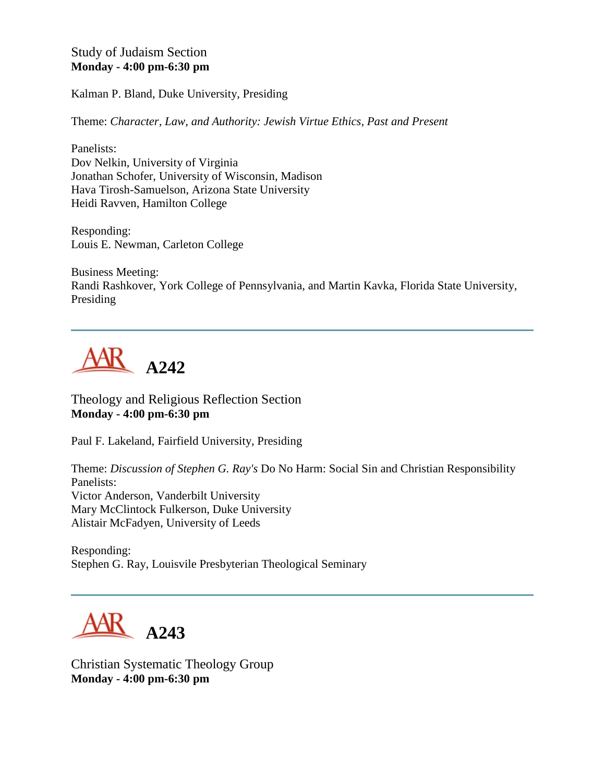Study of Judaism Section **Monday - 4:00 pm-6:30 pm**

Kalman P. Bland, Duke University, Presiding

Theme: *Character, Law, and Authority: Jewish Virtue Ethics, Past and Present*

Panelists: Dov Nelkin, University of Virginia Jonathan Schofer, University of Wisconsin, Madison Hava Tirosh-Samuelson, Arizona State University Heidi Ravven, Hamilton College

Responding: Louis E. Newman, Carleton College

Business Meeting: Randi Rashkover, York College of Pennsylvania, and Martin Kavka, Florida State University, Presiding



Theology and Religious Reflection Section **Monday - 4:00 pm-6:30 pm**

Paul F. Lakeland, Fairfield University, Presiding

Theme: *Discussion of Stephen G. Ray's* Do No Harm: Social Sin and Christian Responsibility Panelists: Victor Anderson, Vanderbilt University Mary McClintock Fulkerson, Duke University Alistair McFadyen, University of Leeds

Responding: Stephen G. Ray, Louisvile Presbyterian Theological Seminary



Christian Systematic Theology Group **Monday - 4:00 pm-6:30 pm**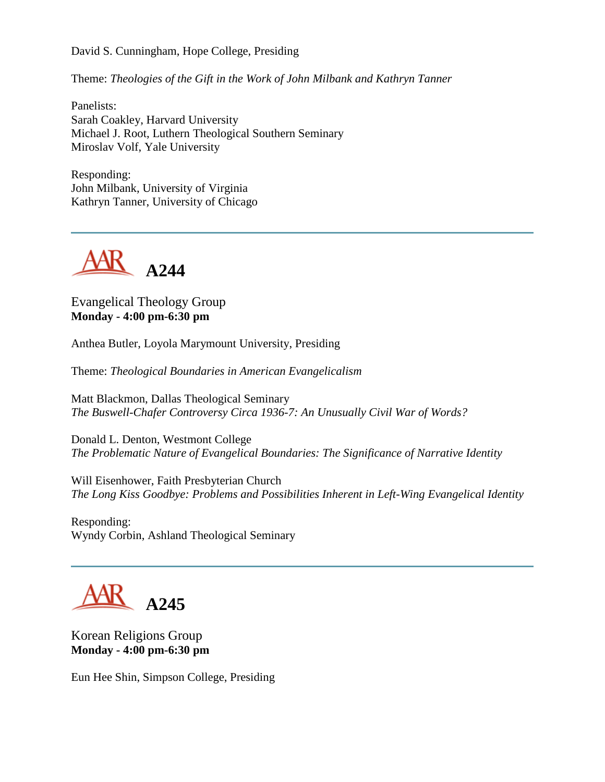David S. Cunningham, Hope College, Presiding

Theme: *Theologies of the Gift in the Work of John Milbank and Kathryn Tanner*

Panelists: Sarah Coakley, Harvard University Michael J. Root, Luthern Theological Southern Seminary Miroslav Volf, Yale University

Responding: John Milbank, University of Virginia Kathryn Tanner, University of Chicago



Evangelical Theology Group **Monday - 4:00 pm-6:30 pm**

Anthea Butler, Loyola Marymount University, Presiding

Theme: *Theological Boundaries in American Evangelicalism*

Matt Blackmon, Dallas Theological Seminary *The Buswell-Chafer Controversy Circa 1936-7: An Unusually Civil War of Words?*

Donald L. Denton, Westmont College *The Problematic Nature of Evangelical Boundaries: The Significance of Narrative Identity*

Will Eisenhower, Faith Presbyterian Church *The Long Kiss Goodbye: Problems and Possibilities Inherent in Left-Wing Evangelical Identity*

Responding: Wyndy Corbin, Ashland Theological Seminary

# **A245**

Korean Religions Group **Monday - 4:00 pm-6:30 pm**

Eun Hee Shin, Simpson College, Presiding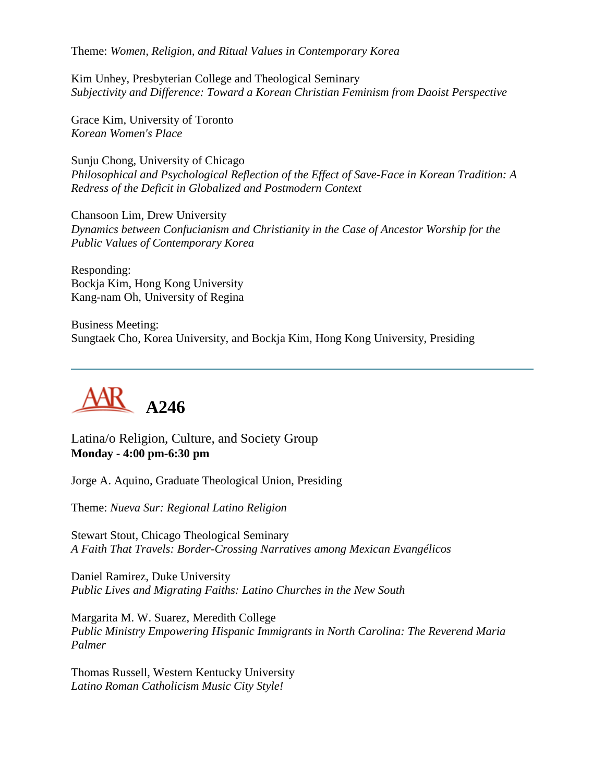Theme: *Women, Religion, and Ritual Values in Contemporary Korea*

Kim Unhey, Presbyterian College and Theological Seminary *Subjectivity and Difference: Toward a Korean Christian Feminism from Daoist Perspective*

Grace Kim, University of Toronto *Korean Women's Place*

Sunju Chong, University of Chicago *Philosophical and Psychological Reflection of the Effect of Save-Face in Korean Tradition: A Redress of the Deficit in Globalized and Postmodern Context*

Chansoon Lim, Drew University *Dynamics between Confucianism and Christianity in the Case of Ancestor Worship for the Public Values of Contemporary Korea*

Responding: Bockja Kim, Hong Kong University Kang-nam Oh, University of Regina

Business Meeting: Sungtaek Cho, Korea University, and Bockja Kim, Hong Kong University, Presiding



Latina/o Religion, Culture, and Society Group **Monday - 4:00 pm-6:30 pm**

Jorge A. Aquino, Graduate Theological Union, Presiding

Theme: *Nueva Sur: Regional Latino Religion*

Stewart Stout, Chicago Theological Seminary *A Faith That Travels: Border-Crossing Narratives among Mexican Evangélicos*

Daniel Ramirez, Duke University *Public Lives and Migrating Faiths: Latino Churches in the New South*

Margarita M. W. Suarez, Meredith College *Public Ministry Empowering Hispanic Immigrants in North Carolina: The Reverend Maria Palmer*

Thomas Russell, Western Kentucky University *Latino Roman Catholicism Music City Style!*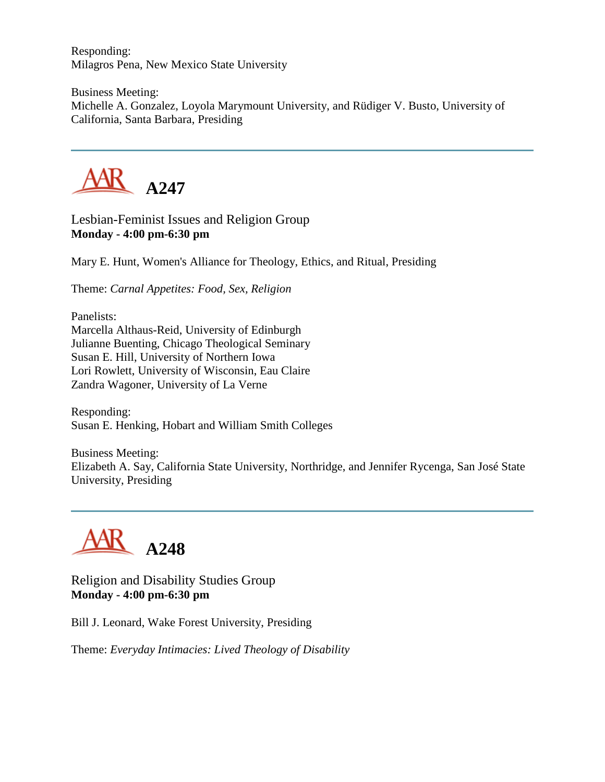Responding: Milagros Pena, New Mexico State University

Business Meeting: Michelle A. Gonzalez, Loyola Marymount University, and Rüdiger V. Busto, University of California, Santa Barbara, Presiding



Lesbian-Feminist Issues and Religion Group **Monday - 4:00 pm-6:30 pm**

Mary E. Hunt, Women's Alliance for Theology, Ethics, and Ritual, Presiding

Theme: *Carnal Appetites: Food, Sex, Religion*

Panelists: Marcella Althaus-Reid, University of Edinburgh Julianne Buenting, Chicago Theological Seminary Susan E. Hill, University of Northern Iowa Lori Rowlett, University of Wisconsin, Eau Claire Zandra Wagoner, University of La Verne

Responding: Susan E. Henking, Hobart and William Smith Colleges

Business Meeting: Elizabeth A. Say, California State University, Northridge, and Jennifer Rycenga, San José State University, Presiding



Religion and Disability Studies Group **Monday - 4:00 pm-6:30 pm**

Bill J. Leonard, Wake Forest University, Presiding

Theme: *Everyday Intimacies: Lived Theology of Disability*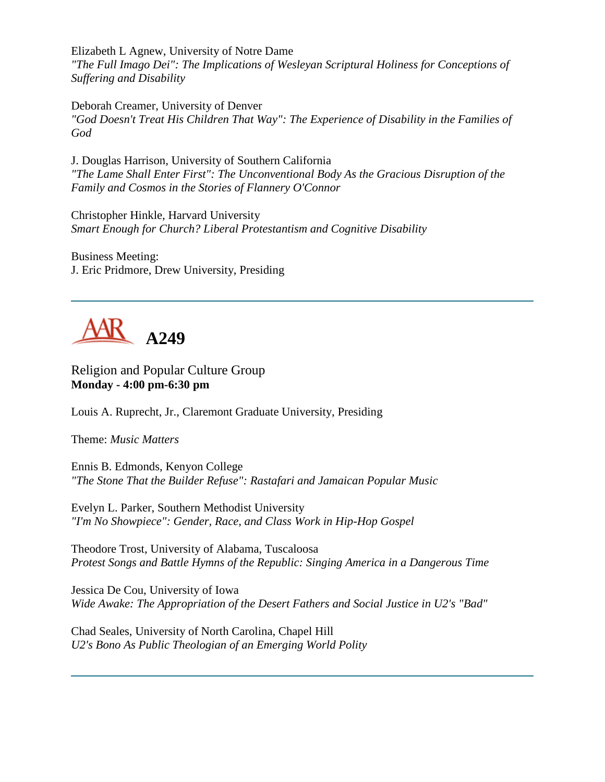Elizabeth L Agnew, University of Notre Dame *"The Full Imago Dei": The Implications of Wesleyan Scriptural Holiness for Conceptions of Suffering and Disability*

Deborah Creamer, University of Denver *"God Doesn't Treat His Children That Way": The Experience of Disability in the Families of God*

J. Douglas Harrison, University of Southern California *"The Lame Shall Enter First": The Unconventional Body As the Gracious Disruption of the Family and Cosmos in the Stories of Flannery O'Connor*

Christopher Hinkle, Harvard University *Smart Enough for Church? Liberal Protestantism and Cognitive Disability*

Business Meeting: J. Eric Pridmore, Drew University, Presiding



Religion and Popular Culture Group **Monday - 4:00 pm-6:30 pm**

Louis A. Ruprecht, Jr., Claremont Graduate University, Presiding

Theme: *Music Matters*

Ennis B. Edmonds, Kenyon College *"The Stone That the Builder Refuse": Rastafari and Jamaican Popular Music*

Evelyn L. Parker, Southern Methodist University *"I'm No Showpiece": Gender, Race, and Class Work in Hip-Hop Gospel*

Theodore Trost, University of Alabama, Tuscaloosa *Protest Songs and Battle Hymns of the Republic: Singing America in a Dangerous Time*

Jessica De Cou, University of Iowa *Wide Awake: The Appropriation of the Desert Fathers and Social Justice in U2's "Bad"*

Chad Seales, University of North Carolina, Chapel Hill *U2's Bono As Public Theologian of an Emerging World Polity*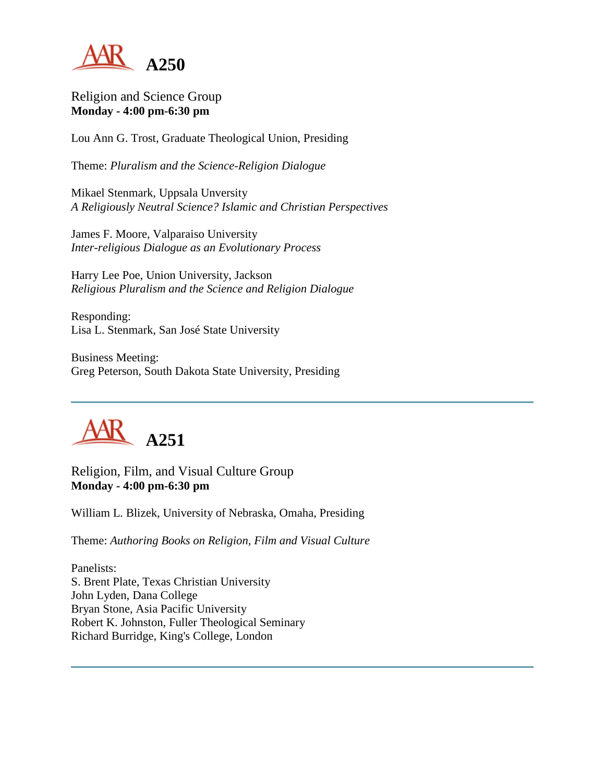

Religion and Science Group **Monday - 4:00 pm-6:30 pm**

Lou Ann G. Trost, Graduate Theological Union, Presiding

Theme: *Pluralism and the Science-Religion Dialogue*

Mikael Stenmark, Uppsala Unversity *A Religiously Neutral Science? Islamic and Christian Perspectives*

James F. Moore, Valparaiso University *Inter-religious Dialogue as an Evolutionary Process*

Harry Lee Poe, Union University, Jackson *Religious Pluralism and the Science and Religion Dialogue*

Responding: Lisa L. Stenmark, San José State University

Business Meeting: Greg Peterson, South Dakota State University, Presiding



Religion, Film, and Visual Culture Group **Monday - 4:00 pm-6:30 pm**

William L. Blizek, University of Nebraska, Omaha, Presiding

Theme: *Authoring Books on Religion, Film and Visual Culture*

Panelists: S. Brent Plate, Texas Christian University John Lyden, Dana College Bryan Stone, Asia Pacific University Robert K. Johnston, Fuller Theological Seminary Richard Burridge, King's College, London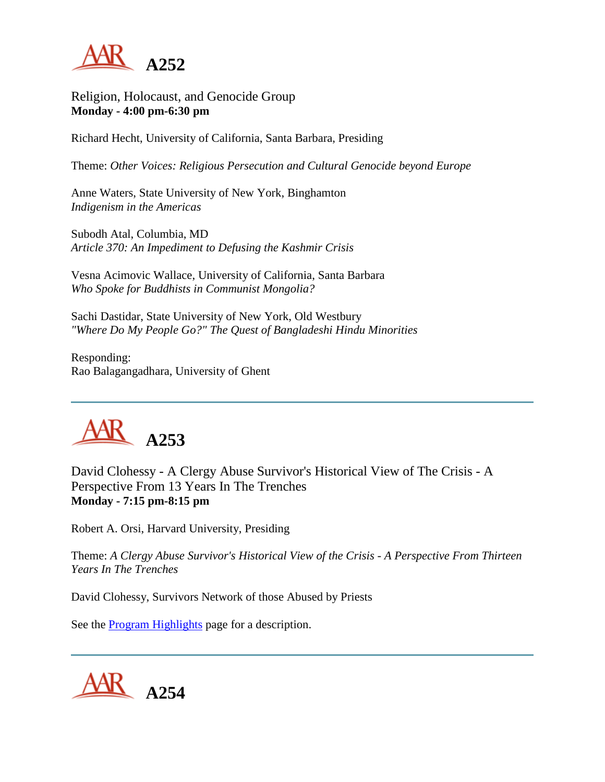

Religion, Holocaust, and Genocide Group **Monday - 4:00 pm-6:30 pm**

Richard Hecht, University of California, Santa Barbara, Presiding

Theme: *Other Voices: Religious Persecution and Cultural Genocide beyond Europe*

Anne Waters, State University of New York, Binghamton *Indigenism in the Americas*

Subodh Atal, Columbia, MD *Article 370: An Impediment to Defusing the Kashmir Crisis*

Vesna Acimovic Wallace, University of California, Santa Barbara *Who Spoke for Buddhists in Communist Mongolia?*

Sachi Dastidar, State University of New York, Old Westbury *"Where Do My People Go?" The Quest of Bangladeshi Hindu Minorities*

Responding: Rao Balagangadhara, University of Ghent



David Clohessy - A Clergy Abuse Survivor's Historical View of The Crisis - A Perspective From 13 Years In The Trenches **Monday - 7:15 pm-8:15 pm**

Robert A. Orsi, Harvard University, Presiding

Theme: *A Clergy Abuse Survivor's Historical View of the Crisis - A Perspective From Thirteen Years In The Trenches*

David Clohessy, Survivors Network of those Abused by Priests

See the [Program Highlights](http://www.aarweb.org/Meetings/Annual_Meeting/Past_and_Future_Meetings/2003/highlights.asp) page for a description.

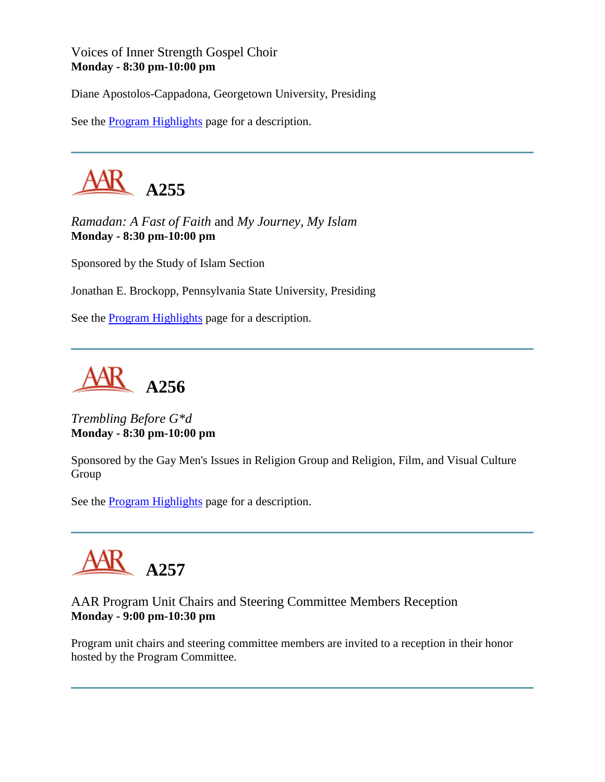### Voices of Inner Strength Gospel Choir **Monday - 8:30 pm-10:00 pm**

Diane Apostolos-Cappadona, Georgetown University, Presiding

See the [Program Highlights](http://www.aarweb.org/Meetings/Annual_Meeting/Past_and_Future_Meetings/2003/highlights.asp) page for a description.



*Ramadan: A Fast of Faith* and *My Journey, My Islam* **Monday - 8:30 pm-10:00 pm**

Sponsored by the Study of Islam Section

Jonathan E. Brockopp, Pennsylvania State University, Presiding

See the [Program Highlights](http://www.aarweb.org/Meetings/Annual_Meeting/Past_and_Future_Meetings/2003/highlights.asp) page for a description.

**A256**

*Trembling Before G\*d* **Monday - 8:30 pm-10:00 pm**

Sponsored by the Gay Men's Issues in Religion Group and Religion, Film, and Visual Culture Group

See the [Program Highlights](http://www.aarweb.org/Meetings/Annual_Meeting/Past_and_Future_Meetings/2003/highlights.asp) page for a description.



# AAR Program Unit Chairs and Steering Committee Members Reception **Monday - 9:00 pm-10:30 pm**

Program unit chairs and steering committee members are invited to a reception in their honor hosted by the Program Committee.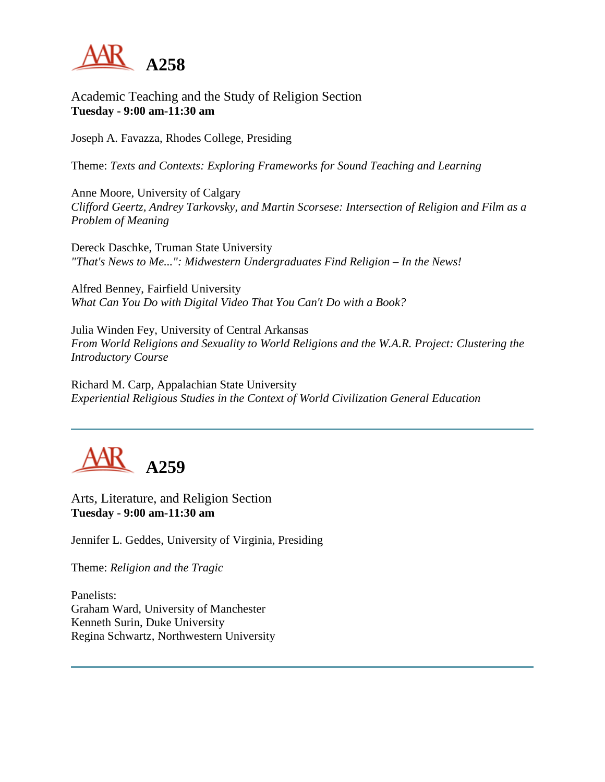

Academic Teaching and the Study of Religion Section **Tuesday - 9:00 am-11:30 am**

Joseph A. Favazza, Rhodes College, Presiding

Theme: *Texts and Contexts: Exploring Frameworks for Sound Teaching and Learning*

Anne Moore, University of Calgary *Clifford Geertz, Andrey Tarkovsky, and Martin Scorsese: Intersection of Religion and Film as a Problem of Meaning*

Dereck Daschke, Truman State University *"That's News to Me...": Midwestern Undergraduates Find Religion – In the News!*

Alfred Benney, Fairfield University *What Can You Do with Digital Video That You Can't Do with a Book?*

Julia Winden Fey, University of Central Arkansas *From World Religions and Sexuality to World Religions and the W.A.R. Project: Clustering the Introductory Course*

Richard M. Carp, Appalachian State University *Experiential Religious Studies in the Context of World Civilization General Education*



Arts, Literature, and Religion Section **Tuesday - 9:00 am-11:30 am**

Jennifer L. Geddes, University of Virginia, Presiding

Theme: *Religion and the Tragic*

Panelists: Graham Ward, University of Manchester Kenneth Surin, Duke University Regina Schwartz, Northwestern University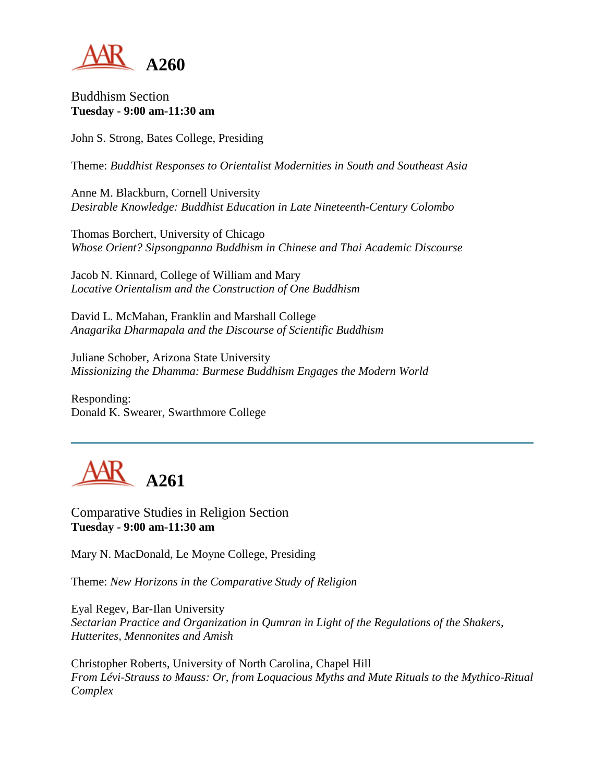

Buddhism Section **Tuesday - 9:00 am-11:30 am**

John S. Strong, Bates College, Presiding

Theme: *Buddhist Responses to Orientalist Modernities in South and Southeast Asia*

Anne M. Blackburn, Cornell University *Desirable Knowledge: Buddhist Education in Late Nineteenth-Century Colombo*

Thomas Borchert, University of Chicago *Whose Orient? Sipsongpanna Buddhism in Chinese and Thai Academic Discourse*

Jacob N. Kinnard, College of William and Mary *Locative Orientalism and the Construction of One Buddhism*

David L. McMahan, Franklin and Marshall College *Anagarika Dharmapala and the Discourse of Scientific Buddhism*

Juliane Schober, Arizona State University *Missionizing the Dhamma: Burmese Buddhism Engages the Modern World*

Responding: Donald K. Swearer, Swarthmore College



Comparative Studies in Religion Section **Tuesday - 9:00 am-11:30 am**

Mary N. MacDonald, Le Moyne College, Presiding

Theme: *New Horizons in the Comparative Study of Religion*

Eyal Regev, Bar-Ilan University *Sectarian Practice and Organization in Qumran in Light of the Regulations of the Shakers, Hutterites, Mennonites and Amish*

Christopher Roberts, University of North Carolina, Chapel Hill *From Lévi-Strauss to Mauss: Or, from Loquacious Myths and Mute Rituals to the Mythico-Ritual Complex*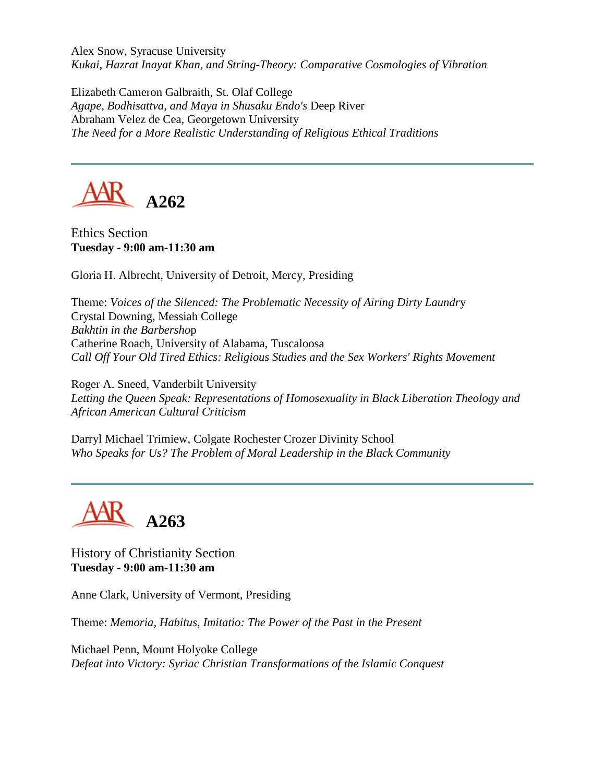Alex Snow, Syracuse University *Kukai, Hazrat Inayat Khan, and String-Theory: Comparative Cosmologies of Vibration*

Elizabeth Cameron Galbraith, St. Olaf College *Agape, Bodhisattva, and Maya in Shusaku Endo's* Deep River Abraham Velez de Cea, Georgetown University *The Need for a More Realistic Understanding of Religious Ethical Traditions*



Ethics Section **Tuesday - 9:00 am-11:30 am**

Gloria H. Albrecht, University of Detroit, Mercy, Presiding

Theme: *Voices of the Silenced: The Problematic Necessity of Airing Dirty Laundr*y Crystal Downing, Messiah College *Bakhtin in the Barbersho*p Catherine Roach, University of Alabama, Tuscaloosa *Call Off Your Old Tired Ethics: Religious Studies and the Sex Workers' Rights Movement*

Roger A. Sneed, Vanderbilt University *Letting the Queen Speak: Representations of Homosexuality in Black Liberation Theology and African American Cultural Criticism*

Darryl Michael Trimiew, Colgate Rochester Crozer Divinity School *Who Speaks for Us? The Problem of Moral Leadership in the Black Community*

**A263**

History of Christianity Section **Tuesday - 9:00 am-11:30 am**

Anne Clark, University of Vermont, Presiding

Theme: *Memoria, Habitus, Imitatio: The Power of the Past in the Present*

Michael Penn, Mount Holyoke College *Defeat into Victory: Syriac Christian Transformations of the Islamic Conquest*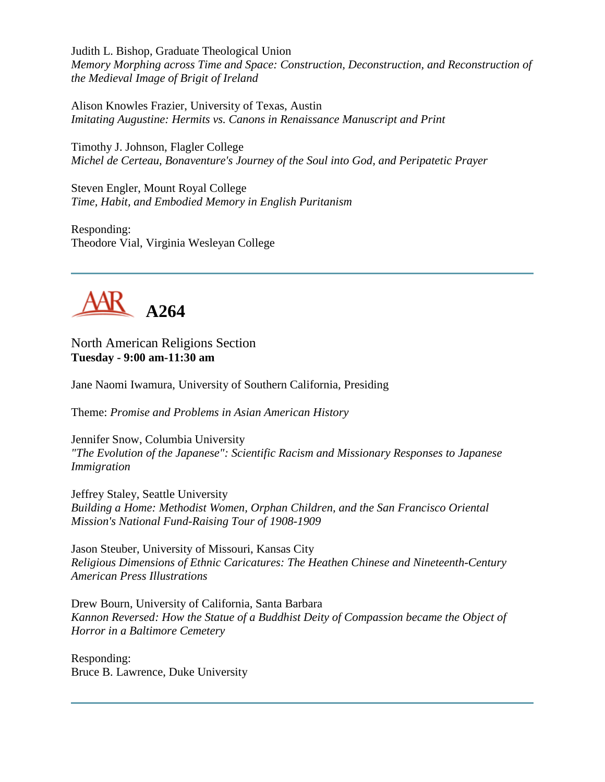Judith L. Bishop, Graduate Theological Union *Memory Morphing across Time and Space: Construction, Deconstruction, and Reconstruction of the Medieval Image of Brigit of Ireland*

Alison Knowles Frazier, University of Texas, Austin *Imitating Augustine: Hermits vs. Canons in Renaissance Manuscript and Print*

Timothy J. Johnson, Flagler College *Michel de Certeau, Bonaventure's Journey of the Soul into God, and Peripatetic Prayer*

Steven Engler, Mount Royal College *Time, Habit, and Embodied Memory in English Puritanism*

Responding: Theodore Vial, Virginia Wesleyan College



North American Religions Section **Tuesday - 9:00 am-11:30 am**

Jane Naomi Iwamura, University of Southern California, Presiding

Theme: *Promise and Problems in Asian American History*

Jennifer Snow, Columbia University *"The Evolution of the Japanese": Scientific Racism and Missionary Responses to Japanese Immigration*

Jeffrey Staley, Seattle University *Building a Home: Methodist Women, Orphan Children, and the San Francisco Oriental Mission's National Fund-Raising Tour of 1908-1909*

Jason Steuber, University of Missouri, Kansas City *Religious Dimensions of Ethnic Caricatures: The Heathen Chinese and Nineteenth-Century American Press Illustrations*

Drew Bourn, University of California, Santa Barbara *Kannon Reversed: How the Statue of a Buddhist Deity of Compassion became the Object of Horror in a Baltimore Cemetery*

Responding: Bruce B. Lawrence, Duke University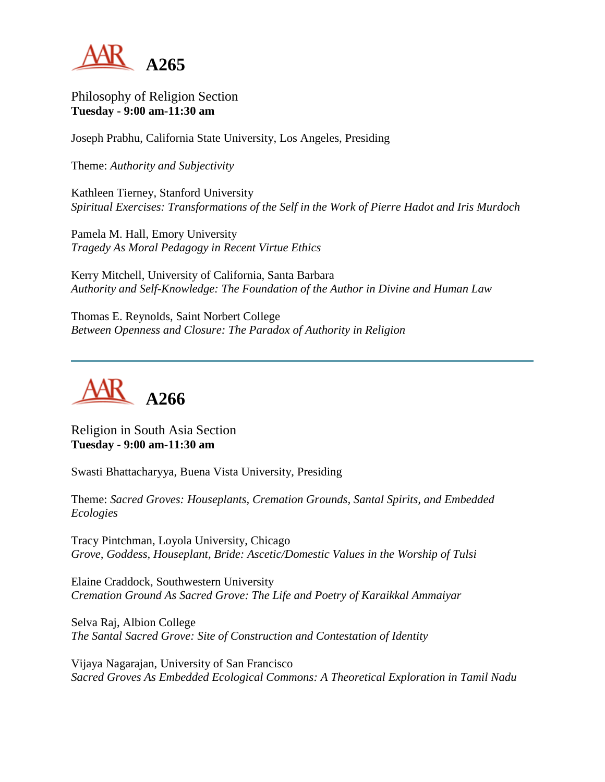

Philosophy of Religion Section **Tuesday - 9:00 am-11:30 am**

Joseph Prabhu, California State University, Los Angeles, Presiding

Theme: *Authority and Subjectivity*

Kathleen Tierney, Stanford University *Spiritual Exercises: Transformations of the Self in the Work of Pierre Hadot and Iris Murdoch*

Pamela M. Hall, Emory University *Tragedy As Moral Pedagogy in Recent Virtue Ethics*

Kerry Mitchell, University of California, Santa Barbara *Authority and Self-Knowledge: The Foundation of the Author in Divine and Human Law*

Thomas E. Reynolds, Saint Norbert College *Between Openness and Closure: The Paradox of Authority in Religion*



Religion in South Asia Section **Tuesday - 9:00 am-11:30 am**

Swasti Bhattacharyya, Buena Vista University, Presiding

Theme: *Sacred Groves: Houseplants, Cremation Grounds, Santal Spirits, and Embedded Ecologies*

Tracy Pintchman, Loyola University, Chicago *Grove, Goddess, Houseplant, Bride: Ascetic/Domestic Values in the Worship of Tulsi*

Elaine Craddock, Southwestern University *Cremation Ground As Sacred Grove: The Life and Poetry of Karaikkal Ammaiyar*

Selva Raj, Albion College *The Santal Sacred Grove: Site of Construction and Contestation of Identity*

Vijaya Nagarajan, University of San Francisco *Sacred Groves As Embedded Ecological Commons: A Theoretical Exploration in Tamil Nadu*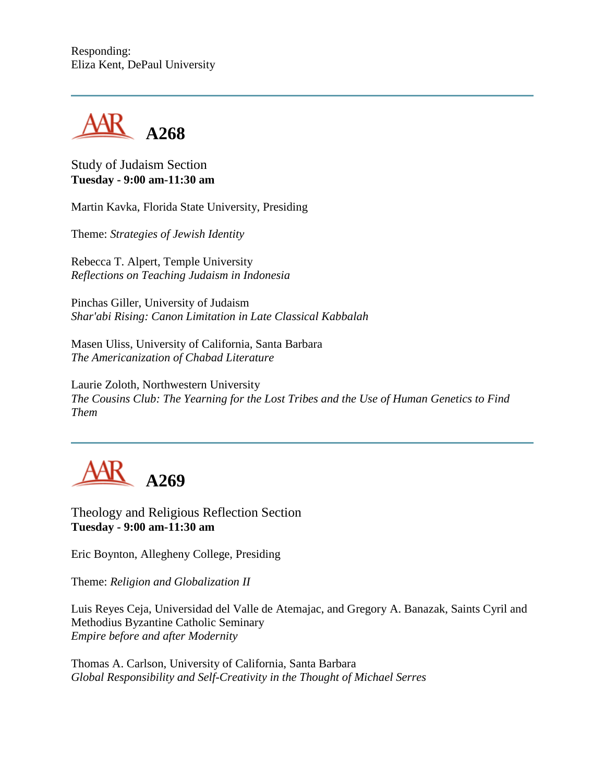Responding: Eliza Kent, DePaul University



Study of Judaism Section **Tuesday - 9:00 am-11:30 am**

Martin Kavka, Florida State University, Presiding

Theme: *Strategies of Jewish Identity*

Rebecca T. Alpert, Temple University *Reflections on Teaching Judaism in Indonesia*

Pinchas Giller, University of Judaism *Shar'abi Rising: Canon Limitation in Late Classical Kabbalah*

Masen Uliss, University of California, Santa Barbara *The Americanization of Chabad Literature*

Laurie Zoloth, Northwestern University *The Cousins Club: The Yearning for the Lost Tribes and the Use of Human Genetics to Find Them*



Theology and Religious Reflection Section **Tuesday - 9:00 am-11:30 am**

Eric Boynton, Allegheny College, Presiding

Theme: *Religion and Globalization II*

Luis Reyes Ceja, Universidad del Valle de Atemajac, and Gregory A. Banazak, Saints Cyril and Methodius Byzantine Catholic Seminary *Empire before and after Modernity*

Thomas A. Carlson, University of California, Santa Barbara *Global Responsibility and Self-Creativity in the Thought of Michael Serres*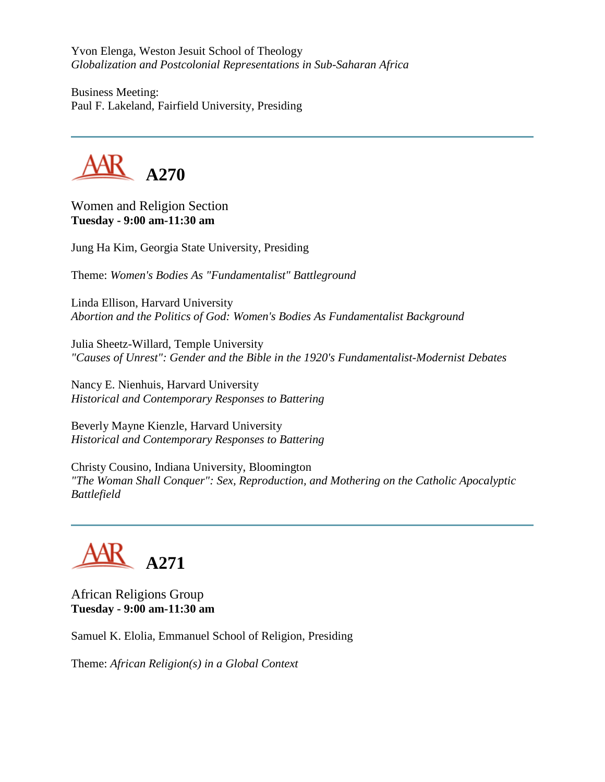Yvon Elenga, Weston Jesuit School of Theology *Globalization and Postcolonial Representations in Sub-Saharan Africa*

Business Meeting: Paul F. Lakeland, Fairfield University, Presiding



Women and Religion Section **Tuesday - 9:00 am-11:30 am**

Jung Ha Kim, Georgia State University, Presiding

Theme: *Women's Bodies As "Fundamentalist" Battleground*

Linda Ellison, Harvard University *Abortion and the Politics of God: Women's Bodies As Fundamentalist Background*

Julia Sheetz-Willard, Temple University *"Causes of Unrest": Gender and the Bible in the 1920's Fundamentalist-Modernist Debates*

Nancy E. Nienhuis, Harvard University *Historical and Contemporary Responses to Battering*

Beverly Mayne Kienzle, Harvard University *Historical and Contemporary Responses to Battering*

Christy Cousino, Indiana University, Bloomington *"The Woman Shall Conquer": Sex, Reproduction, and Mothering on the Catholic Apocalyptic Battlefield*

# **A271**

African Religions Group **Tuesday - 9:00 am-11:30 am**

Samuel K. Elolia, Emmanuel School of Religion, Presiding

Theme: *African Religion(s) in a Global Context*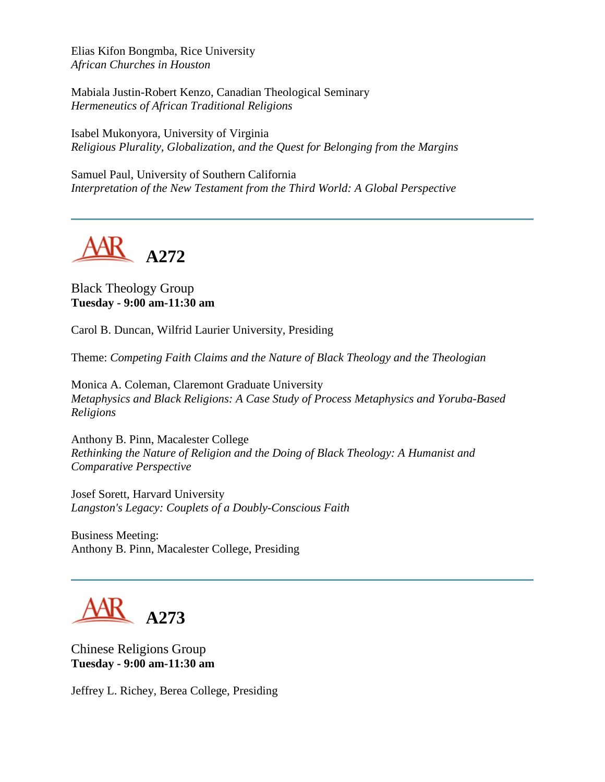Elias Kifon Bongmba, Rice University *African Churches in Houston*

Mabiala Justin-Robert Kenzo, Canadian Theological Seminary *Hermeneutics of African Traditional Religions* 

Isabel Mukonyora, University of Virginia *Religious Plurality, Globalization, and the Quest for Belonging from the Margins*

Samuel Paul, University of Southern California *Interpretation of the New Testament from the Third World: A Global Perspective*

**A272**

Black Theology Group **Tuesday - 9:00 am-11:30 am**

Carol B. Duncan, Wilfrid Laurier University, Presiding

Theme: *Competing Faith Claims and the Nature of Black Theology and the Theologian*

Monica A. Coleman, Claremont Graduate University *Metaphysics and Black Religions: A Case Study of Process Metaphysics and Yoruba-Based Religions*

Anthony B. Pinn, Macalester College *Rethinking the Nature of Religion and the Doing of Black Theology: A Humanist and Comparative Perspective*

Josef Sorett, Harvard University *Langston's Legacy: Couplets of a Doubly-Conscious Faith*

Business Meeting: Anthony B. Pinn, Macalester College, Presiding



Chinese Religions Group **Tuesday - 9:00 am-11:30 am**

Jeffrey L. Richey, Berea College, Presiding